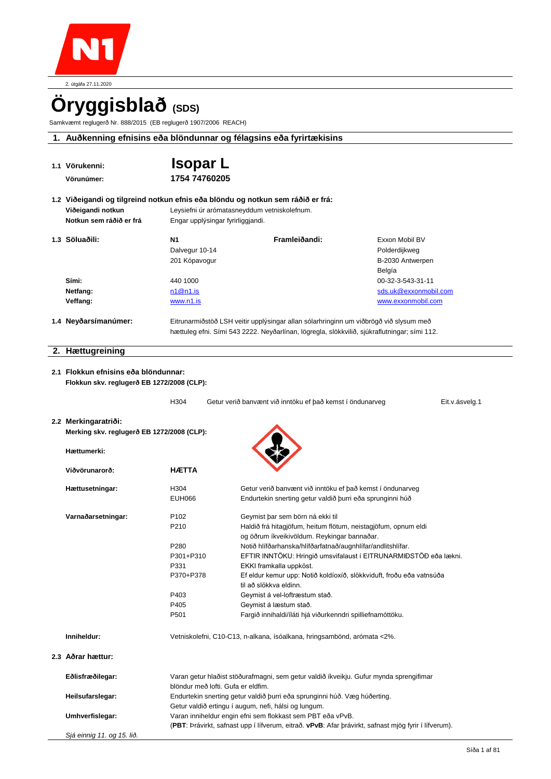

2. útgáfa 27.11.2020

# **Öryggisblað (SDS)**

Samkvæmt reglugerð Nr. 888/2015 (EB reglugerð 1907/2006 REACH)

### **1. Auðkenning efnisins eða blöndunnar og félagsins eða fyrirtækisins**

| 1754 74760205<br>Vörunúmer:<br>1.2 Viðeigandi og tilgreind notkun efnis eða blöndu og notkun sem ráðið er frá:<br>Viðeigandi notkun<br>Leysiefni úr arómatasneyddum vetniskolefnum.<br>Notkun sem ráðið er frá<br>Engar upplýsingar fyrirliggjandi.<br>1.3 Söluaðili:<br>Framleiðandi:<br>N1<br>Exxon Mobil BV<br>Dalvegur 10-14<br>Polderdijkweg<br>201 Kópavogur<br>B-2030 Antwerpen<br>Belgía<br>Sími:<br>00-32-3-543-31-11<br>440 1000<br>sds.uk@exxonmobil.com<br>n1@n1.is<br>Netfang:<br>Veffang:<br>www.exxonmobil.com<br>www.n1.is<br>1.4 Neyðarsímanúmer:<br>Eitrunarmiðstöð LSH veitir upplýsingar allan sólarhringinn um viðbrögð við slysum með<br>hættuleg efni. Sími 543 2222. Neyðarlínan, lögregla, slökkvilið, sjúkraflutningar; sími 112. | Eit.v.ásvelg.1 |
|-------------------------------------------------------------------------------------------------------------------------------------------------------------------------------------------------------------------------------------------------------------------------------------------------------------------------------------------------------------------------------------------------------------------------------------------------------------------------------------------------------------------------------------------------------------------------------------------------------------------------------------------------------------------------------------------------------------------------------------------------------------|----------------|
|                                                                                                                                                                                                                                                                                                                                                                                                                                                                                                                                                                                                                                                                                                                                                             |                |
|                                                                                                                                                                                                                                                                                                                                                                                                                                                                                                                                                                                                                                                                                                                                                             |                |
|                                                                                                                                                                                                                                                                                                                                                                                                                                                                                                                                                                                                                                                                                                                                                             |                |
|                                                                                                                                                                                                                                                                                                                                                                                                                                                                                                                                                                                                                                                                                                                                                             |                |
|                                                                                                                                                                                                                                                                                                                                                                                                                                                                                                                                                                                                                                                                                                                                                             |                |
|                                                                                                                                                                                                                                                                                                                                                                                                                                                                                                                                                                                                                                                                                                                                                             |                |
|                                                                                                                                                                                                                                                                                                                                                                                                                                                                                                                                                                                                                                                                                                                                                             |                |
|                                                                                                                                                                                                                                                                                                                                                                                                                                                                                                                                                                                                                                                                                                                                                             |                |
|                                                                                                                                                                                                                                                                                                                                                                                                                                                                                                                                                                                                                                                                                                                                                             |                |
|                                                                                                                                                                                                                                                                                                                                                                                                                                                                                                                                                                                                                                                                                                                                                             |                |
| 2. Hættugreining                                                                                                                                                                                                                                                                                                                                                                                                                                                                                                                                                                                                                                                                                                                                            |                |
| 2.1 Flokkun efnisins eða blöndunnar:<br>Flokkun skv. reglugerð EB 1272/2008 (CLP):                                                                                                                                                                                                                                                                                                                                                                                                                                                                                                                                                                                                                                                                          |                |
| H304<br>Getur verið banvænt við inntöku ef það kemst í öndunarveg                                                                                                                                                                                                                                                                                                                                                                                                                                                                                                                                                                                                                                                                                           |                |
| 2.2 Merkingaratriði:<br>Merking skv. reglugerð EB 1272/2008 (CLP):                                                                                                                                                                                                                                                                                                                                                                                                                                                                                                                                                                                                                                                                                          |                |
| Hættumerki:                                                                                                                                                                                                                                                                                                                                                                                                                                                                                                                                                                                                                                                                                                                                                 |                |
| <b>HÆTTA</b><br>Viðvörunarorð:                                                                                                                                                                                                                                                                                                                                                                                                                                                                                                                                                                                                                                                                                                                              |                |
| H304<br>Getur verið banvænt við inntöku ef það kemst í öndunarveg<br>Hættusetningar:<br><b>EUH066</b><br>Endurtekin snerting getur valdið þurri eða sprunginni húð                                                                                                                                                                                                                                                                                                                                                                                                                                                                                                                                                                                          |                |
| P <sub>102</sub><br>Geymist þar sem börn ná ekki til<br>Varnaðarsetningar:                                                                                                                                                                                                                                                                                                                                                                                                                                                                                                                                                                                                                                                                                  |                |
| P210<br>Haldið frá hitagjöfum, heitum flötum, neistagjöfum, opnum eldi                                                                                                                                                                                                                                                                                                                                                                                                                                                                                                                                                                                                                                                                                      |                |
| og öðrum íkveikivöldum. Reykingar bannaðar.                                                                                                                                                                                                                                                                                                                                                                                                                                                                                                                                                                                                                                                                                                                 |                |
| P280<br>Notið hlífðarhanska/hlífðarfatnað/augnhlífar/andlitshlífar.<br>P301+P310<br>EFTIR INNTÖKU: Hringið umsvifalaust í EITRUNARMIÐSTÖÐ eða lækni.                                                                                                                                                                                                                                                                                                                                                                                                                                                                                                                                                                                                        |                |
| P331<br>EKKI framkalla uppköst.                                                                                                                                                                                                                                                                                                                                                                                                                                                                                                                                                                                                                                                                                                                             |                |
| P370+P378<br>Ef eldur kemur upp: Notið koldíoxíð, slökkviduft, froðu eða vatnsúða<br>til að slökkva eldinn.                                                                                                                                                                                                                                                                                                                                                                                                                                                                                                                                                                                                                                                 |                |
| P403<br>Geymist á vel-loftræstum stað.                                                                                                                                                                                                                                                                                                                                                                                                                                                                                                                                                                                                                                                                                                                      |                |
| P405<br>Geymist á læstum stað.                                                                                                                                                                                                                                                                                                                                                                                                                                                                                                                                                                                                                                                                                                                              |                |
| P501<br>Fargið innihaldi/íláti hjá viðurkenndri spilliefnamóttöku.                                                                                                                                                                                                                                                                                                                                                                                                                                                                                                                                                                                                                                                                                          |                |
| Inniheldur:<br>Vetniskolefni, C10-C13, n-alkana, ísóalkana, hringsambönd, arómata <2%.                                                                                                                                                                                                                                                                                                                                                                                                                                                                                                                                                                                                                                                                      |                |
| 2.3 Aðrar hættur:                                                                                                                                                                                                                                                                                                                                                                                                                                                                                                                                                                                                                                                                                                                                           |                |
| Eðlisfræðilegar:<br>Varan getur hlaðist stöðurafmagni, sem getur valdið íkveikju. Gufur mynda sprengifimar                                                                                                                                                                                                                                                                                                                                                                                                                                                                                                                                                                                                                                                  |                |
| blöndur með lofti. Gufa er eldfim.<br>Endurtekin snerting getur valdið þurri eða sprunginni húð. Væg húðerting.<br>Heilsufarslegar:<br>Getur valdið ertingu í augum, nefi, hálsi og lungum.                                                                                                                                                                                                                                                                                                                                                                                                                                                                                                                                                                 |                |
| Varan inniheldur engin efni sem flokkast sem PBT eða vPvB.<br>Umhverfislegar:<br>(PBT: Þrávirkt, safnast upp í lífverum, eitrað. vPvB: Afar þrávirkt, safnast mjög fyrir í lífverum).                                                                                                                                                                                                                                                                                                                                                                                                                                                                                                                                                                       |                |
| Sjá einnig 11. og 15. lið.                                                                                                                                                                                                                                                                                                                                                                                                                                                                                                                                                                                                                                                                                                                                  |                |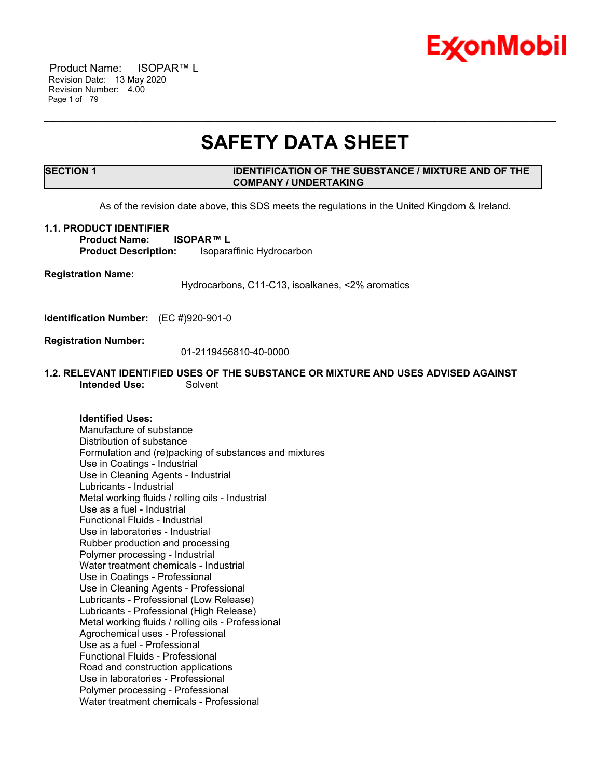

 Product Name: ISOPAR™ L Revision Date: 13 May 2020 Revision Number: 4.00 Page 1 of 79

## **SAFETY DATA SHEET**

\_\_\_\_\_\_\_\_\_\_\_\_\_\_\_\_\_\_\_\_\_\_\_\_\_\_\_\_\_\_\_\_\_\_\_\_\_\_\_\_\_\_\_\_\_\_\_\_\_\_\_\_\_\_\_\_\_\_\_\_\_\_\_\_\_\_\_\_\_\_\_\_\_\_\_\_\_\_\_\_\_\_\_\_\_\_\_\_\_\_\_\_\_\_\_\_\_\_\_\_\_\_\_\_\_\_\_\_\_\_\_\_\_\_\_\_\_

#### **SECTION 1 IDENTIFICATION OF THE SUBSTANCE / MIXTURE AND OF THE COMPANY / UNDERTAKING**

As of the revision date above, this SDS meets the regulations in the United Kingdom & Ireland.

#### **1.1. PRODUCT IDENTIFIER**

**Product Name: ISOPAR™ L**<br>**Product Description:** Isopara **Product Description:** Isoparaffinic Hydrocarbon

**Registration Name:** 

Hydrocarbons, C11-C13, isoalkanes, <2% aromatics

**Identification Number:** (EC #)920-901-0

**Registration Number:** 

01-2119456810-40-0000

#### **1.2. RELEVANT IDENTIFIED USES OF THE SUBSTANCE OR MIXTURE AND USES ADVISED AGAINST Intended Use:** Solvent

#### **Identified Uses:**

Manufacture of substance Distribution of substance Formulation and (re)packing of substances and mixtures Use in Coatings - Industrial Use in Cleaning Agents - Industrial Lubricants - Industrial Metal working fluids / rolling oils - Industrial Use as a fuel - Industrial Functional Fluids - Industrial Use in laboratories - Industrial Rubber production and processing Polymer processing - Industrial Water treatment chemicals - Industrial Use in Coatings - Professional Use in Cleaning Agents - Professional Lubricants - Professional (Low Release) Lubricants - Professional (High Release) Metal working fluids / rolling oils - Professional Agrochemical uses - Professional Use as a fuel - Professional Functional Fluids - Professional Road and construction applications Use in laboratories - Professional Polymer processing - Professional Water treatment chemicals - Professional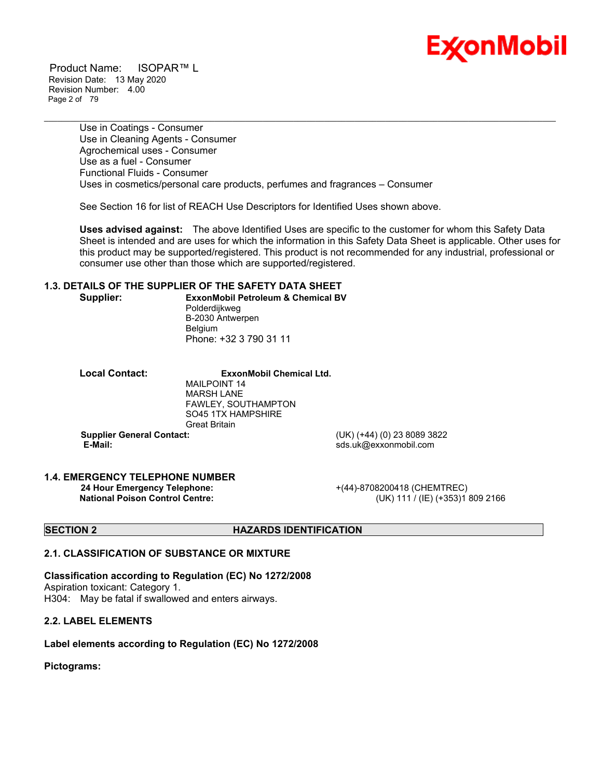## Ex⁄onMobil

 Product Name: ISOPAR™ L Revision Date: 13 May 2020 Revision Number: 4.00 Page 2 of 79

> Use in Coatings - Consumer Use in Cleaning Agents - Consumer Agrochemical uses - Consumer Use as a fuel - Consumer Functional Fluids - Consumer Uses in cosmetics/personal care products, perfumes and fragrances – Consumer

See Section 16 for list of REACH Use Descriptors for Identified Uses shown above.

**Uses advised against:** The above Identified Uses are specific to the customer for whom this Safety Data Sheet is intended and are uses for which the information in this Safety Data Sheet is applicable. Other uses for this product may be supported/registered. This product is not recommended for any industrial, professional or consumer use other than those which are supported/registered.

\_\_\_\_\_\_\_\_\_\_\_\_\_\_\_\_\_\_\_\_\_\_\_\_\_\_\_\_\_\_\_\_\_\_\_\_\_\_\_\_\_\_\_\_\_\_\_\_\_\_\_\_\_\_\_\_\_\_\_\_\_\_\_\_\_\_\_\_\_\_\_\_\_\_\_\_\_\_\_\_\_\_\_\_\_\_\_\_\_\_\_\_\_\_\_\_\_\_\_\_\_\_\_\_\_\_\_\_\_\_\_\_\_\_\_\_\_

#### **1.3. DETAILS OF THE SUPPLIER OF THE SAFETY DATA SHEET**

**Supplier: ExxonMobil Petroleum & Chemical BV**

Polderdijkweg B-2030 Antwerpen Belgium Phone: +32 3 790 31 11

**Local Contact: ExxonMobil Chemical Ltd.** MAILPOINT 14 MARSH LANE FAWLEY, SOUTHAMPTON SO45 1TX HAMPSHIRE Great Britain

**Supplier General Contact:** (UK) (+44) (0) 23 8089 3822<br>**E-Mail:** (E-Mail: signal component of the state of the state of the state of the state of the state of the state of the state of the state of the state of the state  **E-Mail:** sds.uk@exxonmobil.com

### **1.4. EMERGENCY TELEPHONE NUMBER 24 Hour Emergency Telephone:** +(44)-8708200418 (CHEMTREC)

**National Poison Control Centre:** (UK) 111 / (IE) (+353)1 809 2166

#### **SECTION 2 HAZARDS IDENTIFICATION**

#### **2.1. CLASSIFICATION OF SUBSTANCE OR MIXTURE**

**Classification according to Regulation (EC) No 1272/2008** Aspiration toxicant: Category 1. H304: May be fatal if swallowed and enters airways.

#### **2.2. LABEL ELEMENTS**

**Label elements according to Regulation (EC) No 1272/2008**

**Pictograms:**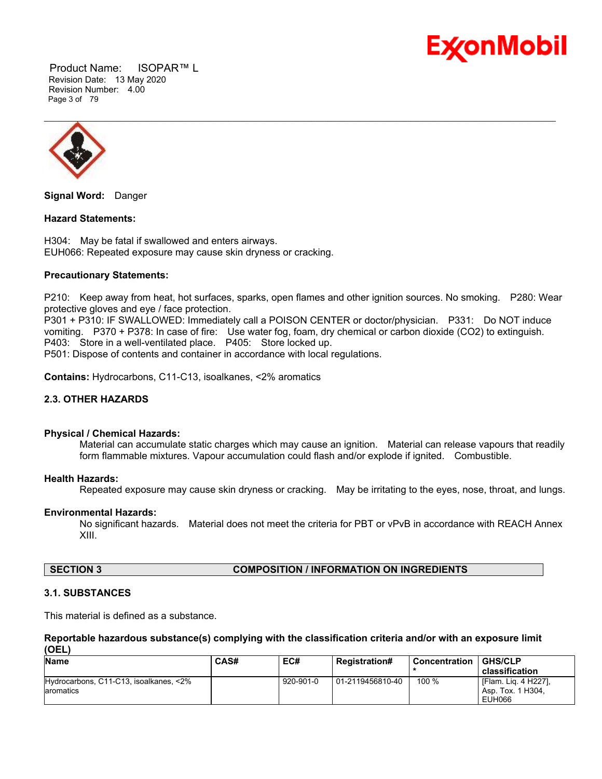

 Product Name: ISOPAR™ L Revision Date: 13 May 2020 Revision Number: 4.00 Page 3 of 79



**Signal Word:** Danger

#### **Hazard Statements:**

H304: May be fatal if swallowed and enters airways. EUH066: Repeated exposure may cause skin dryness or cracking.

#### **Precautionary Statements:**

P210: Keep away from heat, hot surfaces, sparks, open flames and other ignition sources. No smoking. P280: Wear protective gloves and eye / face protection.

P301 + P310: IF SWALLOWED: Immediately call a POISON CENTER or doctor/physician. P331: Do NOT induce vomiting. P370 + P378: In case of fire: Use water fog, foam, dry chemical or carbon dioxide (CO2) to extinguish. P403: Store in a well-ventilated place. P405: Store locked up. P501: Dispose of contents and container in accordance with local regulations.

**Contains:** Hydrocarbons, C11-C13, isoalkanes, <2% aromatics

#### **2.3. OTHER HAZARDS**

#### **Physical / Chemical Hazards:**

Material can accumulate static charges which may cause an ignition. Material can release vapours that readily form flammable mixtures. Vapour accumulation could flash and/or explode if ignited. Combustible.

#### **Health Hazards:**

Repeated exposure may cause skin dryness or cracking. May be irritating to the eyes, nose, throat, and lungs.

#### **Environmental Hazards:**

No significant hazards. Material does not meet the criteria for PBT or vPvB in accordance with REACH Annex XIII.

#### **SECTION 3 COMPOSITION / INFORMATION ON INGREDIENTS**

#### **3.1. SUBSTANCES**

This material is defined as a substance.

#### **Reportable hazardous substance(s) complying with the classification criteria and/or with an exposure limit (OEL)**

| <b>Name</b>                                         | CAS# | EC#       | <b>Registration#</b> | Concentration | <b>GHS/CLP</b>                            |
|-----------------------------------------------------|------|-----------|----------------------|---------------|-------------------------------------------|
|                                                     |      |           |                      |               | classification                            |
| Hydrocarbons. C11-C13. isoalkanes. <2%<br>aromatics |      | 920-901-0 | 01-2119456810-40     | 100 %         | [Flam. Lig. 4 H227].<br>Asp. Tox. 1 H304. |
|                                                     |      |           |                      |               | <b>EUH066</b>                             |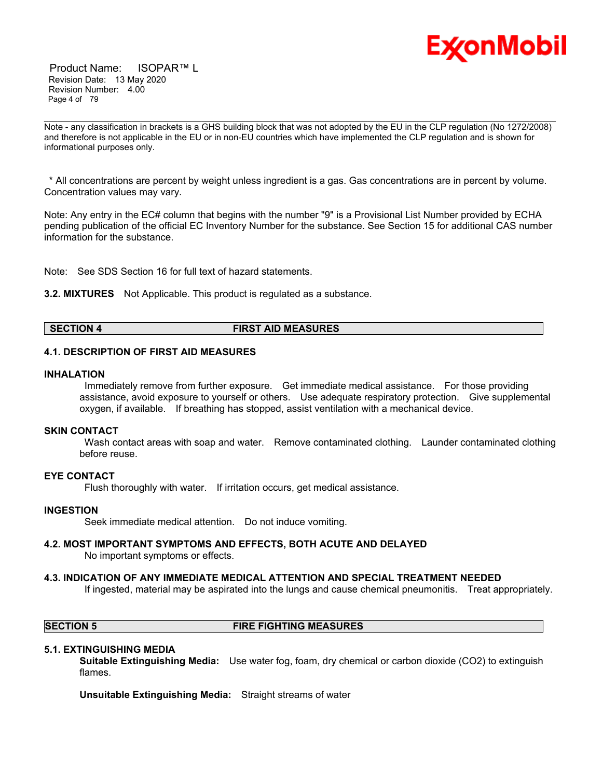

 Product Name: ISOPAR™ L Revision Date: 13 May 2020 Revision Number: 4.00 Page 4 of 79

\_\_\_\_\_\_\_\_\_\_\_\_\_\_\_\_\_\_\_\_\_\_\_\_\_\_\_\_\_\_\_\_\_\_\_\_\_\_\_\_\_\_\_\_\_\_\_\_\_\_\_\_\_\_\_\_\_\_\_\_\_\_\_\_\_\_\_\_\_\_\_\_\_\_\_\_\_\_\_\_\_\_\_\_\_\_\_\_\_\_\_\_\_\_\_\_\_\_\_\_\_\_\_\_\_\_\_\_\_\_\_\_\_\_\_\_\_ Note - any classification in brackets is a GHS building block that was not adopted by the EU in the CLP regulation (No 1272/2008) and therefore is not applicable in the EU or in non-EU countries which have implemented the CLP regulation and is shown for informational purposes only.

 \* All concentrations are percent by weight unless ingredient is a gas. Gas concentrations are in percent by volume. Concentration values may vary.

Note: Any entry in the EC# column that begins with the number "9" is a Provisional List Number provided by ECHA pending publication of the official EC Inventory Number for the substance. See Section 15 for additional CAS number information for the substance.

Note: See SDS Section 16 for full text of hazard statements.

**3.2. MIXTURES** Not Applicable. This product is regulated as a substance.

**SECTION 4 FIRST AID MEASURES**

### **4.1. DESCRIPTION OF FIRST AID MEASURES**

#### **INHALATION**

 Immediately remove from further exposure. Get immediate medical assistance. For those providing assistance, avoid exposure to yourself or others. Use adequate respiratory protection. Give supplemental oxygen, if available. If breathing has stopped, assist ventilation with a mechanical device.

#### **SKIN CONTACT**

 Wash contact areas with soap and water. Remove contaminated clothing. Launder contaminated clothing before reuse.

#### **EYE CONTACT**

Flush thoroughly with water. If irritation occurs, get medical assistance.

#### **INGESTION**

Seek immediate medical attention. Do not induce vomiting.

#### **4.2. MOST IMPORTANT SYMPTOMS AND EFFECTS, BOTH ACUTE AND DELAYED**

No important symptoms or effects.

#### **4.3. INDICATION OF ANY IMMEDIATE MEDICAL ATTENTION AND SPECIAL TREATMENT NEEDED**

If ingested, material may be aspirated into the lungs and cause chemical pneumonitis. Treat appropriately.

#### **SECTION 5 FIRE FIGHTING MEASURES**

#### **5.1. EXTINGUISHING MEDIA**

**Suitable Extinguishing Media:** Use water fog, foam, dry chemical or carbon dioxide (CO2) to extinguish flames.

**Unsuitable Extinguishing Media:** Straight streams of water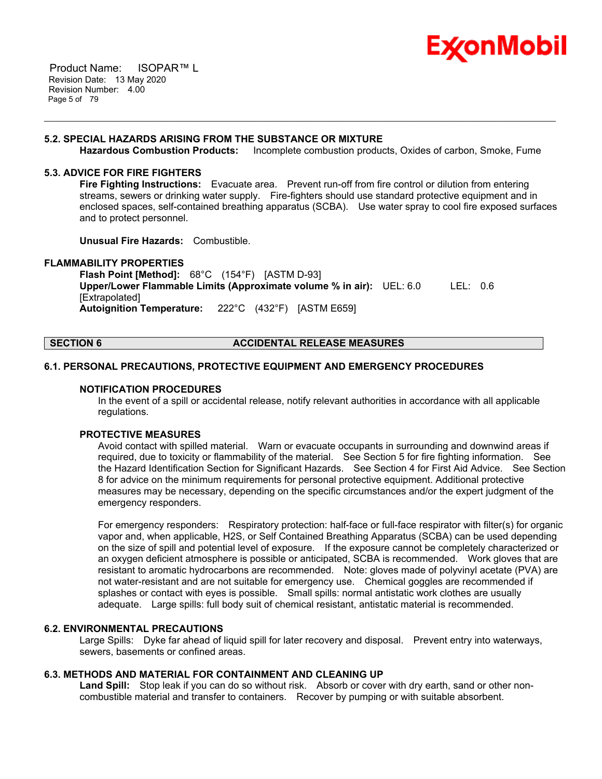

 Product Name: ISOPAR™ L Revision Date: 13 May 2020 Revision Number: 4.00 Page 5 of 79

#### **5.2. SPECIAL HAZARDS ARISING FROM THE SUBSTANCE OR MIXTURE**

**Hazardous Combustion Products:** Incomplete combustion products, Oxides of carbon, Smoke, Fume

\_\_\_\_\_\_\_\_\_\_\_\_\_\_\_\_\_\_\_\_\_\_\_\_\_\_\_\_\_\_\_\_\_\_\_\_\_\_\_\_\_\_\_\_\_\_\_\_\_\_\_\_\_\_\_\_\_\_\_\_\_\_\_\_\_\_\_\_\_\_\_\_\_\_\_\_\_\_\_\_\_\_\_\_\_\_\_\_\_\_\_\_\_\_\_\_\_\_\_\_\_\_\_\_\_\_\_\_\_\_\_\_\_\_\_\_\_

### **5.3. ADVICE FOR FIRE FIGHTERS**

**Fire Fighting Instructions:** Evacuate area. Prevent run-off from fire control or dilution from entering streams, sewers or drinking water supply. Fire-fighters should use standard protective equipment and in enclosed spaces, self-contained breathing apparatus (SCBA). Use water spray to cool fire exposed surfaces and to protect personnel.

**Unusual Fire Hazards:** Combustible.

#### **FLAMMABILITY PROPERTIES**

**Flash Point [Method]:** 68°C (154°F) [ASTM D-93] **Upper/Lower Flammable Limits (Approximate volume % in air):** UEL: 6.0 LEL: 0.6 [Extrapolated] **Autoignition Temperature:** 222°C (432°F) [ASTM E659]

#### **SECTION 6 ACCIDENTAL RELEASE MEASURES**

#### **6.1. PERSONAL PRECAUTIONS, PROTECTIVE EQUIPMENT AND EMERGENCY PROCEDURES**

#### **NOTIFICATION PROCEDURES**

In the event of a spill or accidental release, notify relevant authorities in accordance with all applicable regulations.

#### **PROTECTIVE MEASURES**

Avoid contact with spilled material. Warn or evacuate occupants in surrounding and downwind areas if required, due to toxicity or flammability of the material. See Section 5 for fire fighting information. See the Hazard Identification Section for Significant Hazards. See Section 4 for First Aid Advice. See Section 8 for advice on the minimum requirements for personal protective equipment. Additional protective measures may be necessary, depending on the specific circumstances and/or the expert judgment of the emergency responders.

For emergency responders: Respiratory protection: half-face or full-face respirator with filter(s) for organic vapor and, when applicable, H2S, or Self Contained Breathing Apparatus (SCBA) can be used depending on the size of spill and potential level of exposure. If the exposure cannot be completely characterized or an oxygen deficient atmosphere is possible or anticipated, SCBA is recommended. Work gloves that are resistant to aromatic hydrocarbons are recommended. Note: gloves made of polyvinyl acetate (PVA) are not water-resistant and are not suitable for emergency use. Chemical goggles are recommended if splashes or contact with eyes is possible. Small spills: normal antistatic work clothes are usually adequate. Large spills: full body suit of chemical resistant, antistatic material is recommended.

#### **6.2. ENVIRONMENTAL PRECAUTIONS**

Large Spills: Dyke far ahead of liquid spill for later recovery and disposal. Prevent entry into waterways, sewers, basements or confined areas.

### **6.3. METHODS AND MATERIAL FOR CONTAINMENT AND CLEANING UP**

Land Spill: Stop leak if you can do so without risk. Absorb or cover with dry earth, sand or other noncombustible material and transfer to containers. Recover by pumping or with suitable absorbent.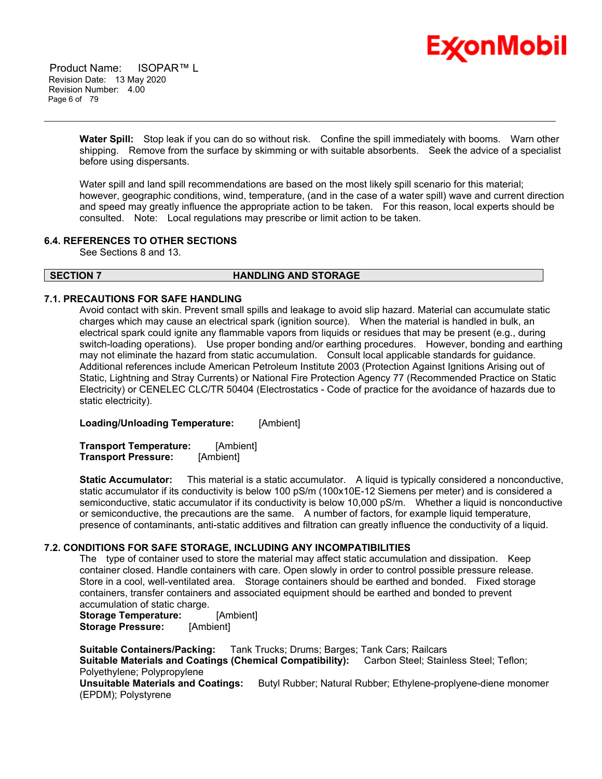

 Product Name: ISOPAR™ L Revision Date: 13 May 2020 Revision Number: 4.00 Page 6 of 79

> **Water Spill:** Stop leak if you can do so without risk. Confine the spill immediately with booms. Warn other shipping. Remove from the surface by skimming or with suitable absorbents. Seek the advice of a specialist before using dispersants.

\_\_\_\_\_\_\_\_\_\_\_\_\_\_\_\_\_\_\_\_\_\_\_\_\_\_\_\_\_\_\_\_\_\_\_\_\_\_\_\_\_\_\_\_\_\_\_\_\_\_\_\_\_\_\_\_\_\_\_\_\_\_\_\_\_\_\_\_\_\_\_\_\_\_\_\_\_\_\_\_\_\_\_\_\_\_\_\_\_\_\_\_\_\_\_\_\_\_\_\_\_\_\_\_\_\_\_\_\_\_\_\_\_\_\_\_\_

Water spill and land spill recommendations are based on the most likely spill scenario for this material; however, geographic conditions, wind, temperature, (and in the case of a water spill) wave and current direction and speed may greatly influence the appropriate action to be taken. For this reason, local experts should be consulted. Note: Local regulations may prescribe or limit action to be taken.

#### **6.4. REFERENCES TO OTHER SECTIONS**

See Sections 8 and 13.

#### **SECTION 7 HANDLING AND STORAGE**

#### **7.1. PRECAUTIONS FOR SAFE HANDLING**

Avoid contact with skin. Prevent small spills and leakage to avoid slip hazard. Material can accumulate static charges which may cause an electrical spark (ignition source). When the material is handled in bulk, an electrical spark could ignite any flammable vapors from liquids or residues that may be present (e.g., during switch-loading operations). Use proper bonding and/or earthing procedures. However, bonding and earthing may not eliminate the hazard from static accumulation. Consult local applicable standards for guidance. Additional references include American Petroleum Institute 2003 (Protection Against Ignitions Arising out of Static, Lightning and Stray Currents) or National Fire Protection Agency 77 (Recommended Practice on Static Electricity) or CENELEC CLC/TR 50404 (Electrostatics - Code of practice for the avoidance of hazards due to static electricity).

**Loading/Unloading Temperature:** [Ambient]

**Transport Temperature:** [Ambient] **Transport Pressure:** [Ambient]

**Static Accumulator:** This material is a static accumulator. A liquid is typically considered a nonconductive, static accumulator if its conductivity is below 100 pS/m (100x10E-12 Siemens per meter) and is considered a semiconductive, static accumulator if its conductivity is below 10,000 pS/m. Whether a liquid is nonconductive or semiconductive, the precautions are the same. A number of factors, for example liquid temperature, presence of contaminants, anti-static additives and filtration can greatly influence the conductivity of a liquid.

#### **7.2. CONDITIONS FOR SAFE STORAGE, INCLUDING ANY INCOMPATIBILITIES**

The type of container used to store the material may affect static accumulation and dissipation. Keep container closed. Handle containers with care. Open slowly in order to control possible pressure release. Store in a cool, well-ventilated area. Storage containers should be earthed and bonded. Fixed storage containers, transfer containers and associated equipment should be earthed and bonded to prevent accumulation of static charge.

**Storage Temperature:** [Ambient]<br>**Storage Pressure:** [Ambient] **Storage Pressure:** 

**Suitable Containers/Packing:** Tank Trucks; Drums; Barges; Tank Cars; Railcars **Suitable Materials and Coatings (Chemical Compatibility):** Carbon Steel; Stainless Steel; Teflon; Polyethylene; Polypropylene **Unsuitable Materials and Coatings:** Butyl Rubber; Natural Rubber; Ethylene-proplyene-diene monomer (EPDM); Polystyrene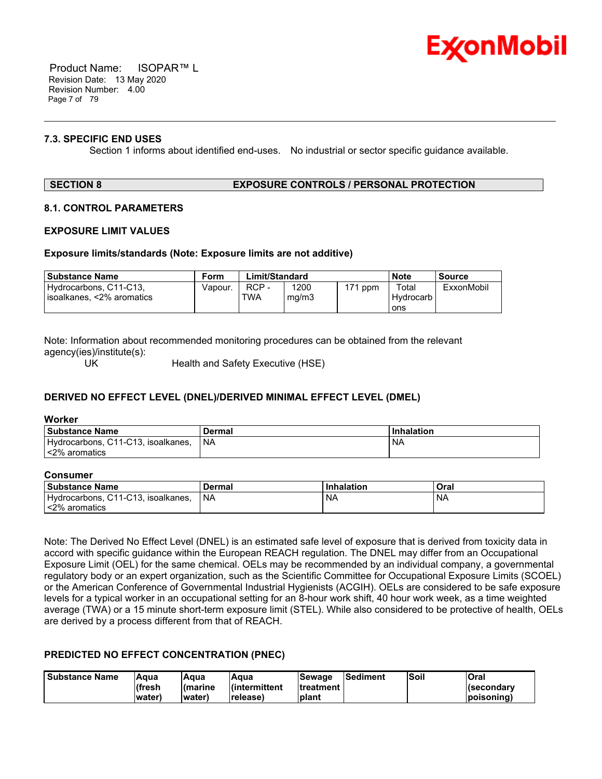

 Product Name: ISOPAR™ L Revision Date: 13 May 2020 Revision Number: 4.00 Page 7 of 79

#### **7.3. SPECIFIC END USES**

Section 1 informs about identified end-uses. No industrial or sector specific guidance available.

\_\_\_\_\_\_\_\_\_\_\_\_\_\_\_\_\_\_\_\_\_\_\_\_\_\_\_\_\_\_\_\_\_\_\_\_\_\_\_\_\_\_\_\_\_\_\_\_\_\_\_\_\_\_\_\_\_\_\_\_\_\_\_\_\_\_\_\_\_\_\_\_\_\_\_\_\_\_\_\_\_\_\_\_\_\_\_\_\_\_\_\_\_\_\_\_\_\_\_\_\_\_\_\_\_\_\_\_\_\_\_\_\_\_\_\_\_

#### **SECTION 8 EXPOSURE CONTROLS / PERSONAL PROTECTION**

#### **8.1. CONTROL PARAMETERS**

#### **EXPOSURE LIMIT VALUES**

#### **Exposure limits/standards (Note: Exposure limits are not additive)**

| l Substance Name                                   | Form    | Limit/Standard |               |            | <b>Note</b>        | Source     |
|----------------------------------------------------|---------|----------------|---------------|------------|--------------------|------------|
| Hydrocarbons, C11-C13,<br>soalkanes, <2% aromatics | Vapour. | RCP-<br>TWA    | 1200<br>mg/m3 | 171<br>ppm | Total<br>Hydrocarb | ExxonMobil |
|                                                    |         |                |               |            | ons                |            |

Note: Information about recommended monitoring procedures can be obtained from the relevant agency(ies)/institute(s):

UK Health and Safety Executive (HSE)

#### **DERIVED NO EFFECT LEVEL (DNEL)/DERIVED MINIMAL EFFECT LEVEL (DMEL)**

#### **Worker**

| <b>Substance Name</b>              | Dermal | <b>Inhalation</b> |
|------------------------------------|--------|-------------------|
| Hydrocarbons, C11-C13, isoalkanes, | ' NA   | <b>NA</b>         |
| <2% aromatics                      |        |                   |

#### **Consumer**

| <b>Substance Name</b>              | Dermal | <b>Inhalation</b> | Oral      |
|------------------------------------|--------|-------------------|-----------|
| Hydrocarbons, C11-C13, isoalkanes, | I NA   | <b>NA</b>         | <b>NA</b> |
| <2% aromatics                      |        |                   |           |

Note: The Derived No Effect Level (DNEL) is an estimated safe level of exposure that is derived from toxicity data in accord with specific guidance within the European REACH regulation. The DNEL may differ from an Occupational Exposure Limit (OEL) for the same chemical. OELs may be recommended by an individual company, a governmental regulatory body or an expert organization, such as the Scientific Committee for Occupational Exposure Limits (SCOEL) or the American Conference of Governmental Industrial Hygienists (ACGIH). OELs are considered to be safe exposure levels for a typical worker in an occupational setting for an 8-hour work shift, 40 hour work week, as a time weighted average (TWA) or a 15 minute short-term exposure limit (STEL). While also considered to be protective of health, OELs are derived by a process different from that of REACH.

#### **PREDICTED NO EFFECT CONCENTRATION (PNEC)**

| l Substance Name | lAqua   | ıAqua    | Agua            | lSewaɑe      | <b>Sediment</b> | <b>Soil</b> | <b>Oral</b>         |
|------------------|---------|----------|-----------------|--------------|-----------------|-------------|---------------------|
|                  | l(fresh | l(marine | l(intermittent) | Itreatment   |                 |             | <b>I</b> (secondary |
|                  | (water  | (water   | release)        | <b>plant</b> |                 |             | (poisoning)         |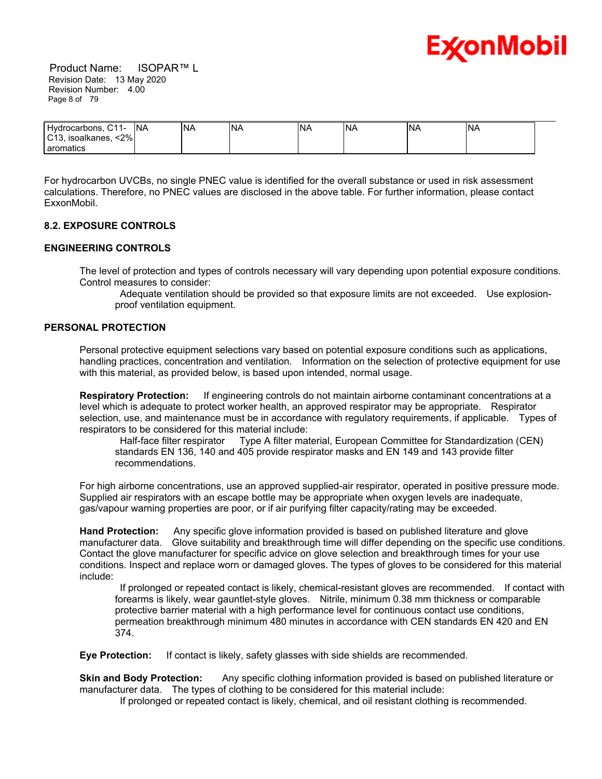

 Product Name: ISOPAR™ L Revision Date: 13 May 2020 Revision Number: 4.00 Page 8 of 79

| Hydrocarbons, C11-        | <b>INA</b> | 'NA | -NA | <b>NA</b> | ' Nr.<br>1. V Z | 'NA | <b>NA</b> |  |
|---------------------------|------------|-----|-----|-----------|-----------------|-----|-----------|--|
| C13, isoalkanes,<br>$2\%$ |            |     |     |           |                 |     |           |  |
| aromatics                 |            |     |     |           |                 |     |           |  |

For hydrocarbon UVCBs, no single PNEC value is identified for the overall substance or used in risk assessment calculations. Therefore, no PNEC values are disclosed in the above table. For further information, please contact ExxonMobil.

#### **8.2. EXPOSURE CONTROLS**

#### **ENGINEERING CONTROLS**

The level of protection and types of controls necessary will vary depending upon potential exposure conditions. Control measures to consider:

 Adequate ventilation should be provided so that exposure limits are not exceeded. Use explosionproof ventilation equipment.

#### **PERSONAL PROTECTION**

Personal protective equipment selections vary based on potential exposure conditions such as applications, handling practices, concentration and ventilation. Information on the selection of protective equipment for use with this material, as provided below, is based upon intended, normal usage.

**Respiratory Protection:** If engineering controls do not maintain airborne contaminant concentrations at a level which is adequate to protect worker health, an approved respirator may be appropriate. Respirator selection, use, and maintenance must be in accordance with regulatory requirements, if applicable. Types of respirators to be considered for this material include:

 Half-face filter respirator Type A filter material, European Committee for Standardization (CEN) standards EN 136, 140 and 405 provide respirator masks and EN 149 and 143 provide filter recommendations.

For high airborne concentrations, use an approved supplied-air respirator, operated in positive pressure mode. Supplied air respirators with an escape bottle may be appropriate when oxygen levels are inadequate, gas/vapour warning properties are poor, or if air purifying filter capacity/rating may be exceeded.

**Hand Protection:** Any specific glove information provided is based on published literature and glove manufacturer data. Glove suitability and breakthrough time will differ depending on the specific use conditions. Contact the glove manufacturer for specific advice on glove selection and breakthrough times for your use conditions. Inspect and replace worn or damaged gloves. The types of gloves to be considered for this material include:

 If prolonged or repeated contact is likely, chemical-resistant gloves are recommended. If contact with forearms is likely, wear gauntlet-style gloves. Nitrile, minimum 0.38 mm thickness or comparable protective barrier material with a high performance level for continuous contact use conditions, permeation breakthrough minimum 480 minutes in accordance with CEN standards EN 420 and EN 374.

**Eye Protection:** If contact is likely, safety glasses with side shields are recommended.

**Skin and Body Protection:** Any specific clothing information provided is based on published literature or manufacturer data. The types of clothing to be considered for this material include:

If prolonged or repeated contact is likely, chemical, and oil resistant clothing is recommended.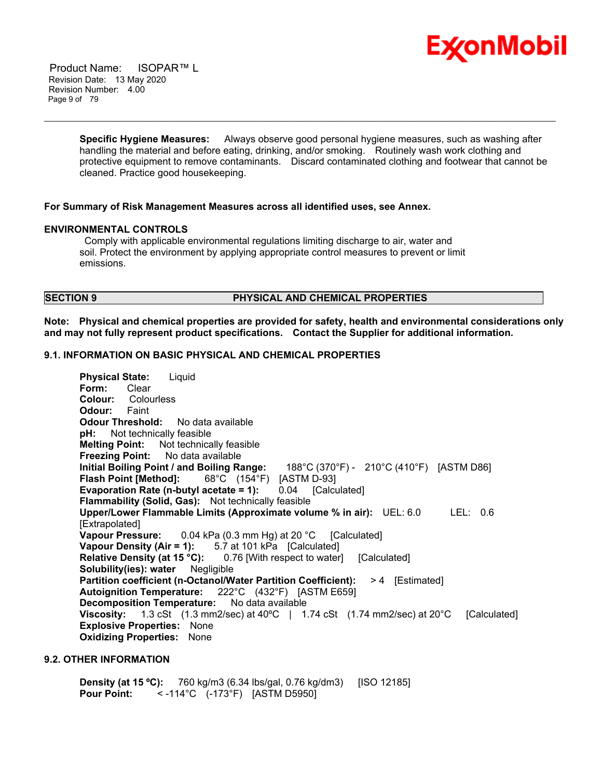

 Product Name: ISOPAR™ L Revision Date: 13 May 2020 Revision Number: 4.00 Page 9 of 79

> **Specific Hygiene Measures:** Always observe good personal hygiene measures, such as washing after handling the material and before eating, drinking, and/or smoking. Routinely wash work clothing and protective equipment to remove contaminants. Discard contaminated clothing and footwear that cannot be cleaned. Practice good housekeeping.

\_\_\_\_\_\_\_\_\_\_\_\_\_\_\_\_\_\_\_\_\_\_\_\_\_\_\_\_\_\_\_\_\_\_\_\_\_\_\_\_\_\_\_\_\_\_\_\_\_\_\_\_\_\_\_\_\_\_\_\_\_\_\_\_\_\_\_\_\_\_\_\_\_\_\_\_\_\_\_\_\_\_\_\_\_\_\_\_\_\_\_\_\_\_\_\_\_\_\_\_\_\_\_\_\_\_\_\_\_\_\_\_\_\_\_\_\_

#### **For Summary of Risk Management Measures across all identified uses, see Annex.**

#### **ENVIRONMENTAL CONTROLS**

 Comply with applicable environmental regulations limiting discharge to air, water and soil. Protect the environment by applying appropriate control measures to prevent or limit emissions.

#### **SECTION 9 PHYSICAL AND CHEMICAL PROPERTIES**

**Note: Physical and chemical properties are provided for safety, health and environmental considerations only and may not fully represent product specifications. Contact the Supplier for additional information.**

#### **9.1. INFORMATION ON BASIC PHYSICAL AND CHEMICAL PROPERTIES**

**Physical State:** Liquid **Form:** Clear **Colour:** Colourless **Odour:** Faint **Odour Threshold:** No data available **pH:** Not technically feasible **Melting Point:** Not technically feasible **Freezing Point:** No data available **Initial Boiling Point / and Boiling Range:** 188°C (370°F) - 210°C (410°F) [ASTM D86] **Flash Point [Method]:** 68°C (154°F) [ASTM D-93] **Evaporation Rate (n-butyl acetate = 1):** 0.04 [Calculated] **Flammability (Solid, Gas):** Not technically feasible **Upper/Lower Flammable Limits (Approximate volume % in air):** UEL: 6.0 LEL: 0.6 [Extrapolated] **Vapour Pressure:** 0.04 kPa (0.3 mm Hg) at 20 °C [Calculated] **Vapour Density (Air = 1):** 5.7 at 101 kPa [Calculated] **Relative Density (at 15 °C):** 0.76 [With respect to water] [Calculated] **Solubility(ies): water** Negligible **Partition coefficient (n-Octanol/Water Partition Coefficient): > 4 [Estimated] Autoignition Temperature:** 222°C (432°F) [ASTM E659] **Decomposition Temperature:** No data available **Viscosity:** 1.3 cSt (1.3 mm2/sec) at 40°C | 1.74 cSt (1.74 mm2/sec) at 20°C [Calculated] **Explosive Properties:** None **Oxidizing Properties:** None

#### **9.2. OTHER INFORMATION**

**Density (at 15 °C):** 760 kg/m3 (6.34 lbs/gal, 0.76 kg/dm3) [ISO 12185] **Pour Point:** < -114°C (-173°F) [ASTM D5950]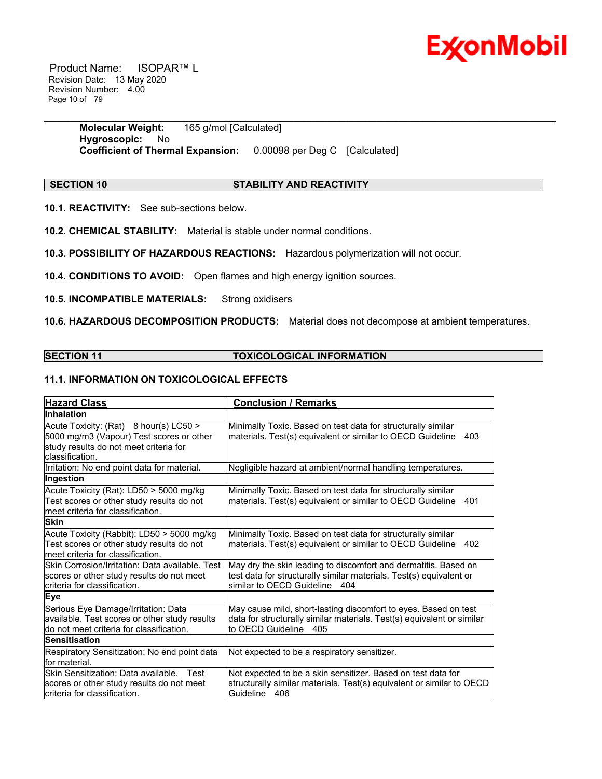

 Product Name: ISOPAR™ L Revision Date: 13 May 2020 Revision Number: 4.00 Page 10 of 79

> **Molecular Weight:** 165 g/mol [Calculated] **Hygroscopic:** No **Coefficient of Thermal Expansion:** 0.00098 per Deg C [Calculated]

#### **SECTION 10 STABILITY AND REACTIVITY**

\_\_\_\_\_\_\_\_\_\_\_\_\_\_\_\_\_\_\_\_\_\_\_\_\_\_\_\_\_\_\_\_\_\_\_\_\_\_\_\_\_\_\_\_\_\_\_\_\_\_\_\_\_\_\_\_\_\_\_\_\_\_\_\_\_\_\_\_\_\_\_\_\_\_\_\_\_\_\_\_\_\_\_\_\_\_\_\_\_\_\_\_\_\_\_\_\_\_\_\_\_\_\_\_\_\_\_\_\_\_\_\_\_\_\_\_\_

**10.1. REACTIVITY:** See sub-sections below.

**10.2. CHEMICAL STABILITY:** Material is stable under normal conditions.

**10.3. POSSIBILITY OF HAZARDOUS REACTIONS:** Hazardous polymerization will not occur.

**10.4. CONDITIONS TO AVOID:** Open flames and high energy ignition sources.

**10.5. INCOMPATIBLE MATERIALS:** Strong oxidisers

**10.6. HAZARDOUS DECOMPOSITION PRODUCTS:** Material does not decompose at ambient temperatures.

#### **SECTION 11 TOXICOLOGICAL INFORMATION**

### **11.1. INFORMATION ON TOXICOLOGICAL EFFECTS**

| <b>Hazard Class</b>                                                                                                                             | <b>Conclusion / Remarks</b>                                                                                                                                                |
|-------------------------------------------------------------------------------------------------------------------------------------------------|----------------------------------------------------------------------------------------------------------------------------------------------------------------------------|
| Inhalation                                                                                                                                      |                                                                                                                                                                            |
| Acute Toxicity: (Rat) 8 hour(s) LC50 ><br>5000 mg/m3 (Vapour) Test scores or other<br>study results do not meet criteria for<br>classification. | Minimally Toxic. Based on test data for structurally similar<br>materials. Test(s) equivalent or similar to OECD Guideline<br>403                                          |
| Irritation: No end point data for material.                                                                                                     | Negligible hazard at ambient/normal handling temperatures.                                                                                                                 |
| Ingestion                                                                                                                                       |                                                                                                                                                                            |
| Acute Toxicity (Rat): LD50 > 5000 mg/kg<br>Test scores or other study results do not<br>lmeet criteria for classification.                      | Minimally Toxic. Based on test data for structurally similar<br>materials. Test(s) equivalent or similar to OECD Guideline<br>401                                          |
| <b>Skin</b>                                                                                                                                     |                                                                                                                                                                            |
| Acute Toxicity (Rabbit): LD50 > 5000 mg/kg<br>Test scores or other study results do not<br>lmeet criteria for classification.                   | Minimally Toxic. Based on test data for structurally similar<br>materials. Test(s) equivalent or similar to OECD Guideline<br>402                                          |
| lSkin Corrosion/Irritation: Data available. Test<br>scores or other study results do not meet<br>criteria for classification.                   | May dry the skin leading to discomfort and dermatitis. Based on<br>test data for structurally similar materials. Test(s) equivalent or<br>similar to OECD Guideline<br>404 |
| <b>Eye</b>                                                                                                                                      |                                                                                                                                                                            |
| Serious Eye Damage/Irritation: Data<br>available. Test scores or other study results<br>ldo not meet criteria for classification.               | May cause mild, short-lasting discomfort to eyes. Based on test<br>data for structurally similar materials. Test(s) equivalent or similar<br>to OECD Guideline 405         |
| Sensitisation                                                                                                                                   |                                                                                                                                                                            |
| Respiratory Sensitization: No end point data<br>lfor material.                                                                                  | Not expected to be a respiratory sensitizer.                                                                                                                               |
| Skin Sensitization: Data available.<br>Test<br>scores or other study results do not meet<br>criteria for classification.                        | Not expected to be a skin sensitizer. Based on test data for<br>structurally similar materials. Test(s) equivalent or similar to OECD<br>Guideline<br>406                  |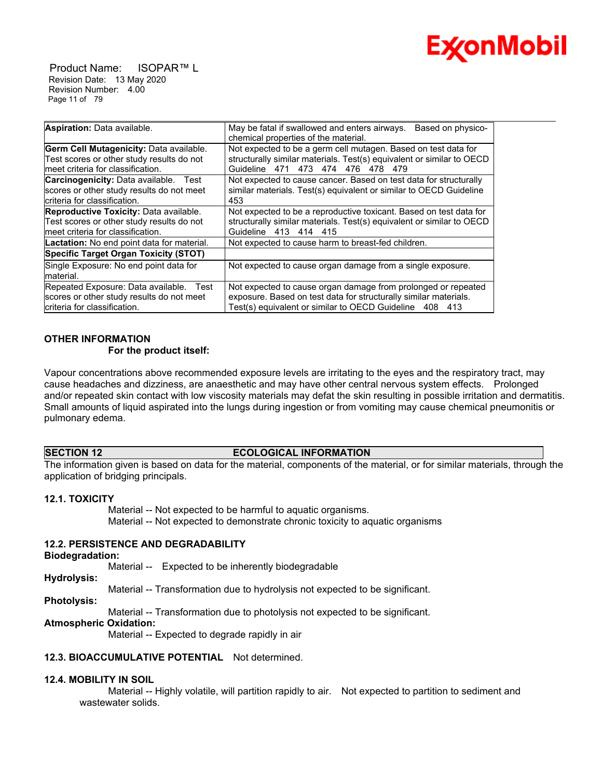

 Product Name: ISOPAR™ L Revision Date: 13 May 2020 Revision Number: 4.00 Page 11 of 79

| Aspiration: Data available.                  | May be fatal if swallowed and enters airways.<br>Based on physico-    |
|----------------------------------------------|-----------------------------------------------------------------------|
|                                              | chemical properties of the material.                                  |
| Germ Cell Mutagenicity: Data available.      | Not expected to be a germ cell mutagen. Based on test data for        |
| Test scores or other study results do not    | structurally similar materials. Test(s) equivalent or similar to OECD |
| lmeet criteria for classification.           | 471<br>473 474 476 478 479<br>Guideline                               |
| <b>Carcinogenicity:</b> Data available. Test | Not expected to cause cancer. Based on test data for structurally     |
| scores or other study results do not meet    | similar materials. Test(s) equivalent or similar to OECD Guideline    |
| Icriteria for classification.                | 453                                                                   |
| Reproductive Toxicity: Data available.       | Not expected to be a reproductive toxicant. Based on test data for    |
| Test scores or other study results do not    | structurally similar materials. Test(s) equivalent or similar to OECD |
| meet criteria for classification.            | Guideline 413 414 415                                                 |
| Lactation: No end point data for material.   | Not expected to cause harm to breast-fed children.                    |
| Specific Target Organ Toxicity (STOT)        |                                                                       |
| Single Exposure: No end point data for       | Not expected to cause organ damage from a single exposure.            |
| Imaterial.                                   |                                                                       |
| Repeated Exposure: Data available.<br>Test   | Not expected to cause organ damage from prolonged or repeated         |
| scores or other study results do not meet    | exposure. Based on test data for structurally similar materials.      |
| criteria for classification.                 | Test(s) equivalent or similar to OECD Guideline<br>408 413            |

### **OTHER INFORMATION**

### **For the product itself:**

Vapour concentrations above recommended exposure levels are irritating to the eyes and the respiratory tract, may cause headaches and dizziness, are anaesthetic and may have other central nervous system effects. Prolonged and/or repeated skin contact with low viscosity materials may defat the skin resulting in possible irritation and dermatitis. Small amounts of liquid aspirated into the lungs during ingestion or from vomiting may cause chemical pneumonitis or pulmonary edema.

#### **SECTION 12 ECOLOGICAL INFORMATION**

The information given is based on data for the material, components of the material, or for similar materials, through the application of bridging principals.

#### **12.1. TOXICITY**

 Material -- Not expected to be harmful to aquatic organisms. Material -- Not expected to demonstrate chronic toxicity to aquatic organisms

#### **12.2. PERSISTENCE AND DEGRADABILITY**

#### **Biodegradation:**

Material -- Expected to be inherently biodegradable

**Hydrolysis:** Material -- Transformation due to hydrolysis not expected to be significant.

#### **Photolysis:**

Material -- Transformation due to photolysis not expected to be significant.

#### **Atmospheric Oxidation:**

Material -- Expected to degrade rapidly in air

#### **12.3. BIOACCUMULATIVE POTENTIAL** Not determined.

#### **12.4. MOBILITY IN SOIL**

 Material -- Highly volatile, will partition rapidly to air. Not expected to partition to sediment and wastewater solids.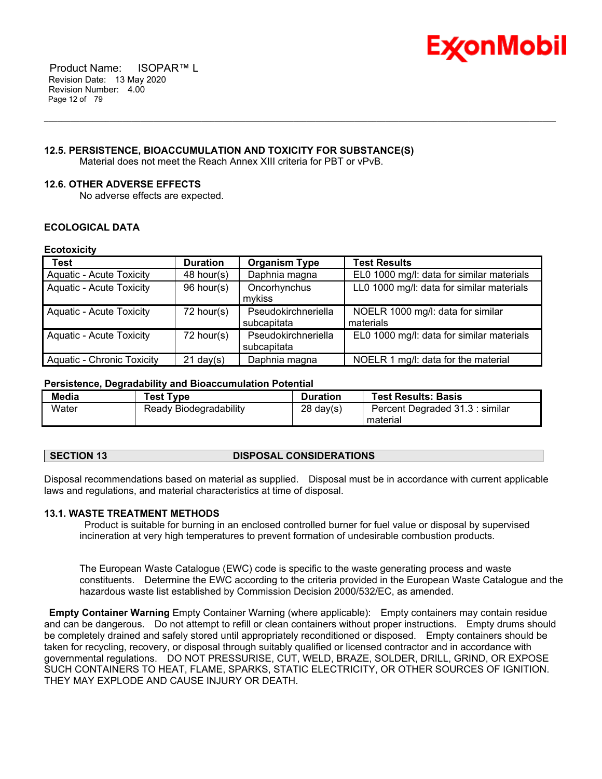

 Product Name: ISOPAR™ L Revision Date: 13 May 2020 Revision Number: 4.00 Page 12 of 79

### **12.5. PERSISTENCE, BIOACCUMULATION AND TOXICITY FOR SUBSTANCE(S)**

Material does not meet the Reach Annex XIII criteria for PBT or vPvB.

#### **12.6. OTHER ADVERSE EFFECTS**

No adverse effects are expected.

### **ECOLOGICAL DATA**

#### **Ecotoxicity**

| <b>Test</b>                     | <b>Duration</b>     | <b>Organism Type</b>               | <b>Test Results</b>                            |
|---------------------------------|---------------------|------------------------------------|------------------------------------------------|
| <b>Aquatic - Acute Toxicity</b> | 48 hour(s)          | Daphnia magna                      | EL0 1000 mg/l: data for similar materials      |
| <b>Aquatic - Acute Toxicity</b> | 96 hour(s)          | Oncorhynchus<br>mykiss             | LL0 1000 mg/l: data for similar materials      |
| Aquatic - Acute Toxicity        | 72 hour(s)          | Pseudokirchneriella<br>subcapitata | NOELR 1000 mg/l: data for similar<br>materials |
| Aquatic - Acute Toxicity        | $72$ hour(s)        | Pseudokirchneriella<br>subcapitata | EL0 1000 mg/l: data for similar materials      |
| Aquatic - Chronic Toxicity      | $21 \text{ day}(s)$ | Daphnia magna                      | NOELR 1 mg/l: data for the material            |

\_\_\_\_\_\_\_\_\_\_\_\_\_\_\_\_\_\_\_\_\_\_\_\_\_\_\_\_\_\_\_\_\_\_\_\_\_\_\_\_\_\_\_\_\_\_\_\_\_\_\_\_\_\_\_\_\_\_\_\_\_\_\_\_\_\_\_\_\_\_\_\_\_\_\_\_\_\_\_\_\_\_\_\_\_\_\_\_\_\_\_\_\_\_\_\_\_\_\_\_\_\_\_\_\_\_\_\_\_\_\_\_\_\_\_\_\_

### **Persistence, Degradability and Bioaccumulation Potential**

| Media | <b>Test Type</b>       | <b>Duration</b>     | <b>Test Results: Basis</b>      |
|-------|------------------------|---------------------|---------------------------------|
| Water | Ready Biodegradability | $28 \text{ day}(s)$ | Percent Degraded 31.3 : similar |
|       |                        |                     | material                        |

#### **SECTION 13 DISPOSAL CONSIDERATIONS**

Disposal recommendations based on material as supplied. Disposal must be in accordance with current applicable laws and regulations, and material characteristics at time of disposal.

#### **13.1. WASTE TREATMENT METHODS**

 Product is suitable for burning in an enclosed controlled burner for fuel value or disposal by supervised incineration at very high temperatures to prevent formation of undesirable combustion products.

The European Waste Catalogue (EWC) code is specific to the waste generating process and waste constituents. Determine the EWC according to the criteria provided in the European Waste Catalogue and the hazardous waste list established by Commission Decision 2000/532/EC, as amended.

**Empty Container Warning** Empty Container Warning (where applicable): Empty containers may contain residue and can be dangerous. Do not attempt to refill or clean containers without proper instructions. Empty drums should be completely drained and safely stored until appropriately reconditioned or disposed. Empty containers should be taken for recycling, recovery, or disposal through suitably qualified or licensed contractor and in accordance with governmental regulations. DO NOT PRESSURISE, CUT, WELD, BRAZE, SOLDER, DRILL, GRIND, OR EXPOSE SUCH CONTAINERS TO HEAT, FLAME, SPARKS, STATIC ELECTRICITY, OR OTHER SOURCES OF IGNITION. THEY MAY EXPLODE AND CAUSE INJURY OR DEATH.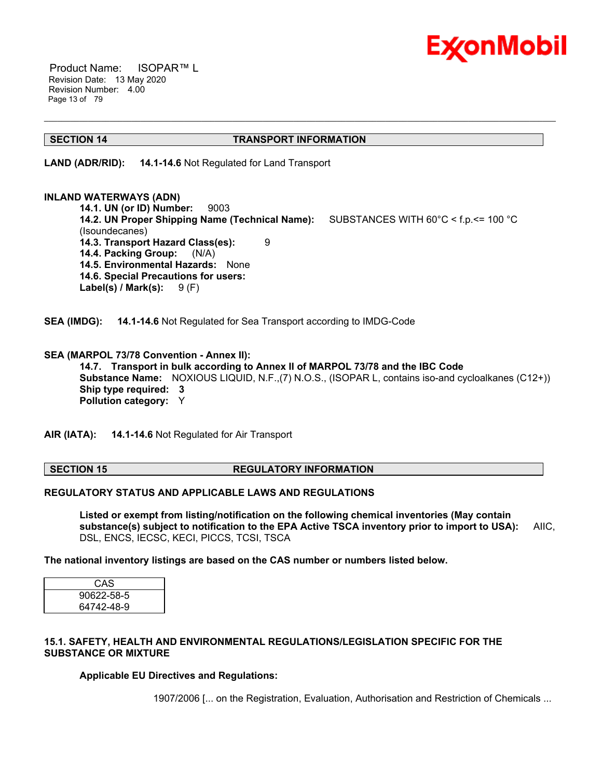

 Product Name: ISOPAR™ L Revision Date: 13 May 2020 Revision Number: 4.00 Page 13 of 79

#### **SECTION 14 TRANSPORT INFORMATION**

\_\_\_\_\_\_\_\_\_\_\_\_\_\_\_\_\_\_\_\_\_\_\_\_\_\_\_\_\_\_\_\_\_\_\_\_\_\_\_\_\_\_\_\_\_\_\_\_\_\_\_\_\_\_\_\_\_\_\_\_\_\_\_\_\_\_\_\_\_\_\_\_\_\_\_\_\_\_\_\_\_\_\_\_\_\_\_\_\_\_\_\_\_\_\_\_\_\_\_\_\_\_\_\_\_\_\_\_\_\_\_\_\_\_\_\_\_

**LAND (ADR/RID): 14.1-14.6** Not Regulated for Land Transport

#### **INLAND WATERWAYS (ADN)**

**14.1. UN (or ID) Number:** 9003 **14.2. UN Proper Shipping Name (Technical Name):** SUBSTANCES WITH 60°C < f.p.<= 100 °C (Isoundecanes) **14.3. Transport Hazard Class(es):** 9 **14.4. Packing Group:** (N/A) **14.5. Environmental Hazards:** None **14.6. Special Precautions for users: Label(s) / Mark(s):** 9 (F)

**SEA (IMDG): 14.1-14.6** Not Regulated for Sea Transport according to IMDG-Code

#### **SEA (MARPOL 73/78 Convention - Annex II):**

**14.7. Transport in bulk according to Annex II of MARPOL 73/78 and the IBC Code Substance Name:** NOXIOUS LIQUID, N.F.,(7) N.O.S., (ISOPAR L, contains iso-and cycloalkanes (C12+)) **Ship type required: 3 Pollution category:** Y

**AIR (IATA): 14.1-14.6** Not Regulated for Air Transport

**SECTION 15 REGULATORY INFORMATION**

### **REGULATORY STATUS AND APPLICABLE LAWS AND REGULATIONS**

**Listed or exempt from listing/notification on the following chemical inventories (May contain substance(s) subject to notification to the EPA Active TSCA inventory prior to import to USA):** AIIC, DSL, ENCS, IECSC, KECI, PICCS, TCSI, TSCA

**The national inventory listings are based on the CAS number or numbers listed below.**

| CAS        |  |
|------------|--|
| 90622-58-5 |  |
| 64742-48-9 |  |

#### **15.1. SAFETY, HEALTH AND ENVIRONMENTAL REGULATIONS/LEGISLATION SPECIFIC FOR THE SUBSTANCE OR MIXTURE**

#### **Applicable EU Directives and Regulations:**

1907/2006 [... on the Registration, Evaluation, Authorisation and Restriction of Chemicals ...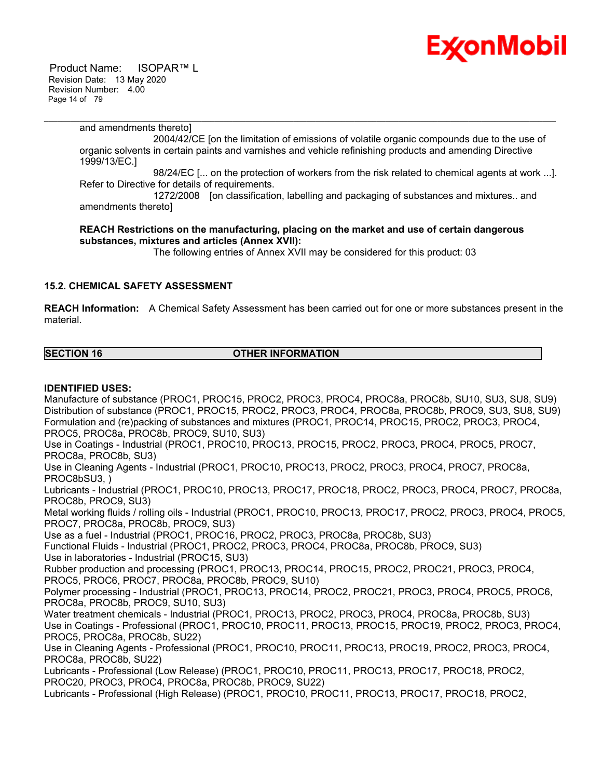

 Product Name: ISOPAR™ L Revision Date: 13 May 2020 Revision Number: 4.00 Page 14 of 79

and amendments thereto]

 2004/42/CE [on the limitation of emissions of volatile organic compounds due to the use of organic solvents in certain paints and varnishes and vehicle refinishing products and amending Directive 1999/13/EC.]

\_\_\_\_\_\_\_\_\_\_\_\_\_\_\_\_\_\_\_\_\_\_\_\_\_\_\_\_\_\_\_\_\_\_\_\_\_\_\_\_\_\_\_\_\_\_\_\_\_\_\_\_\_\_\_\_\_\_\_\_\_\_\_\_\_\_\_\_\_\_\_\_\_\_\_\_\_\_\_\_\_\_\_\_\_\_\_\_\_\_\_\_\_\_\_\_\_\_\_\_\_\_\_\_\_\_\_\_\_\_\_\_\_\_\_\_\_

 98/24/EC [... on the protection of workers from the risk related to chemical agents at work ...]. Refer to Directive for details of requirements.

 1272/2008 [on classification, labelling and packaging of substances and mixtures.. and amendments thereto]

#### **REACH Restrictions on the manufacturing, placing on the market and use of certain dangerous substances, mixtures and articles (Annex XVII):**

The following entries of Annex XVII may be considered for this product: 03

### **15.2. CHEMICAL SAFETY ASSESSMENT**

**REACH Information:** A Chemical Safety Assessment has been carried out for one or more substances present in the material.

### **SECTION 16 OTHER INFORMATION**

#### **IDENTIFIED USES:**

Manufacture of substance (PROC1, PROC15, PROC2, PROC3, PROC4, PROC8a, PROC8b, SU10, SU3, SU8, SU9) Distribution of substance (PROC1, PROC15, PROC2, PROC3, PROC4, PROC8a, PROC8b, PROC9, SU3, SU8, SU9) Formulation and (re)packing of substances and mixtures (PROC1, PROC14, PROC15, PROC2, PROC3, PROC4, PROC5, PROC8a, PROC8b, PROC9, SU10, SU3)

Use in Coatings - Industrial (PROC1, PROC10, PROC13, PROC15, PROC2, PROC3, PROC4, PROC5, PROC7, PROC8a, PROC8b, SU3)

Use in Cleaning Agents - Industrial (PROC1, PROC10, PROC13, PROC2, PROC3, PROC4, PROC7, PROC8a, PROC8bSU3, )

Lubricants - Industrial (PROC1, PROC10, PROC13, PROC17, PROC18, PROC2, PROC3, PROC4, PROC7, PROC8a, PROC8b, PROC9, SU3)

Metal working fluids / rolling oils - Industrial (PROC1, PROC10, PROC13, PROC17, PROC2, PROC3, PROC4, PROC5, PROC7, PROC8a, PROC8b, PROC9, SU3)

Use as a fuel - Industrial (PROC1, PROC16, PROC2, PROC3, PROC8a, PROC8b, SU3)

Functional Fluids - Industrial (PROC1, PROC2, PROC3, PROC4, PROC8a, PROC8b, PROC9, SU3) Use in laboratories - Industrial (PROC15, SU3)

Rubber production and processing (PROC1, PROC13, PROC14, PROC15, PROC2, PROC21, PROC3, PROC4, PROC5, PROC6, PROC7, PROC8a, PROC8b, PROC9, SU10)

Polymer processing - Industrial (PROC1, PROC13, PROC14, PROC2, PROC21, PROC3, PROC4, PROC5, PROC6, PROC8a, PROC8b, PROC9, SU10, SU3)

Water treatment chemicals - Industrial (PROC1, PROC13, PROC2, PROC3, PROC4, PROC8a, PROC8b, SU3) Use in Coatings - Professional (PROC1, PROC10, PROC11, PROC13, PROC15, PROC19, PROC2, PROC3, PROC4, PROC5, PROC8a, PROC8b, SU22)

Use in Cleaning Agents - Professional (PROC1, PROC10, PROC11, PROC13, PROC19, PROC2, PROC3, PROC4, PROC8a, PROC8b, SU22)

Lubricants - Professional (Low Release) (PROC1, PROC10, PROC11, PROC13, PROC17, PROC18, PROC2, PROC20, PROC3, PROC4, PROC8a, PROC8b, PROC9, SU22)

Lubricants - Professional (High Release) (PROC1, PROC10, PROC11, PROC13, PROC17, PROC18, PROC2,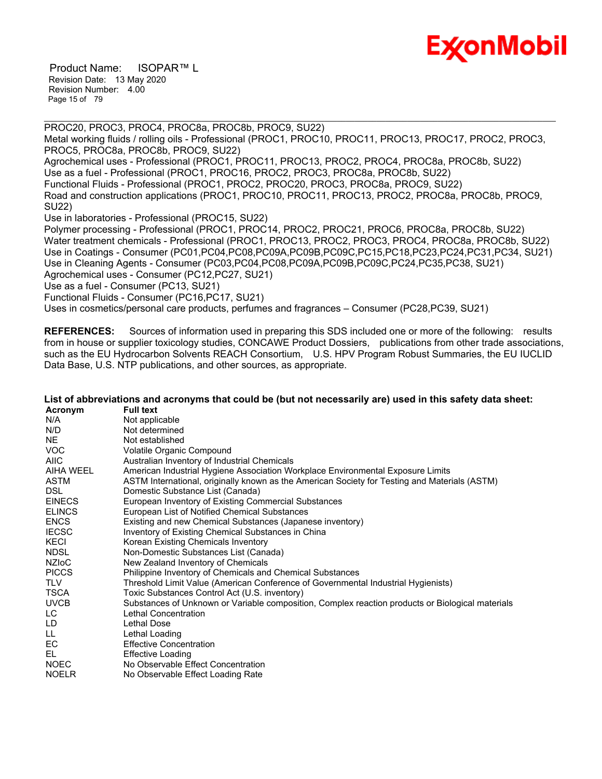

 Product Name: ISOPAR™ L Revision Date: 13 May 2020 Revision Number: 4.00 Page 15 of 79

PROC20, PROC3, PROC4, PROC8a, PROC8b, PROC9, SU22) Metal working fluids / rolling oils - Professional (PROC1, PROC10, PROC11, PROC13, PROC17, PROC2, PROC3, PROC5, PROC8a, PROC8b, PROC9, SU22) Agrochemical uses - Professional (PROC1, PROC11, PROC13, PROC2, PROC4, PROC8a, PROC8b, SU22) Use as a fuel - Professional (PROC1, PROC16, PROC2, PROC3, PROC8a, PROC8b, SU22) Functional Fluids - Professional (PROC1, PROC2, PROC20, PROC3, PROC8a, PROC9, SU22) Road and construction applications (PROC1, PROC10, PROC11, PROC13, PROC2, PROC8a, PROC8b, PROC9, SU22) Use in laboratories - Professional (PROC15, SU22) Polymer processing - Professional (PROC1, PROC14, PROC2, PROC21, PROC6, PROC8a, PROC8b, SU22) Water treatment chemicals - Professional (PROC1, PROC13, PROC2, PROC3, PROC4, PROC8a, PROC8b, SU22) Use in Coatings - Consumer (PC01,PC04,PC08,PC09A,PC09B,PC09C,PC15,PC18,PC23,PC24,PC31,PC34, SU21) Use in Cleaning Agents - Consumer (PC03,PC04,PC08,PC09A,PC09B,PC09C,PC24,PC35,PC38, SU21) Agrochemical uses - Consumer (PC12,PC27, SU21) Use as a fuel - Consumer (PC13, SU21) Functional Fluids - Consumer (PC16,PC17, SU21) Uses in cosmetics/personal care products, perfumes and fragrances – Consumer (PC28,PC39, SU21)

\_\_\_\_\_\_\_\_\_\_\_\_\_\_\_\_\_\_\_\_\_\_\_\_\_\_\_\_\_\_\_\_\_\_\_\_\_\_\_\_\_\_\_\_\_\_\_\_\_\_\_\_\_\_\_\_\_\_\_\_\_\_\_\_\_\_\_\_\_\_\_\_\_\_\_\_\_\_\_\_\_\_\_\_\_\_\_\_\_\_\_\_\_\_\_\_\_\_\_\_\_\_\_\_\_\_\_\_\_\_\_\_\_\_\_\_\_

**REFERENCES:** Sources of information used in preparing this SDS included one or more of the following: results from in house or supplier toxicology studies, CONCAWE Product Dossiers, publications from other trade associations, such as the EU Hydrocarbon Solvents REACH Consortium, U.S. HPV Program Robust Summaries, the EU IUCLID Data Base, U.S. NTP publications, and other sources, as appropriate.

|               | List of abbreviations and acronyms that could be (but not necessarily are) used in this safety data sheet: |
|---------------|------------------------------------------------------------------------------------------------------------|
| Acronym       | <b>Full text</b>                                                                                           |
| N/A           | Not applicable                                                                                             |
| N/D           | Not determined                                                                                             |
| NE.           | Not established                                                                                            |
| VOC.          | Volatile Organic Compound                                                                                  |
| <b>AIIC</b>   | Australian Inventory of Industrial Chemicals                                                               |
| AIHA WEEL     | American Industrial Hygiene Association Workplace Environmental Exposure Limits                            |
| ASTM          | ASTM International, originally known as the American Society for Testing and Materials (ASTM)              |
| DSL.          | Domestic Substance List (Canada)                                                                           |
| <b>EINECS</b> | European Inventory of Existing Commercial Substances                                                       |
| <b>ELINCS</b> | European List of Notified Chemical Substances                                                              |
| <b>ENCS</b>   | Existing and new Chemical Substances (Japanese inventory)                                                  |
| <b>IECSC</b>  | Inventory of Existing Chemical Substances in China                                                         |
| KECI          | Korean Existing Chemicals Inventory                                                                        |
| <b>NDSL</b>   | Non-Domestic Substances List (Canada)                                                                      |
| NZIoC         | New Zealand Inventory of Chemicals                                                                         |
| <b>PICCS</b>  | Philippine Inventory of Chemicals and Chemical Substances                                                  |
| TLV           | Threshold Limit Value (American Conference of Governmental Industrial Hygienists)                          |
| <b>TSCA</b>   | Toxic Substances Control Act (U.S. inventory)                                                              |
| <b>UVCB</b>   | Substances of Unknown or Variable composition, Complex reaction products or Biological materials           |
| LC            | Lethal Concentration                                                                                       |
| LD            | <b>Lethal Dose</b>                                                                                         |
| LL.           | Lethal Loading                                                                                             |
| EC            | <b>Effective Concentration</b>                                                                             |
| EL.           | <b>Effective Loading</b>                                                                                   |
| <b>NOEC</b>   | No Observable Effect Concentration                                                                         |
| <b>NOELR</b>  | No Observable Effect Loading Rate                                                                          |
|               |                                                                                                            |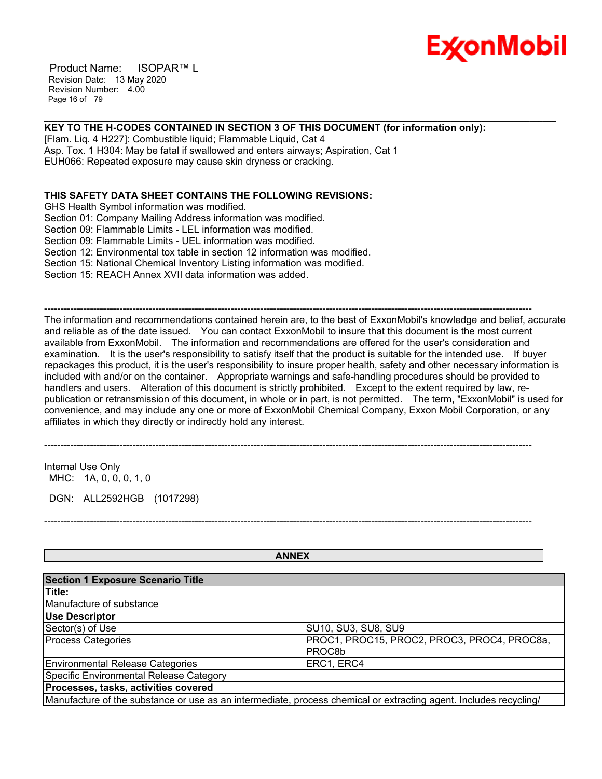

 Product Name: ISOPAR™ L Revision Date: 13 May 2020 Revision Number: 4.00 Page 16 of 79

#### \_\_\_\_\_\_\_\_\_\_\_\_\_\_\_\_\_\_\_\_\_\_\_\_\_\_\_\_\_\_\_\_\_\_\_\_\_\_\_\_\_\_\_\_\_\_\_\_\_\_\_\_\_\_\_\_\_\_\_\_\_\_\_\_\_\_\_\_\_\_\_\_\_\_\_\_\_\_\_\_\_\_\_\_\_\_\_\_\_\_\_\_\_\_\_\_\_\_\_\_\_\_\_\_\_\_\_\_\_\_\_\_\_\_\_\_\_ **KEY TO THE H-CODES CONTAINED IN SECTION 3 OF THIS DOCUMENT (for information only):**

[Flam. Liq. 4 H227]: Combustible liquid; Flammable Liquid, Cat 4 Asp. Tox. 1 H304: May be fatal if swallowed and enters airways; Aspiration, Cat 1

EUH066: Repeated exposure may cause skin dryness or cracking.

### **THIS SAFETY DATA SHEET CONTAINS THE FOLLOWING REVISIONS:**

GHS Health Symbol information was modified.

Section 01: Company Mailing Address information was modified.

Section 09: Flammable Limits - LEL information was modified.

Section 09: Flammable Limits - UEL information was modified.

Section 12: Environmental tox table in section 12 information was modified.

Section 15: National Chemical Inventory Listing information was modified.

Section 15: REACH Annex XVII data information was added.

----------------------------------------------------------------------------------------------------------------------------------------------------- The information and recommendations contained herein are, to the best of ExxonMobil's knowledge and belief, accurate and reliable as of the date issued. You can contact ExxonMobil to insure that this document is the most current available from ExxonMobil. The information and recommendations are offered for the user's consideration and examination. It is the user's responsibility to satisfy itself that the product is suitable for the intended use. If buyer repackages this product, it is the user's responsibility to insure proper health, safety and other necessary information is included with and/or on the container. Appropriate warnings and safe-handling procedures should be provided to handlers and users. Alteration of this document is strictly prohibited. Except to the extent required by law, republication or retransmission of this document, in whole or in part, is not permitted. The term, "ExxonMobil" is used for convenience, and may include any one or more of ExxonMobil Chemical Company, Exxon Mobil Corporation, or any affiliates in which they directly or indirectly hold any interest.

-----------------------------------------------------------------------------------------------------------------------------------------------------

-----------------------------------------------------------------------------------------------------------------------------------------------------

Internal Use Only MHC: 1A, 0, 0, 0, 1, 0

DGN: ALL2592HGB (1017298)

| <b>ANNEX</b>                                                                                                      |                                             |  |
|-------------------------------------------------------------------------------------------------------------------|---------------------------------------------|--|
|                                                                                                                   |                                             |  |
| <b>Section 1 Exposure Scenario Title</b>                                                                          |                                             |  |
| Title:                                                                                                            |                                             |  |
| Manufacture of substance                                                                                          |                                             |  |
| <b>Use Descriptor</b>                                                                                             |                                             |  |
| Sector(s) of Use                                                                                                  | SU10, SU3, SU8, SU9                         |  |
| Process Categories                                                                                                | PROC1, PROC15, PROC2, PROC3, PROC4, PROC8a, |  |
|                                                                                                                   | PROC8b                                      |  |
| Environmental Release Categories                                                                                  | ERC1, ERC4                                  |  |
| Specific Environmental Release Category                                                                           |                                             |  |
| Processes, tasks, activities covered                                                                              |                                             |  |
| Manufacture of the substance or use as an intermediate, process chemical or extracting agent. Includes recycling/ |                                             |  |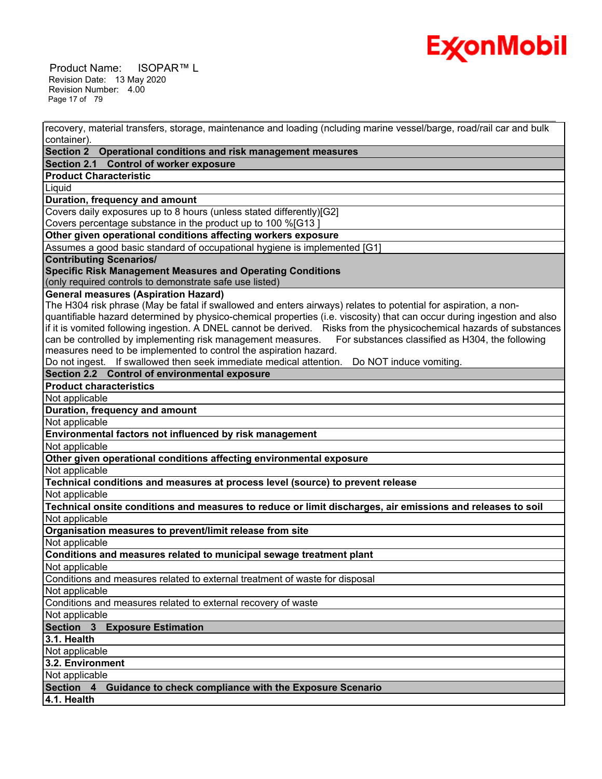

 Product Name: ISOPAR™ L Revision Date: 13 May 2020 Revision Number: 4.00 Page 17 of 79

| recovery, material transfers, storage, maintenance and loading (ncluding marine vessel/barge, road/rail car and bulk    |
|-------------------------------------------------------------------------------------------------------------------------|
| container).                                                                                                             |
| <b>Section 2</b><br>Operational conditions and risk management measures                                                 |
| Section 2.1 Control of worker exposure                                                                                  |
| <b>Product Characteristic</b>                                                                                           |
| Liquid                                                                                                                  |
| Duration, frequency and amount                                                                                          |
| Covers daily exposures up to 8 hours (unless stated differently)[G2]                                                    |
| Covers percentage substance in the product up to 100 %[G13]                                                             |
| Other given operational conditions affecting workers exposure                                                           |
| Assumes a good basic standard of occupational hygiene is implemented [G1]                                               |
| <b>Contributing Scenarios/</b>                                                                                          |
| <b>Specific Risk Management Measures and Operating Conditions</b>                                                       |
| (only required controls to demonstrate safe use listed)                                                                 |
| <b>General measures (Aspiration Hazard)</b>                                                                             |
| The H304 risk phrase (May be fatal if swallowed and enters airways) relates to potential for aspiration, a non-         |
| quantifiable hazard determined by physico-chemical properties (i.e. viscosity) that can occur during ingestion and also |
| if it is vomited following ingestion. A DNEL cannot be derived. Risks from the physicochemical hazards of substances    |
| can be controlled by implementing risk management measures. For substances classified as H304, the following            |
| measures need to be implemented to control the aspiration hazard.                                                       |
| Do not ingest. If swallowed then seek immediate medical attention. Do NOT induce vomiting.                              |
| Section 2.2 Control of environmental exposure                                                                           |
| <b>Product characteristics</b>                                                                                          |
| Not applicable                                                                                                          |
| Duration, frequency and amount                                                                                          |
| Not applicable                                                                                                          |
| Environmental factors not influenced by risk management                                                                 |
| Not applicable                                                                                                          |
| Other given operational conditions affecting environmental exposure                                                     |
| Not applicable                                                                                                          |
| Technical conditions and measures at process level (source) to prevent release                                          |
| Not applicable                                                                                                          |
| Technical onsite conditions and measures to reduce or limit discharges, air emissions and releases to soil              |
| Not applicable                                                                                                          |
| Organisation measures to prevent/limit release from site                                                                |
| Not applicable                                                                                                          |
| Conditions and measures related to municipal sewage treatment plant                                                     |
| Not applicable                                                                                                          |
| Conditions and measures related to external treatment of waste for disposal                                             |
| Not applicable                                                                                                          |
| Conditions and measures related to external recovery of waste                                                           |
| Not applicable                                                                                                          |
| Section 3 Exposure Estimation                                                                                           |
| 3.1. Health                                                                                                             |
| Not applicable                                                                                                          |
| 3.2. Environment                                                                                                        |
| Not applicable                                                                                                          |
| Guidance to check compliance with the Exposure Scenario<br>Section 4                                                    |
| 4.1. Health                                                                                                             |
|                                                                                                                         |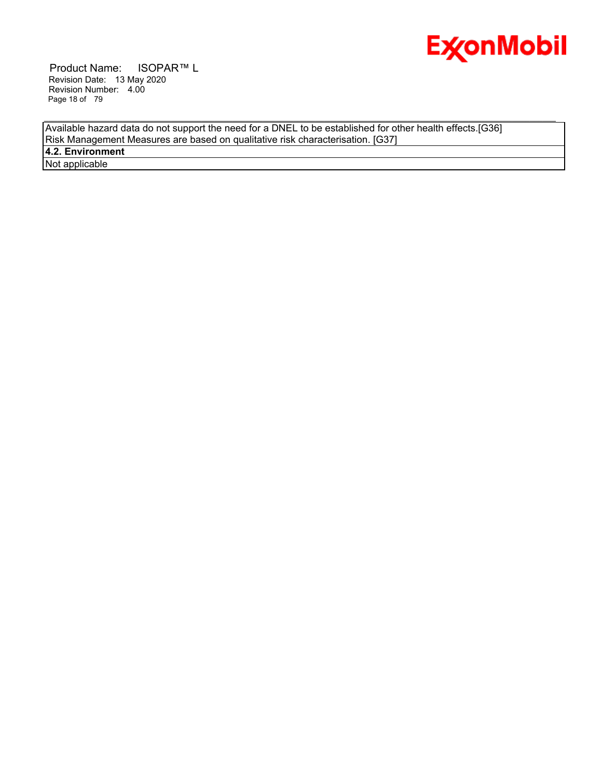

 Product Name: ISOPAR™ L Revision Date: 13 May 2020 Revision Number: 4.00 Page 18 of 79

Available hazard data do not support the need for a DNEL to be established for other health effects.[G36] Risk Management Measures are based on qualitative risk characterisation. [G37] **4.2. Environment**

\_\_\_\_\_\_\_\_\_\_\_\_\_\_\_\_\_\_\_\_\_\_\_\_\_\_\_\_\_\_\_\_\_\_\_\_\_\_\_\_\_\_\_\_\_\_\_\_\_\_\_\_\_\_\_\_\_\_\_\_\_\_\_\_\_\_\_\_\_\_\_\_\_\_\_\_\_\_\_\_\_\_\_\_\_\_\_\_\_\_\_\_\_\_\_\_\_\_\_\_\_\_\_\_\_\_\_\_\_\_\_\_\_\_\_\_\_

Not applicable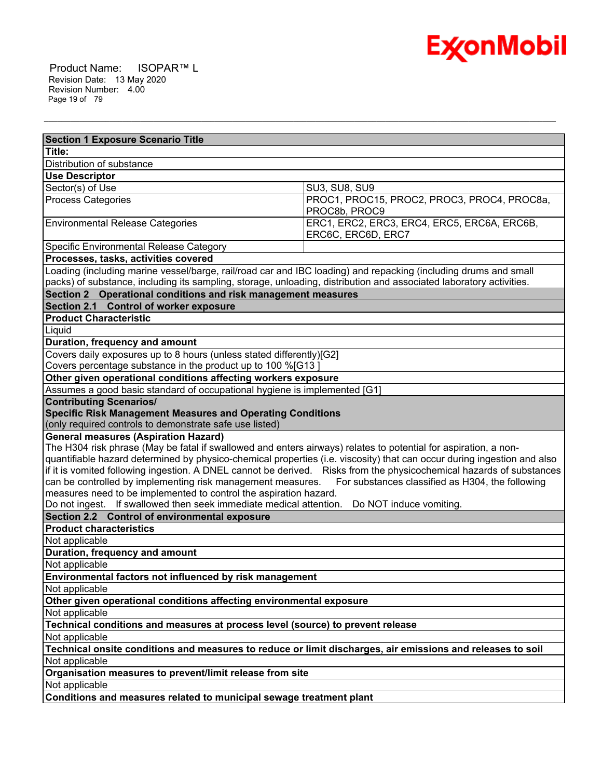

 Product Name: ISOPAR™ L Revision Date: 13 May 2020 Revision Number: 4.00 Page 19 of 79

| <b>Section 1 Exposure Scenario Title</b>                                                                                                                                                                                                                                                                                                                                                                                                                                                                                                                                                                                                                                                                |                                                                   |  |
|---------------------------------------------------------------------------------------------------------------------------------------------------------------------------------------------------------------------------------------------------------------------------------------------------------------------------------------------------------------------------------------------------------------------------------------------------------------------------------------------------------------------------------------------------------------------------------------------------------------------------------------------------------------------------------------------------------|-------------------------------------------------------------------|--|
| Title:                                                                                                                                                                                                                                                                                                                                                                                                                                                                                                                                                                                                                                                                                                  |                                                                   |  |
| Distribution of substance                                                                                                                                                                                                                                                                                                                                                                                                                                                                                                                                                                                                                                                                               |                                                                   |  |
| <b>Use Descriptor</b>                                                                                                                                                                                                                                                                                                                                                                                                                                                                                                                                                                                                                                                                                   |                                                                   |  |
| Sector(s) of Use                                                                                                                                                                                                                                                                                                                                                                                                                                                                                                                                                                                                                                                                                        | <b>SU3, SU8, SU9</b>                                              |  |
| <b>Process Categories</b>                                                                                                                                                                                                                                                                                                                                                                                                                                                                                                                                                                                                                                                                               | PROC1, PROC15, PROC2, PROC3, PROC4, PROC8a,<br>PROC8b, PROC9      |  |
| <b>Environmental Release Categories</b>                                                                                                                                                                                                                                                                                                                                                                                                                                                                                                                                                                                                                                                                 | ERC1, ERC2, ERC3, ERC4, ERC5, ERC6A, ERC6B,<br>ERC6C, ERC6D, ERC7 |  |
| Specific Environmental Release Category                                                                                                                                                                                                                                                                                                                                                                                                                                                                                                                                                                                                                                                                 |                                                                   |  |
| Processes, tasks, activities covered                                                                                                                                                                                                                                                                                                                                                                                                                                                                                                                                                                                                                                                                    |                                                                   |  |
| Loading (including marine vessel/barge, rail/road car and IBC loading) and repacking (including drums and small<br>packs) of substance, including its sampling, storage, unloading, distribution and associated laboratory activities.                                                                                                                                                                                                                                                                                                                                                                                                                                                                  |                                                                   |  |
| Section 2 Operational conditions and risk management measures                                                                                                                                                                                                                                                                                                                                                                                                                                                                                                                                                                                                                                           |                                                                   |  |
| Section 2.1 Control of worker exposure                                                                                                                                                                                                                                                                                                                                                                                                                                                                                                                                                                                                                                                                  |                                                                   |  |
| <b>Product Characteristic</b>                                                                                                                                                                                                                                                                                                                                                                                                                                                                                                                                                                                                                                                                           |                                                                   |  |
| Liquid                                                                                                                                                                                                                                                                                                                                                                                                                                                                                                                                                                                                                                                                                                  |                                                                   |  |
| Duration, frequency and amount                                                                                                                                                                                                                                                                                                                                                                                                                                                                                                                                                                                                                                                                          |                                                                   |  |
| Covers daily exposures up to 8 hours (unless stated differently)[G2]                                                                                                                                                                                                                                                                                                                                                                                                                                                                                                                                                                                                                                    |                                                                   |  |
| Covers percentage substance in the product up to 100 %[G13]                                                                                                                                                                                                                                                                                                                                                                                                                                                                                                                                                                                                                                             |                                                                   |  |
| Other given operational conditions affecting workers exposure                                                                                                                                                                                                                                                                                                                                                                                                                                                                                                                                                                                                                                           |                                                                   |  |
| Assumes a good basic standard of occupational hygiene is implemented [G1]                                                                                                                                                                                                                                                                                                                                                                                                                                                                                                                                                                                                                               |                                                                   |  |
| <b>Contributing Scenarios/</b><br><b>Specific Risk Management Measures and Operating Conditions</b><br>(only required controls to demonstrate safe use listed)                                                                                                                                                                                                                                                                                                                                                                                                                                                                                                                                          |                                                                   |  |
| <b>General measures (Aspiration Hazard)</b><br>The H304 risk phrase (May be fatal if swallowed and enters airways) relates to potential for aspiration, a non-<br>quantifiable hazard determined by physico-chemical properties (i.e. viscosity) that can occur during ingestion and also<br>if it is vomited following ingestion. A DNEL cannot be derived. Risks from the physicochemical hazards of substances<br>can be controlled by implementing risk management measures.<br>For substances classified as H304, the following<br>measures need to be implemented to control the aspiration hazard.<br>Do not ingest. If swallowed then seek immediate medical attention. Do NOT induce vomiting. |                                                                   |  |
| Section 2.2 Control of environmental exposure                                                                                                                                                                                                                                                                                                                                                                                                                                                                                                                                                                                                                                                           |                                                                   |  |
| <b>Product characteristics</b>                                                                                                                                                                                                                                                                                                                                                                                                                                                                                                                                                                                                                                                                          |                                                                   |  |
| Not applicable                                                                                                                                                                                                                                                                                                                                                                                                                                                                                                                                                                                                                                                                                          |                                                                   |  |
| Duration, frequency and amount                                                                                                                                                                                                                                                                                                                                                                                                                                                                                                                                                                                                                                                                          |                                                                   |  |
| Not applicable                                                                                                                                                                                                                                                                                                                                                                                                                                                                                                                                                                                                                                                                                          |                                                                   |  |
| Environmental factors not influenced by risk management                                                                                                                                                                                                                                                                                                                                                                                                                                                                                                                                                                                                                                                 |                                                                   |  |
| Not applicable                                                                                                                                                                                                                                                                                                                                                                                                                                                                                                                                                                                                                                                                                          |                                                                   |  |
| Other given operational conditions affecting environmental exposure                                                                                                                                                                                                                                                                                                                                                                                                                                                                                                                                                                                                                                     |                                                                   |  |
| Not applicable                                                                                                                                                                                                                                                                                                                                                                                                                                                                                                                                                                                                                                                                                          |                                                                   |  |
| Technical conditions and measures at process level (source) to prevent release                                                                                                                                                                                                                                                                                                                                                                                                                                                                                                                                                                                                                          |                                                                   |  |
| Not applicable                                                                                                                                                                                                                                                                                                                                                                                                                                                                                                                                                                                                                                                                                          |                                                                   |  |
| Technical onsite conditions and measures to reduce or limit discharges, air emissions and releases to soil                                                                                                                                                                                                                                                                                                                                                                                                                                                                                                                                                                                              |                                                                   |  |
| Not applicable                                                                                                                                                                                                                                                                                                                                                                                                                                                                                                                                                                                                                                                                                          |                                                                   |  |
| Organisation measures to prevent/limit release from site                                                                                                                                                                                                                                                                                                                                                                                                                                                                                                                                                                                                                                                |                                                                   |  |
| Not applicable                                                                                                                                                                                                                                                                                                                                                                                                                                                                                                                                                                                                                                                                                          |                                                                   |  |
| Conditions and measures related to municipal sewage treatment plant                                                                                                                                                                                                                                                                                                                                                                                                                                                                                                                                                                                                                                     |                                                                   |  |
|                                                                                                                                                                                                                                                                                                                                                                                                                                                                                                                                                                                                                                                                                                         |                                                                   |  |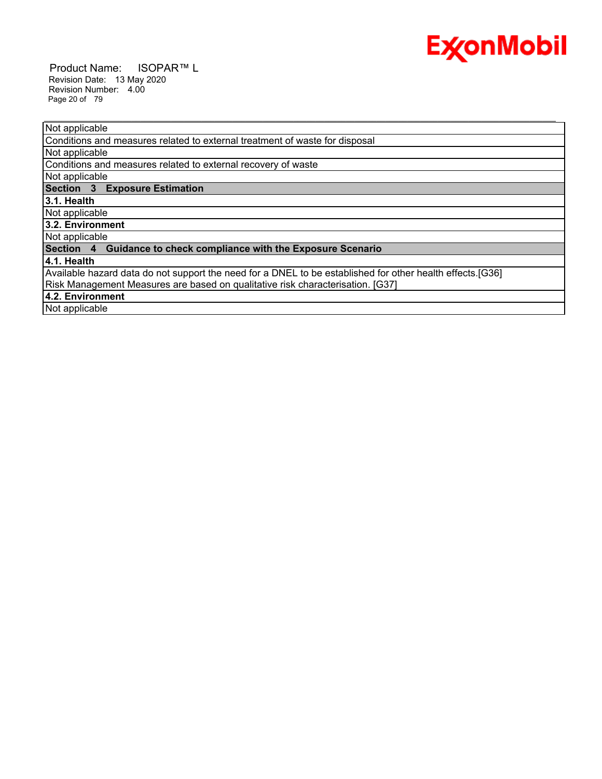

 Product Name: ISOPAR™ L Revision Date: 13 May 2020 Revision Number: 4.00 Page 20 of 79

| Not applicable                                                                                            |  |  |
|-----------------------------------------------------------------------------------------------------------|--|--|
| Conditions and measures related to external treatment of waste for disposal                               |  |  |
| Not applicable                                                                                            |  |  |
| Conditions and measures related to external recovery of waste                                             |  |  |
| Not applicable                                                                                            |  |  |
| Section 3 Exposure Estimation                                                                             |  |  |
| 3.1. Health                                                                                               |  |  |
| Not applicable                                                                                            |  |  |
| 3.2. Environment                                                                                          |  |  |
| Not applicable                                                                                            |  |  |
| Section 4 Guidance to check compliance with the Exposure Scenario                                         |  |  |
| <b>4.1. Health</b>                                                                                        |  |  |
| Available hazard data do not support the need for a DNEL to be established for other health effects.[G36] |  |  |
| Risk Management Measures are based on qualitative risk characterisation. [G37]                            |  |  |
| 4.2. Environment                                                                                          |  |  |
| Not applicable                                                                                            |  |  |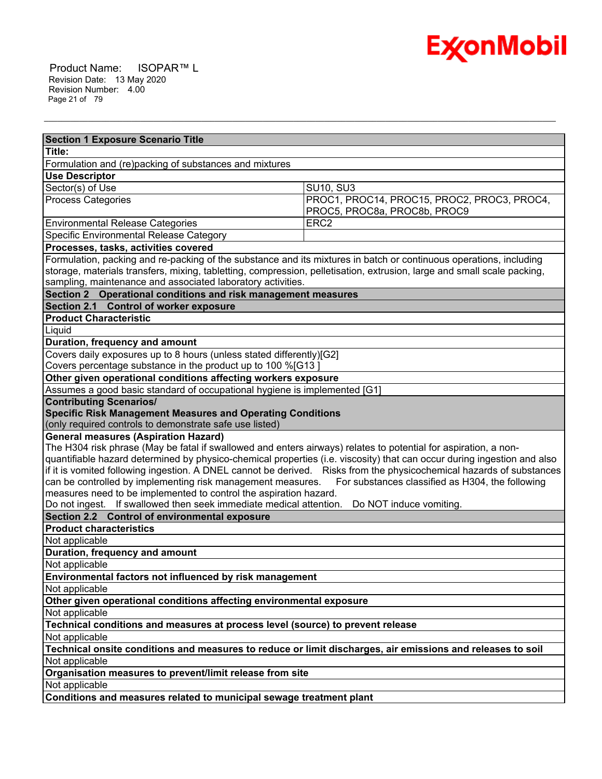

 Product Name: ISOPAR™ L Revision Date: 13 May 2020 Revision Number: 4.00 Page 21 of 79

| Title:<br>Sector(s) of Use                                                                                              |                                                  |  |
|-------------------------------------------------------------------------------------------------------------------------|--------------------------------------------------|--|
| Formulation and (re)packing of substances and mixtures<br><b>Use Descriptor</b><br><b>Process Categories</b>            |                                                  |  |
|                                                                                                                         |                                                  |  |
|                                                                                                                         |                                                  |  |
|                                                                                                                         | <b>SU10, SU3</b>                                 |  |
|                                                                                                                         | PROC1, PROC14, PROC15, PROC2, PROC3, PROC4,      |  |
|                                                                                                                         | PROC5, PROC8a, PROC8b, PROC9                     |  |
| <b>Environmental Release Categories</b>                                                                                 | ERC <sub>2</sub>                                 |  |
| Specific Environmental Release Category                                                                                 |                                                  |  |
| Processes, tasks, activities covered                                                                                    |                                                  |  |
| Formulation, packing and re-packing of the substance and its mixtures in batch or continuous operations, including      |                                                  |  |
| storage, materials transfers, mixing, tabletting, compression, pelletisation, extrusion, large and small scale packing, |                                                  |  |
| sampling, maintenance and associated laboratory activities.                                                             |                                                  |  |
| Section 2 Operational conditions and risk management measures                                                           |                                                  |  |
| Section 2.1 Control of worker exposure                                                                                  |                                                  |  |
| <b>Product Characteristic</b>                                                                                           |                                                  |  |
| Liquid                                                                                                                  |                                                  |  |
| Duration, frequency and amount                                                                                          |                                                  |  |
| Covers daily exposures up to 8 hours (unless stated differently)[G2]                                                    |                                                  |  |
| Covers percentage substance in the product up to 100 %[G13]                                                             |                                                  |  |
| Other given operational conditions affecting workers exposure                                                           |                                                  |  |
| Assumes a good basic standard of occupational hygiene is implemented [G1]                                               |                                                  |  |
| <b>Contributing Scenarios/</b>                                                                                          |                                                  |  |
| <b>Specific Risk Management Measures and Operating Conditions</b>                                                       |                                                  |  |
| (only required controls to demonstrate safe use listed)                                                                 |                                                  |  |
| <b>General measures (Aspiration Hazard)</b>                                                                             |                                                  |  |
| The H304 risk phrase (May be fatal if swallowed and enters airways) relates to potential for aspiration, a non-         |                                                  |  |
| quantifiable hazard determined by physico-chemical properties (i.e. viscosity) that can occur during ingestion and also |                                                  |  |
| if it is vomited following ingestion. A DNEL cannot be derived. Risks from the physicochemical hazards of substances    |                                                  |  |
|                                                                                                                         |                                                  |  |
| can be controlled by implementing risk management measures.                                                             | For substances classified as H304, the following |  |
| measures need to be implemented to control the aspiration hazard.                                                       |                                                  |  |
| Do not ingest. If swallowed then seek immediate medical attention. Do NOT induce vomiting.                              |                                                  |  |
| Section 2.2 Control of environmental exposure                                                                           |                                                  |  |
| <b>Product characteristics</b>                                                                                          |                                                  |  |
| Not applicable                                                                                                          |                                                  |  |
| Duration, frequency and amount                                                                                          |                                                  |  |
| Not applicable                                                                                                          |                                                  |  |
| Environmental factors not influenced by risk management                                                                 |                                                  |  |
| Not applicable                                                                                                          |                                                  |  |
| Other given operational conditions affecting environmental exposure                                                     |                                                  |  |
| Not applicable                                                                                                          |                                                  |  |
| Technical conditions and measures at process level (source) to prevent release                                          |                                                  |  |
| Not applicable                                                                                                          |                                                  |  |
| Technical onsite conditions and measures to reduce or limit discharges, air emissions and releases to soil              |                                                  |  |
| Not applicable                                                                                                          |                                                  |  |
| Organisation measures to prevent/limit release from site                                                                |                                                  |  |
| Not applicable<br>Conditions and measures related to municipal sewage treatment plant                                   |                                                  |  |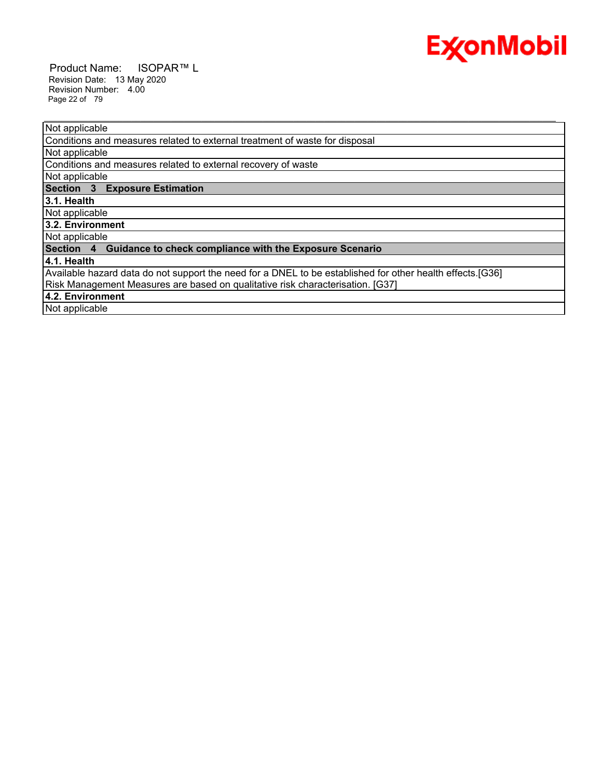

 Product Name: ISOPAR™ L Revision Date: 13 May 2020 Revision Number: 4.00 Page 22 of 79

| Not applicable                                                                                            |  |
|-----------------------------------------------------------------------------------------------------------|--|
| Conditions and measures related to external treatment of waste for disposal                               |  |
| Not applicable                                                                                            |  |
| Conditions and measures related to external recovery of waste                                             |  |
| Not applicable                                                                                            |  |
| <b>Section 3 Exposure Estimation</b>                                                                      |  |
| 3.1. Health                                                                                               |  |
| Not applicable                                                                                            |  |
| 3.2. Environment                                                                                          |  |
| Not applicable                                                                                            |  |
| Section 4 Guidance to check compliance with the Exposure Scenario                                         |  |
| ∣4.1. Health                                                                                              |  |
| Available hazard data do not support the need for a DNEL to be established for other health effects.[G36] |  |
| Risk Management Measures are based on qualitative risk characterisation. [G37]                            |  |
| 4.2. Environment                                                                                          |  |
| Not applicable                                                                                            |  |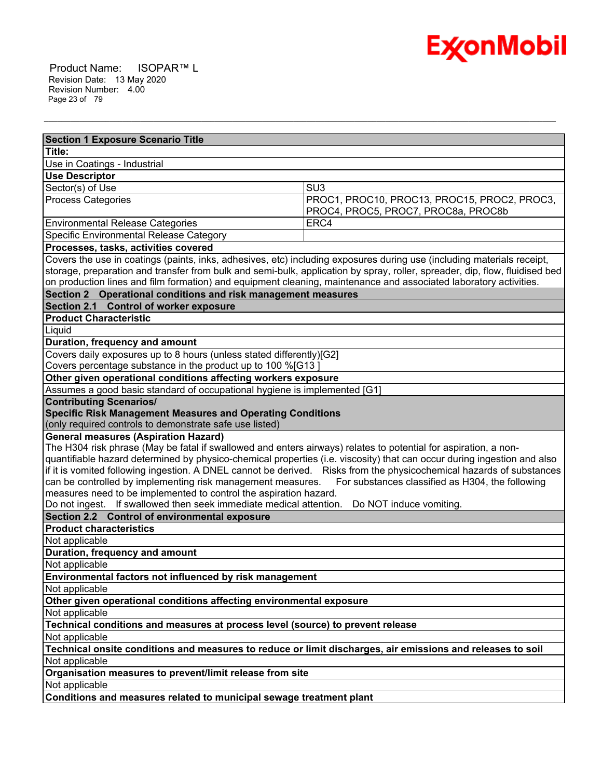

 Product Name: ISOPAR™ L Revision Date: 13 May 2020 Revision Number: 4.00 Page 23 of 79

| <b>Section 1 Exposure Scenario Title</b>                                                                                    |                                                  |  |
|-----------------------------------------------------------------------------------------------------------------------------|--------------------------------------------------|--|
| Title:                                                                                                                      |                                                  |  |
| Use in Coatings - Industrial                                                                                                |                                                  |  |
| <b>Use Descriptor</b>                                                                                                       |                                                  |  |
| Sector(s) of Use                                                                                                            | SU <sub>3</sub>                                  |  |
| <b>Process Categories</b>                                                                                                   | PROC1, PROC10, PROC13, PROC15, PROC2, PROC3,     |  |
|                                                                                                                             | PROC4, PROC5, PROC7, PROC8a, PROC8b              |  |
| <b>Environmental Release Categories</b>                                                                                     | ERC4                                             |  |
| Specific Environmental Release Category                                                                                     |                                                  |  |
| Processes, tasks, activities covered                                                                                        |                                                  |  |
| Covers the use in coatings (paints, inks, adhesives, etc) including exposures during use (including materials receipt,      |                                                  |  |
| storage, preparation and transfer from bulk and semi-bulk, application by spray, roller, spreader, dip, flow, fluidised bed |                                                  |  |
| on production lines and film formation) and equipment cleaning, maintenance and associated laboratory activities.           |                                                  |  |
| Section 2 Operational conditions and risk management measures                                                               |                                                  |  |
| Section 2.1 Control of worker exposure                                                                                      |                                                  |  |
| <b>Product Characteristic</b>                                                                                               |                                                  |  |
| Liquid                                                                                                                      |                                                  |  |
| Duration, frequency and amount                                                                                              |                                                  |  |
| Covers daily exposures up to 8 hours (unless stated differently)[G2]                                                        |                                                  |  |
| Covers percentage substance in the product up to 100 %[G13]                                                                 |                                                  |  |
| Other given operational conditions affecting workers exposure                                                               |                                                  |  |
| Assumes a good basic standard of occupational hygiene is implemented [G1]                                                   |                                                  |  |
| <b>Contributing Scenarios/</b>                                                                                              |                                                  |  |
| <b>Specific Risk Management Measures and Operating Conditions</b>                                                           |                                                  |  |
| (only required controls to demonstrate safe use listed)                                                                     |                                                  |  |
| <b>General measures (Aspiration Hazard)</b>                                                                                 |                                                  |  |
| The H304 risk phrase (May be fatal if swallowed and enters airways) relates to potential for aspiration, a non-             |                                                  |  |
| quantifiable hazard determined by physico-chemical properties (i.e. viscosity) that can occur during ingestion and also     |                                                  |  |
| if it is vomited following ingestion. A DNEL cannot be derived. Risks from the physicochemical hazards of substances        |                                                  |  |
| can be controlled by implementing risk management measures.                                                                 | For substances classified as H304, the following |  |
| measures need to be implemented to control the aspiration hazard.                                                           |                                                  |  |
| Do not ingest. If swallowed then seek immediate medical attention.                                                          | Do NOT induce vomiting.                          |  |
| Section 2.2 Control of environmental exposure                                                                               |                                                  |  |
| <b>Product characteristics</b>                                                                                              |                                                  |  |
| Not applicable                                                                                                              |                                                  |  |
| Duration, frequency and amount                                                                                              |                                                  |  |
| Not applicable                                                                                                              |                                                  |  |
| Environmental factors not influenced by risk management                                                                     |                                                  |  |
| Not applicable                                                                                                              |                                                  |  |
| Other given operational conditions affecting environmental exposure                                                         |                                                  |  |
| Not applicable                                                                                                              |                                                  |  |
| Technical conditions and measures at process level (source) to prevent release                                              |                                                  |  |
| Not applicable                                                                                                              |                                                  |  |
| Technical onsite conditions and measures to reduce or limit discharges, air emissions and releases to soil                  |                                                  |  |
| Not applicable                                                                                                              |                                                  |  |
| Organisation measures to prevent/limit release from site                                                                    |                                                  |  |
| Not applicable                                                                                                              |                                                  |  |
| Conditions and measures related to municipal sewage treatment plant                                                         |                                                  |  |
|                                                                                                                             |                                                  |  |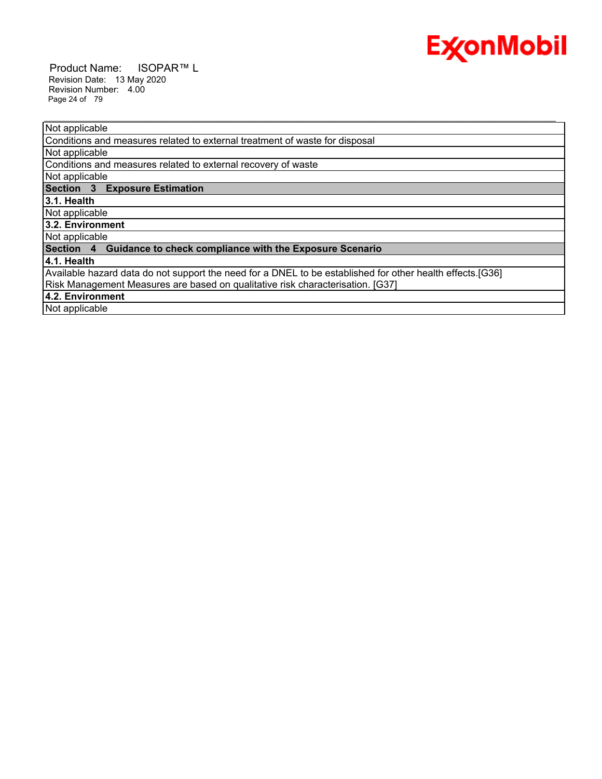

 Product Name: ISOPAR™ L Revision Date: 13 May 2020 Revision Number: 4.00 Page 24 of 79

| Not applicable                                                                                            |  |  |
|-----------------------------------------------------------------------------------------------------------|--|--|
| Conditions and measures related to external treatment of waste for disposal                               |  |  |
| Not applicable                                                                                            |  |  |
| Conditions and measures related to external recovery of waste                                             |  |  |
| Not applicable                                                                                            |  |  |
| Section 3 Exposure Estimation                                                                             |  |  |
| 3.1. Health                                                                                               |  |  |
| Not applicable                                                                                            |  |  |
| 3.2. Environment                                                                                          |  |  |
| Not applicable                                                                                            |  |  |
| Section 4 Guidance to check compliance with the Exposure Scenario                                         |  |  |
| <b>4.1. Health</b>                                                                                        |  |  |
| Available hazard data do not support the need for a DNEL to be established for other health effects.[G36] |  |  |
| Risk Management Measures are based on qualitative risk characterisation. [G37]                            |  |  |
| 4.2. Environment                                                                                          |  |  |
| Not applicable                                                                                            |  |  |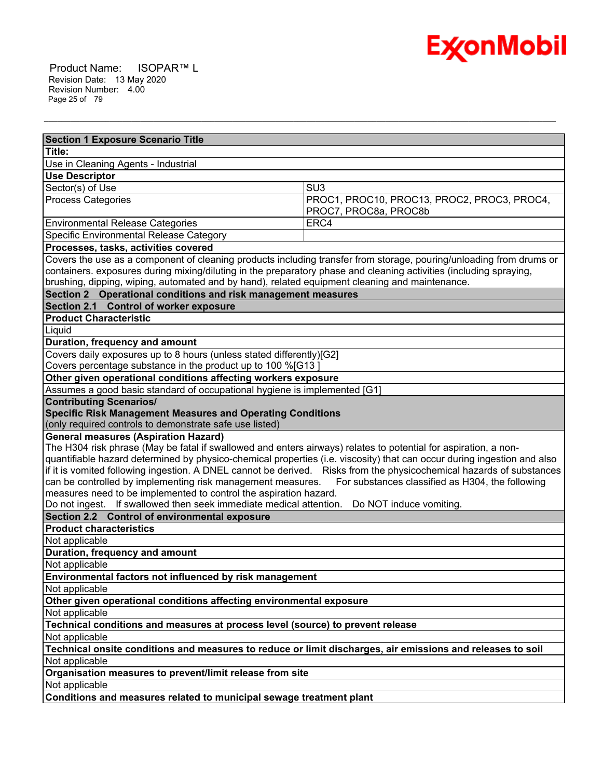

 Product Name: ISOPAR™ L Revision Date: 13 May 2020 Revision Number: 4.00 Page 25 of 79

| <b>Section 1 Exposure Scenario Title</b>                                                                                |                                                  |  |
|-------------------------------------------------------------------------------------------------------------------------|--------------------------------------------------|--|
| Title:                                                                                                                  |                                                  |  |
| Use in Cleaning Agents - Industrial                                                                                     |                                                  |  |
| <b>Use Descriptor</b>                                                                                                   |                                                  |  |
| Sector(s) of Use                                                                                                        | SU <sub>3</sub>                                  |  |
| <b>Process Categories</b>                                                                                               | PROC1, PROC10, PROC13, PROC2, PROC3, PROC4,      |  |
|                                                                                                                         | PROC7, PROC8a, PROC8b                            |  |
| <b>Environmental Release Categories</b>                                                                                 | ERC4                                             |  |
| Specific Environmental Release Category                                                                                 |                                                  |  |
| Processes, tasks, activities covered                                                                                    |                                                  |  |
| Covers the use as a component of cleaning products including transfer from storage, pouring/unloading from drums or     |                                                  |  |
| containers. exposures during mixing/diluting in the preparatory phase and cleaning activities (including spraying,      |                                                  |  |
| brushing, dipping, wiping, automated and by hand), related equipment cleaning and maintenance.                          |                                                  |  |
| Section 2 Operational conditions and risk management measures                                                           |                                                  |  |
| Section 2.1 Control of worker exposure                                                                                  |                                                  |  |
| <b>Product Characteristic</b>                                                                                           |                                                  |  |
| Liquid                                                                                                                  |                                                  |  |
| Duration, frequency and amount                                                                                          |                                                  |  |
| Covers daily exposures up to 8 hours (unless stated differently)[G2]                                                    |                                                  |  |
| Covers percentage substance in the product up to 100 %[G13]                                                             |                                                  |  |
| Other given operational conditions affecting workers exposure                                                           |                                                  |  |
| Assumes a good basic standard of occupational hygiene is implemented [G1]                                               |                                                  |  |
| <b>Contributing Scenarios/</b>                                                                                          |                                                  |  |
| <b>Specific Risk Management Measures and Operating Conditions</b>                                                       |                                                  |  |
| (only required controls to demonstrate safe use listed)                                                                 |                                                  |  |
| <b>General measures (Aspiration Hazard)</b>                                                                             |                                                  |  |
| The H304 risk phrase (May be fatal if swallowed and enters airways) relates to potential for aspiration, a non-         |                                                  |  |
| quantifiable hazard determined by physico-chemical properties (i.e. viscosity) that can occur during ingestion and also |                                                  |  |
| if it is vomited following ingestion. A DNEL cannot be derived. Risks from the physicochemical hazards of substances    |                                                  |  |
| can be controlled by implementing risk management measures.                                                             | For substances classified as H304, the following |  |
| measures need to be implemented to control the aspiration hazard.                                                       |                                                  |  |
| Do not ingest. If swallowed then seek immediate medical attention. Do NOT induce vomiting.                              |                                                  |  |
| Section 2.2 Control of environmental exposure                                                                           |                                                  |  |
| <b>Product characteristics</b>                                                                                          |                                                  |  |
| Not applicable                                                                                                          |                                                  |  |
| Duration, frequency and amount                                                                                          |                                                  |  |
| Not applicable                                                                                                          |                                                  |  |
|                                                                                                                         |                                                  |  |
| Environmental factors not influenced by risk management                                                                 |                                                  |  |
| Not applicable                                                                                                          |                                                  |  |
| Other given operational conditions affecting environmental exposure                                                     |                                                  |  |
| Not applicable                                                                                                          |                                                  |  |
| Technical conditions and measures at process level (source) to prevent release                                          |                                                  |  |
| Not applicable                                                                                                          |                                                  |  |
| Technical onsite conditions and measures to reduce or limit discharges, air emissions and releases to soil              |                                                  |  |
| Not applicable                                                                                                          |                                                  |  |
| Organisation measures to prevent/limit release from site                                                                |                                                  |  |
| Not applicable                                                                                                          |                                                  |  |
| Conditions and measures related to municipal sewage treatment plant                                                     |                                                  |  |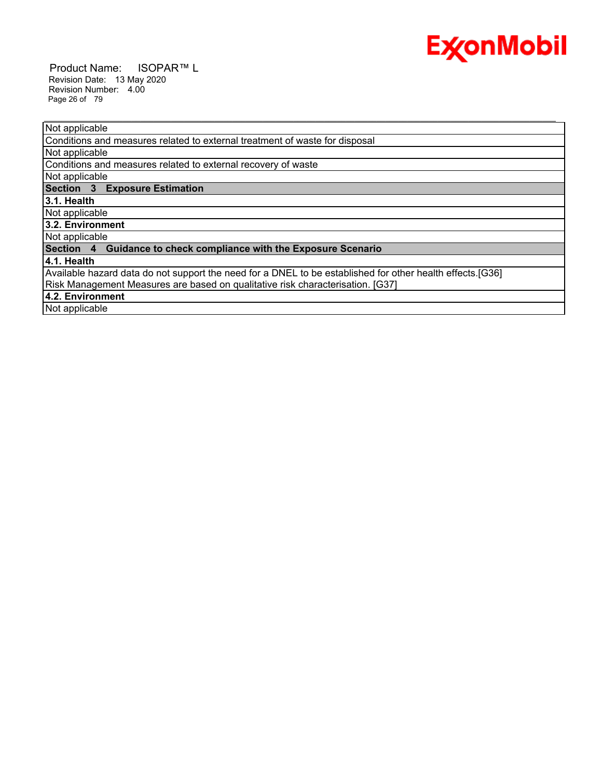

 Product Name: ISOPAR™ L Revision Date: 13 May 2020 Revision Number: 4.00 Page 26 of 79

| Not applicable                                                                                            |  |
|-----------------------------------------------------------------------------------------------------------|--|
| Conditions and measures related to external treatment of waste for disposal                               |  |
| Not applicable                                                                                            |  |
| Conditions and measures related to external recovery of waste                                             |  |
| Not applicable                                                                                            |  |
| <b>Section 3 Exposure Estimation</b>                                                                      |  |
| 3.1. Health                                                                                               |  |
| Not applicable                                                                                            |  |
| 3.2. Environment                                                                                          |  |
| Not applicable                                                                                            |  |
| Section 4 Guidance to check compliance with the Exposure Scenario                                         |  |
| ∣4.1. Health                                                                                              |  |
| Available hazard data do not support the need for a DNEL to be established for other health effects.[G36] |  |
| Risk Management Measures are based on qualitative risk characterisation. [G37]                            |  |
| 4.2. Environment                                                                                          |  |
| Not applicable                                                                                            |  |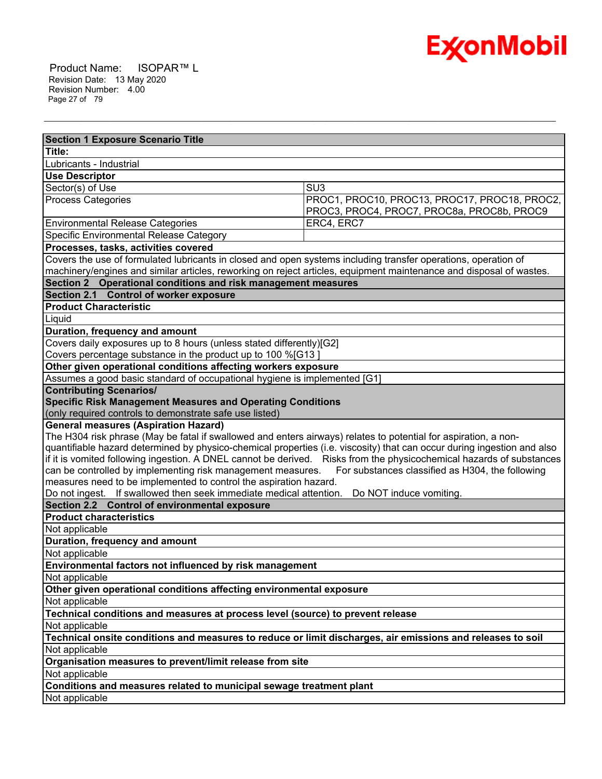

 Product Name: ISOPAR™ L Revision Date: 13 May 2020 Revision Number: 4.00 Page 27 of 79

| <b>Section 1 Exposure Scenario Title</b>                                                                                                                                                                                                        |                                                  |  |
|-------------------------------------------------------------------------------------------------------------------------------------------------------------------------------------------------------------------------------------------------|--------------------------------------------------|--|
| Title:                                                                                                                                                                                                                                          |                                                  |  |
| Lubricants - Industrial                                                                                                                                                                                                                         |                                                  |  |
| <b>Use Descriptor</b>                                                                                                                                                                                                                           |                                                  |  |
| Sector(s) of Use                                                                                                                                                                                                                                | SU <sub>3</sub>                                  |  |
| Process Categories                                                                                                                                                                                                                              | PROC1, PROC10, PROC13, PROC17, PROC18, PROC2,    |  |
|                                                                                                                                                                                                                                                 | PROC3, PROC4, PROC7, PROC8a, PROC8b, PROC9       |  |
| <b>Environmental Release Categories</b>                                                                                                                                                                                                         | ERC4, ERC7                                       |  |
| Specific Environmental Release Category                                                                                                                                                                                                         |                                                  |  |
| Processes, tasks, activities covered                                                                                                                                                                                                            |                                                  |  |
| Covers the use of formulated lubricants in closed and open systems including transfer operations, operation of                                                                                                                                  |                                                  |  |
| machinery/engines and similar articles, reworking on reject articles, equipment maintenance and disposal of wastes.                                                                                                                             |                                                  |  |
| Section 2 Operational conditions and risk management measures                                                                                                                                                                                   |                                                  |  |
| Section 2.1 Control of worker exposure                                                                                                                                                                                                          |                                                  |  |
| <b>Product Characteristic</b>                                                                                                                                                                                                                   |                                                  |  |
| Liquid                                                                                                                                                                                                                                          |                                                  |  |
| Duration, frequency and amount                                                                                                                                                                                                                  |                                                  |  |
| Covers daily exposures up to 8 hours (unless stated differently)[G2]                                                                                                                                                                            |                                                  |  |
| Covers percentage substance in the product up to 100 %[G13]                                                                                                                                                                                     |                                                  |  |
| Other given operational conditions affecting workers exposure                                                                                                                                                                                   |                                                  |  |
| Assumes a good basic standard of occupational hygiene is implemented [G1]                                                                                                                                                                       |                                                  |  |
| <b>Contributing Scenarios/</b>                                                                                                                                                                                                                  |                                                  |  |
| <b>Specific Risk Management Measures and Operating Conditions</b>                                                                                                                                                                               |                                                  |  |
| (only required controls to demonstrate safe use listed)                                                                                                                                                                                         |                                                  |  |
| <b>General measures (Aspiration Hazard)</b>                                                                                                                                                                                                     |                                                  |  |
| The H304 risk phrase (May be fatal if swallowed and enters airways) relates to potential for aspiration, a non-                                                                                                                                 |                                                  |  |
|                                                                                                                                                                                                                                                 |                                                  |  |
| quantifiable hazard determined by physico-chemical properties (i.e. viscosity) that can occur during ingestion and also<br>if it is vomited following ingestion. A DNEL cannot be derived. Risks from the physicochemical hazards of substances |                                                  |  |
| can be controlled by implementing risk management measures.                                                                                                                                                                                     | For substances classified as H304, the following |  |
| measures need to be implemented to control the aspiration hazard.                                                                                                                                                                               |                                                  |  |
| Do not ingest. If swallowed then seek immediate medical attention.                                                                                                                                                                              | Do NOT induce vomiting.                          |  |
| Section 2.2 Control of environmental exposure                                                                                                                                                                                                   |                                                  |  |
| <b>Product characteristics</b>                                                                                                                                                                                                                  |                                                  |  |
| Not applicable                                                                                                                                                                                                                                  |                                                  |  |
| Duration, frequency and amount                                                                                                                                                                                                                  |                                                  |  |
| Not applicable                                                                                                                                                                                                                                  |                                                  |  |
| Environmental factors not influenced by risk management                                                                                                                                                                                         |                                                  |  |
| Not applicable                                                                                                                                                                                                                                  |                                                  |  |
| Other given operational conditions affecting environmental exposure                                                                                                                                                                             |                                                  |  |
| Not applicable                                                                                                                                                                                                                                  |                                                  |  |
| Technical conditions and measures at process level (source) to prevent release                                                                                                                                                                  |                                                  |  |
| Not applicable                                                                                                                                                                                                                                  |                                                  |  |
| Technical onsite conditions and measures to reduce or limit discharges, air emissions and releases to soil                                                                                                                                      |                                                  |  |
| Not applicable                                                                                                                                                                                                                                  |                                                  |  |
| Organisation measures to prevent/limit release from site                                                                                                                                                                                        |                                                  |  |
| Not applicable                                                                                                                                                                                                                                  |                                                  |  |
| Conditions and measures related to municipal sewage treatment plant                                                                                                                                                                             |                                                  |  |
|                                                                                                                                                                                                                                                 |                                                  |  |
| Not applicable                                                                                                                                                                                                                                  |                                                  |  |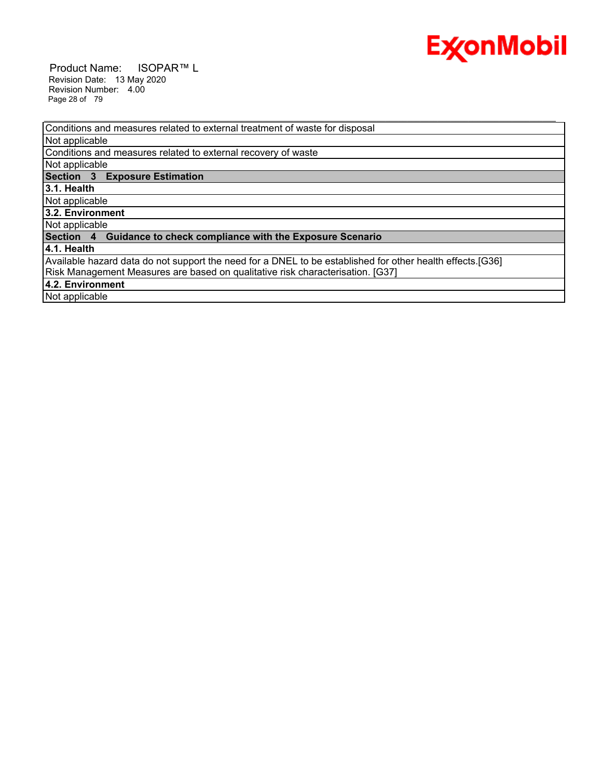

 Product Name: ISOPAR™ L Revision Date: 13 May 2020 Revision Number: 4.00 Page 28 of 79

#### \_\_\_\_\_\_\_\_\_\_\_\_\_\_\_\_\_\_\_\_\_\_\_\_\_\_\_\_\_\_\_\_\_\_\_\_\_\_\_\_\_\_\_\_\_\_\_\_\_\_\_\_\_\_\_\_\_\_\_\_\_\_\_\_\_\_\_\_\_\_\_\_\_\_\_\_\_\_\_\_\_\_\_\_\_\_\_\_\_\_\_\_\_\_\_\_\_\_\_\_\_\_\_\_\_\_\_\_\_\_\_\_\_\_\_\_\_ Conditions and measures related to external treatment of waste for disposal Not applicable Conditions and measures related to external recovery of waste Not applicable **Section 3 Exposure Estimation 3.1. Health** Not applicable **3.2. Environment** Not applicable **Section 4 Guidance to check compliance with the Exposure Scenario 4.1. Health** Available hazard data do not support the need for a DNEL to be established for other health effects.[G36] Risk Management Measures are based on qualitative risk characterisation. [G37] **4.2. Environment**

Not applicable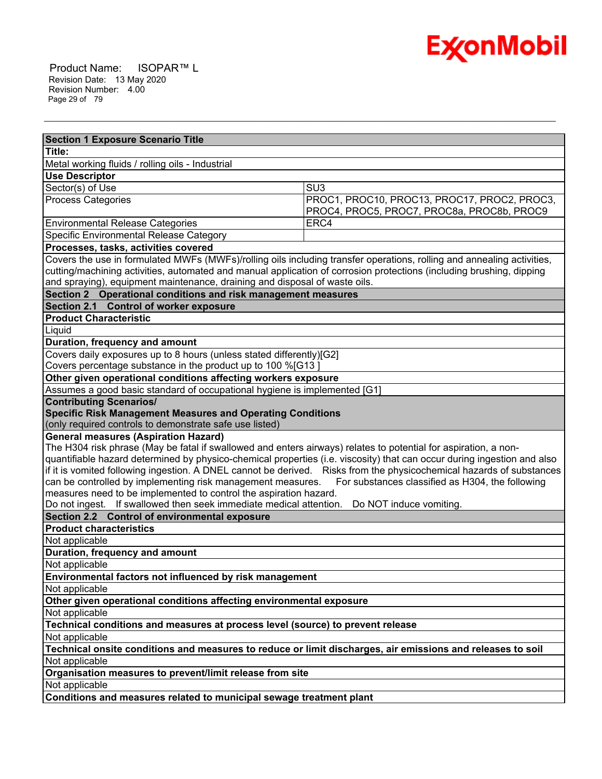

 Product Name: ISOPAR™ L Revision Date: 13 May 2020 Revision Number: 4.00 Page 29 of 79

| <b>Section 1 Exposure Scenario Title</b>                                                                                                                                                                                                        |                                                  |  |
|-------------------------------------------------------------------------------------------------------------------------------------------------------------------------------------------------------------------------------------------------|--------------------------------------------------|--|
| Title:                                                                                                                                                                                                                                          |                                                  |  |
| Metal working fluids / rolling oils - Industrial                                                                                                                                                                                                |                                                  |  |
| <b>Use Descriptor</b>                                                                                                                                                                                                                           |                                                  |  |
| Sector(s) of Use                                                                                                                                                                                                                                | SU <sub>3</sub>                                  |  |
| <b>Process Categories</b>                                                                                                                                                                                                                       | PROC1, PROC10, PROC13, PROC17, PROC2, PROC3,     |  |
|                                                                                                                                                                                                                                                 | PROC4, PROC5, PROC7, PROC8a, PROC8b, PROC9       |  |
| <b>Environmental Release Categories</b>                                                                                                                                                                                                         | ERC4                                             |  |
| Specific Environmental Release Category                                                                                                                                                                                                         |                                                  |  |
| Processes, tasks, activities covered                                                                                                                                                                                                            |                                                  |  |
| Covers the use in formulated MWFs (MWFs)/rolling oils including transfer operations, rolling and annealing activities,                                                                                                                          |                                                  |  |
| cutting/machining activities, automated and manual application of corrosion protections (including brushing, dipping                                                                                                                            |                                                  |  |
| and spraying), equipment maintenance, draining and disposal of waste oils.                                                                                                                                                                      |                                                  |  |
| Section 2 Operational conditions and risk management measures                                                                                                                                                                                   |                                                  |  |
| Section 2.1 Control of worker exposure                                                                                                                                                                                                          |                                                  |  |
| <b>Product Characteristic</b>                                                                                                                                                                                                                   |                                                  |  |
| Liquid                                                                                                                                                                                                                                          |                                                  |  |
| Duration, frequency and amount                                                                                                                                                                                                                  |                                                  |  |
| Covers daily exposures up to 8 hours (unless stated differently)[G2]                                                                                                                                                                            |                                                  |  |
| Covers percentage substance in the product up to 100 %[G13]                                                                                                                                                                                     |                                                  |  |
| Other given operational conditions affecting workers exposure                                                                                                                                                                                   |                                                  |  |
| Assumes a good basic standard of occupational hygiene is implemented [G1]                                                                                                                                                                       |                                                  |  |
| <b>Contributing Scenarios/</b>                                                                                                                                                                                                                  |                                                  |  |
|                                                                                                                                                                                                                                                 |                                                  |  |
| <b>Specific Risk Management Measures and Operating Conditions</b>                                                                                                                                                                               |                                                  |  |
| (only required controls to demonstrate safe use listed)                                                                                                                                                                                         |                                                  |  |
| <b>General measures (Aspiration Hazard)</b>                                                                                                                                                                                                     |                                                  |  |
| The H304 risk phrase (May be fatal if swallowed and enters airways) relates to potential for aspiration, a non-                                                                                                                                 |                                                  |  |
| quantifiable hazard determined by physico-chemical properties (i.e. viscosity) that can occur during ingestion and also<br>if it is vomited following ingestion. A DNEL cannot be derived. Risks from the physicochemical hazards of substances |                                                  |  |
| can be controlled by implementing risk management measures.                                                                                                                                                                                     | For substances classified as H304, the following |  |
| measures need to be implemented to control the aspiration hazard.                                                                                                                                                                               |                                                  |  |
|                                                                                                                                                                                                                                                 |                                                  |  |
| Do not ingest. If swallowed then seek immediate medical attention.<br>Do NOT induce vomiting.<br>Section 2.2 Control of environmental exposure                                                                                                  |                                                  |  |
| <b>Product characteristics</b>                                                                                                                                                                                                                  |                                                  |  |
| Not applicable                                                                                                                                                                                                                                  |                                                  |  |
|                                                                                                                                                                                                                                                 |                                                  |  |
| Duration, frequency and amount                                                                                                                                                                                                                  |                                                  |  |
| Not applicable                                                                                                                                                                                                                                  |                                                  |  |
| Environmental factors not influenced by risk management                                                                                                                                                                                         |                                                  |  |
| Not applicable                                                                                                                                                                                                                                  |                                                  |  |
| Other given operational conditions affecting environmental exposure                                                                                                                                                                             |                                                  |  |
| Not applicable                                                                                                                                                                                                                                  |                                                  |  |
| Technical conditions and measures at process level (source) to prevent release                                                                                                                                                                  |                                                  |  |
| Not applicable                                                                                                                                                                                                                                  |                                                  |  |
| Technical onsite conditions and measures to reduce or limit discharges, air emissions and releases to soil                                                                                                                                      |                                                  |  |
| Not applicable                                                                                                                                                                                                                                  |                                                  |  |
| Organisation measures to prevent/limit release from site                                                                                                                                                                                        |                                                  |  |
| Not applicable                                                                                                                                                                                                                                  |                                                  |  |
| Conditions and measures related to municipal sewage treatment plant                                                                                                                                                                             |                                                  |  |
|                                                                                                                                                                                                                                                 |                                                  |  |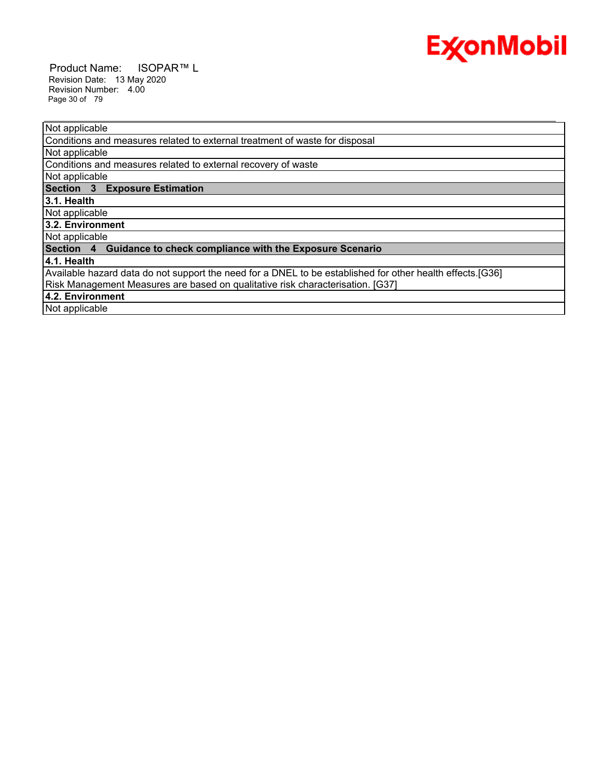

 Product Name: ISOPAR™ L Revision Date: 13 May 2020 Revision Number: 4.00 Page 30 of 79

| Not applicable                                                                                            |  |  |
|-----------------------------------------------------------------------------------------------------------|--|--|
| Conditions and measures related to external treatment of waste for disposal                               |  |  |
| Not applicable                                                                                            |  |  |
| Conditions and measures related to external recovery of waste                                             |  |  |
| Not applicable                                                                                            |  |  |
| <b>Section 3 Exposure Estimation</b>                                                                      |  |  |
| 3.1. Health                                                                                               |  |  |
| Not applicable                                                                                            |  |  |
| 3.2. Environment                                                                                          |  |  |
| Not applicable                                                                                            |  |  |
| Section 4 Guidance to check compliance with the Exposure Scenario                                         |  |  |
| ∣4.1. Health                                                                                              |  |  |
| Available hazard data do not support the need for a DNEL to be established for other health effects.[G36] |  |  |
| Risk Management Measures are based on qualitative risk characterisation. [G37]                            |  |  |
| 4.2. Environment                                                                                          |  |  |
| Not applicable                                                                                            |  |  |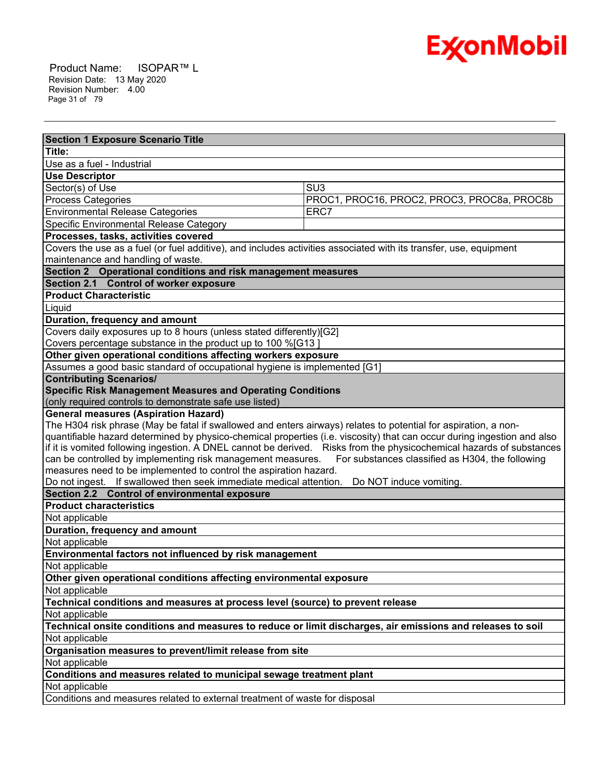

 Product Name: ISOPAR™ L Revision Date: 13 May 2020 Revision Number: 4.00 Page 31 of 79

| <b>Section 1 Exposure Scenario Title</b>                                                                                |                                                                                                                      |  |
|-------------------------------------------------------------------------------------------------------------------------|----------------------------------------------------------------------------------------------------------------------|--|
| Title:                                                                                                                  |                                                                                                                      |  |
| Use as a fuel - Industrial                                                                                              |                                                                                                                      |  |
| <b>Use Descriptor</b>                                                                                                   |                                                                                                                      |  |
| Sector(s) of Use                                                                                                        | SU <sub>3</sub>                                                                                                      |  |
| <b>Process Categories</b>                                                                                               | PROC1, PROC16, PROC2, PROC3, PROC8a, PROC8b                                                                          |  |
| <b>Environmental Release Categories</b>                                                                                 | ERC7                                                                                                                 |  |
| Specific Environmental Release Category                                                                                 |                                                                                                                      |  |
| Processes, tasks, activities covered                                                                                    |                                                                                                                      |  |
| Covers the use as a fuel (or fuel additive), and includes activities associated with its transfer, use, equipment       |                                                                                                                      |  |
| maintenance and handling of waste.                                                                                      |                                                                                                                      |  |
| Section 2 Operational conditions and risk management measures                                                           |                                                                                                                      |  |
| Section 2.1 Control of worker exposure                                                                                  |                                                                                                                      |  |
| <b>Product Characteristic</b>                                                                                           |                                                                                                                      |  |
| Liquid                                                                                                                  |                                                                                                                      |  |
| Duration, frequency and amount                                                                                          |                                                                                                                      |  |
| Covers daily exposures up to 8 hours (unless stated differently)[G2]                                                    |                                                                                                                      |  |
| Covers percentage substance in the product up to 100 %[G13]                                                             |                                                                                                                      |  |
| Other given operational conditions affecting workers exposure                                                           |                                                                                                                      |  |
| Assumes a good basic standard of occupational hygiene is implemented [G1]                                               |                                                                                                                      |  |
| <b>Contributing Scenarios/</b>                                                                                          |                                                                                                                      |  |
| <b>Specific Risk Management Measures and Operating Conditions</b>                                                       |                                                                                                                      |  |
| (only required controls to demonstrate safe use listed)                                                                 |                                                                                                                      |  |
| <b>General measures (Aspiration Hazard)</b>                                                                             |                                                                                                                      |  |
| The H304 risk phrase (May be fatal if swallowed and enters airways) relates to potential for aspiration, a non-         |                                                                                                                      |  |
| quantifiable hazard determined by physico-chemical properties (i.e. viscosity) that can occur during ingestion and also |                                                                                                                      |  |
|                                                                                                                         | if it is vomited following ingestion. A DNEL cannot be derived. Risks from the physicochemical hazards of substances |  |
| can be controlled by implementing risk management measures.                                                             | For substances classified as H304, the following                                                                     |  |
| measures need to be implemented to control the aspiration hazard.                                                       |                                                                                                                      |  |
| Do not ingest. If swallowed then seek immediate medical attention.                                                      | Do NOT induce vomiting.                                                                                              |  |
| Section 2.2 Control of environmental exposure                                                                           |                                                                                                                      |  |
| <b>Product characteristics</b>                                                                                          |                                                                                                                      |  |
| Not applicable                                                                                                          |                                                                                                                      |  |
| Duration, frequency and amount                                                                                          |                                                                                                                      |  |
| Not applicable                                                                                                          |                                                                                                                      |  |
| Environmental factors not influenced by risk management                                                                 |                                                                                                                      |  |
| Not applicable                                                                                                          |                                                                                                                      |  |
| Other given operational conditions affecting environmental exposure                                                     |                                                                                                                      |  |
| Not applicable                                                                                                          |                                                                                                                      |  |
| Technical conditions and measures at process level (source) to prevent release                                          |                                                                                                                      |  |
| Not applicable                                                                                                          |                                                                                                                      |  |
| Technical onsite conditions and measures to reduce or limit discharges, air emissions and releases to soil              |                                                                                                                      |  |
| Not applicable                                                                                                          |                                                                                                                      |  |
| Organisation measures to prevent/limit release from site                                                                |                                                                                                                      |  |
| Not applicable                                                                                                          |                                                                                                                      |  |
| Conditions and measures related to municipal sewage treatment plant                                                     |                                                                                                                      |  |
| Not applicable                                                                                                          |                                                                                                                      |  |
| Conditions and measures related to external treatment of waste for disposal                                             |                                                                                                                      |  |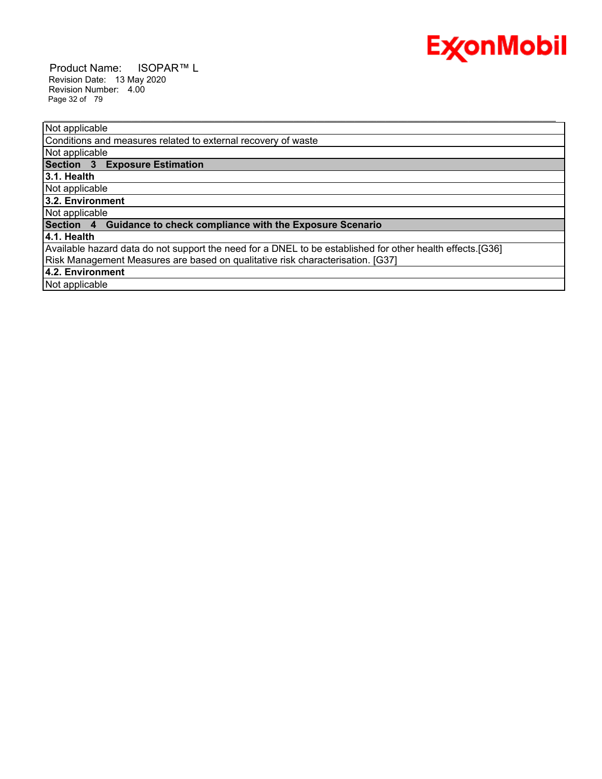

 Product Name: ISOPAR™ L Revision Date: 13 May 2020 Revision Number: 4.00 Page 32 of 79

| Not applicable                                                                                            |  |  |
|-----------------------------------------------------------------------------------------------------------|--|--|
| Conditions and measures related to external recovery of waste                                             |  |  |
| Not applicable                                                                                            |  |  |
| Section 3 Exposure Estimation                                                                             |  |  |
| 3.1. Health                                                                                               |  |  |
| Not applicable                                                                                            |  |  |
| 3.2. Environment                                                                                          |  |  |
| Not applicable                                                                                            |  |  |
| Section 4 Guidance to check compliance with the Exposure Scenario                                         |  |  |
| <b>4.1. Health</b>                                                                                        |  |  |
| Available hazard data do not support the need for a DNEL to be established for other health effects.[G36] |  |  |
| Risk Management Measures are based on qualitative risk characterisation. [G37]                            |  |  |
| 4.2. Environment                                                                                          |  |  |
| Not applicable                                                                                            |  |  |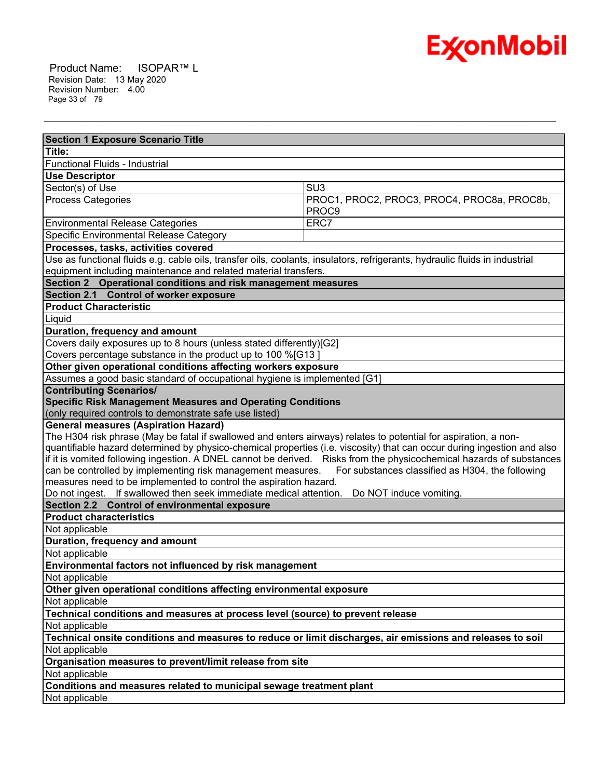

 Product Name: ISOPAR™ L Revision Date: 13 May 2020 Revision Number: 4.00 Page 33 of 79

| <b>Section 1 Exposure Scenario Title</b>                                                                                    |                                                  |  |
|-----------------------------------------------------------------------------------------------------------------------------|--------------------------------------------------|--|
| Title:                                                                                                                      |                                                  |  |
| Functional Fluids - Industrial                                                                                              |                                                  |  |
| <b>Use Descriptor</b>                                                                                                       |                                                  |  |
| Sector(s) of Use                                                                                                            | SU <sub>3</sub>                                  |  |
| Process Categories                                                                                                          | PROC1, PROC2, PROC3, PROC4, PROC8a, PROC8b,      |  |
|                                                                                                                             | PROC9                                            |  |
| <b>Environmental Release Categories</b>                                                                                     | ERC7                                             |  |
| Specific Environmental Release Category                                                                                     |                                                  |  |
| Processes, tasks, activities covered                                                                                        |                                                  |  |
| Use as functional fluids e.g. cable oils, transfer oils, coolants, insulators, refrigerants, hydraulic fluids in industrial |                                                  |  |
| equipment including maintenance and related material transfers.                                                             |                                                  |  |
| Section 2 Operational conditions and risk management measures                                                               |                                                  |  |
| Section 2.1 Control of worker exposure                                                                                      |                                                  |  |
| <b>Product Characteristic</b>                                                                                               |                                                  |  |
| Liquid                                                                                                                      |                                                  |  |
| Duration, frequency and amount                                                                                              |                                                  |  |
| Covers daily exposures up to 8 hours (unless stated differently)[G2]                                                        |                                                  |  |
| Covers percentage substance in the product up to 100 %[G13]                                                                 |                                                  |  |
| Other given operational conditions affecting workers exposure                                                               |                                                  |  |
| Assumes a good basic standard of occupational hygiene is implemented [G1]                                                   |                                                  |  |
| <b>Contributing Scenarios/</b>                                                                                              |                                                  |  |
| <b>Specific Risk Management Measures and Operating Conditions</b>                                                           |                                                  |  |
| (only required controls to demonstrate safe use listed)                                                                     |                                                  |  |
| <b>General measures (Aspiration Hazard)</b>                                                                                 |                                                  |  |
| The H304 risk phrase (May be fatal if swallowed and enters airways) relates to potential for aspiration, a non-             |                                                  |  |
| quantifiable hazard determined by physico-chemical properties (i.e. viscosity) that can occur during ingestion and also     |                                                  |  |
| if it is vomited following ingestion. A DNEL cannot be derived. Risks from the physicochemical hazards of substances        |                                                  |  |
| can be controlled by implementing risk management measures.                                                                 | For substances classified as H304, the following |  |
| measures need to be implemented to control the aspiration hazard.                                                           |                                                  |  |
| Do not ingest. If swallowed then seek immediate medical attention.                                                          | Do NOT induce vomiting.                          |  |
| Section 2.2 Control of environmental exposure                                                                               |                                                  |  |
| <b>Product characteristics</b>                                                                                              |                                                  |  |
| Not applicable                                                                                                              |                                                  |  |
| Duration, frequency and amount                                                                                              |                                                  |  |
| Not applicable                                                                                                              |                                                  |  |
| Environmental factors not influenced by risk management                                                                     |                                                  |  |
| Not applicable                                                                                                              |                                                  |  |
| Other given operational conditions affecting environmental exposure                                                         |                                                  |  |
| Not applicable                                                                                                              |                                                  |  |
| Technical conditions and measures at process level (source) to prevent release                                              |                                                  |  |
| Not applicable                                                                                                              |                                                  |  |
| Technical onsite conditions and measures to reduce or limit discharges, air emissions and releases to soil                  |                                                  |  |
| Not applicable                                                                                                              |                                                  |  |
| Organisation measures to prevent/limit release from site                                                                    |                                                  |  |
| Not applicable                                                                                                              |                                                  |  |
| Conditions and measures related to municipal sewage treatment plant                                                         |                                                  |  |
| Not applicable                                                                                                              |                                                  |  |
|                                                                                                                             |                                                  |  |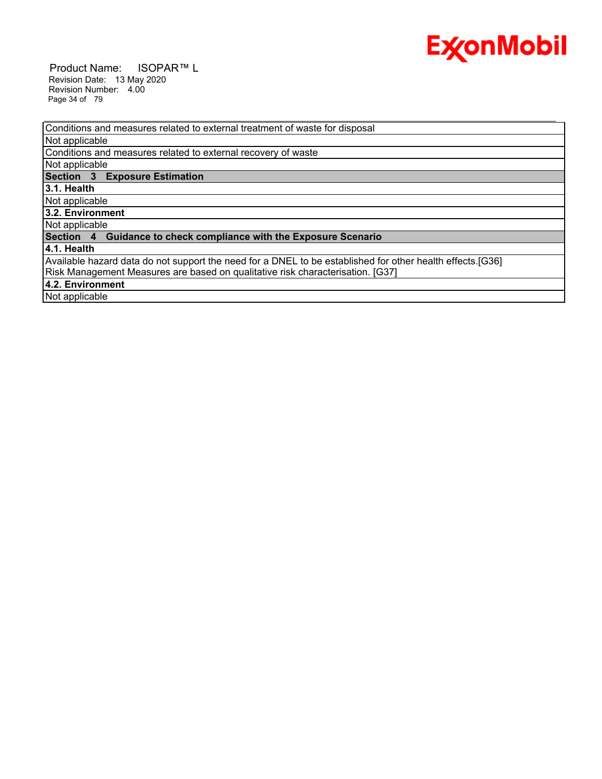

 Product Name: ISOPAR™ L Revision Date: 13 May 2020 Revision Number: 4.00 Page 34 of 79

#### \_\_\_\_\_\_\_\_\_\_\_\_\_\_\_\_\_\_\_\_\_\_\_\_\_\_\_\_\_\_\_\_\_\_\_\_\_\_\_\_\_\_\_\_\_\_\_\_\_\_\_\_\_\_\_\_\_\_\_\_\_\_\_\_\_\_\_\_\_\_\_\_\_\_\_\_\_\_\_\_\_\_\_\_\_\_\_\_\_\_\_\_\_\_\_\_\_\_\_\_\_\_\_\_\_\_\_\_\_\_\_\_\_\_\_\_\_ Conditions and measures related to external treatment of waste for disposal Not applicable Conditions and measures related to external recovery of waste Not applicable **Section 3 Exposure Estimation 3.1. Health** Not applicable **3.2. Environment** Not applicable **Section 4 Guidance to check compliance with the Exposure Scenario 4.1. Health** Available hazard data do not support the need for a DNEL to be established for other health effects.[G36] Risk Management Measures are based on qualitative risk characterisation. [G37] **4.2. Environment**

Not applicable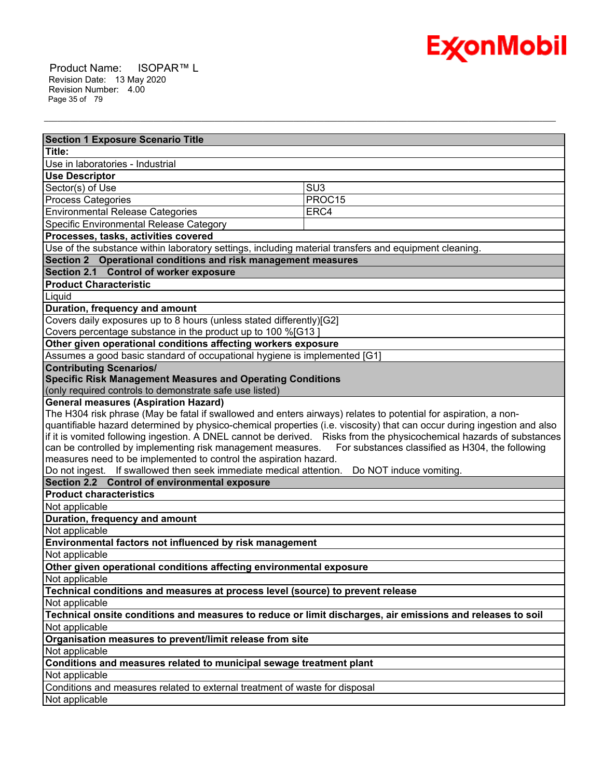

 Product Name: ISOPAR™ L Revision Date: 13 May 2020 Revision Number: 4.00 Page 35 of 79

| <b>Section 1 Exposure Scenario Title</b>                                                                                                                                                                                                                                                                                                                                                                                                                                                                                                                                                                                                                                                                   |                 |  |
|------------------------------------------------------------------------------------------------------------------------------------------------------------------------------------------------------------------------------------------------------------------------------------------------------------------------------------------------------------------------------------------------------------------------------------------------------------------------------------------------------------------------------------------------------------------------------------------------------------------------------------------------------------------------------------------------------------|-----------------|--|
| Title:                                                                                                                                                                                                                                                                                                                                                                                                                                                                                                                                                                                                                                                                                                     |                 |  |
| Use in laboratories - Industrial                                                                                                                                                                                                                                                                                                                                                                                                                                                                                                                                                                                                                                                                           |                 |  |
| <b>Use Descriptor</b>                                                                                                                                                                                                                                                                                                                                                                                                                                                                                                                                                                                                                                                                                      |                 |  |
| Sector(s) of Use                                                                                                                                                                                                                                                                                                                                                                                                                                                                                                                                                                                                                                                                                           | SU <sub>3</sub> |  |
| <b>Process Categories</b>                                                                                                                                                                                                                                                                                                                                                                                                                                                                                                                                                                                                                                                                                  | PROC15          |  |
| <b>Environmental Release Categories</b>                                                                                                                                                                                                                                                                                                                                                                                                                                                                                                                                                                                                                                                                    | ERC4            |  |
| Specific Environmental Release Category                                                                                                                                                                                                                                                                                                                                                                                                                                                                                                                                                                                                                                                                    |                 |  |
| Processes, tasks, activities covered                                                                                                                                                                                                                                                                                                                                                                                                                                                                                                                                                                                                                                                                       |                 |  |
| Use of the substance within laboratory settings, including material transfers and equipment cleaning.                                                                                                                                                                                                                                                                                                                                                                                                                                                                                                                                                                                                      |                 |  |
| Section 2 Operational conditions and risk management measures                                                                                                                                                                                                                                                                                                                                                                                                                                                                                                                                                                                                                                              |                 |  |
| Section 2.1 Control of worker exposure                                                                                                                                                                                                                                                                                                                                                                                                                                                                                                                                                                                                                                                                     |                 |  |
| <b>Product Characteristic</b>                                                                                                                                                                                                                                                                                                                                                                                                                                                                                                                                                                                                                                                                              |                 |  |
| Liquid                                                                                                                                                                                                                                                                                                                                                                                                                                                                                                                                                                                                                                                                                                     |                 |  |
| Duration, frequency and amount                                                                                                                                                                                                                                                                                                                                                                                                                                                                                                                                                                                                                                                                             |                 |  |
| Covers daily exposures up to 8 hours (unless stated differently)[G2]                                                                                                                                                                                                                                                                                                                                                                                                                                                                                                                                                                                                                                       |                 |  |
| Covers percentage substance in the product up to 100 %[G13]                                                                                                                                                                                                                                                                                                                                                                                                                                                                                                                                                                                                                                                |                 |  |
| Other given operational conditions affecting workers exposure                                                                                                                                                                                                                                                                                                                                                                                                                                                                                                                                                                                                                                              |                 |  |
| Assumes a good basic standard of occupational hygiene is implemented [G1]                                                                                                                                                                                                                                                                                                                                                                                                                                                                                                                                                                                                                                  |                 |  |
| <b>Contributing Scenarios/</b>                                                                                                                                                                                                                                                                                                                                                                                                                                                                                                                                                                                                                                                                             |                 |  |
| <b>Specific Risk Management Measures and Operating Conditions</b>                                                                                                                                                                                                                                                                                                                                                                                                                                                                                                                                                                                                                                          |                 |  |
| (only required controls to demonstrate safe use listed)                                                                                                                                                                                                                                                                                                                                                                                                                                                                                                                                                                                                                                                    |                 |  |
| <b>General measures (Aspiration Hazard)</b><br>The H304 risk phrase (May be fatal if swallowed and enters airways) relates to potential for aspiration, a non-<br>quantifiable hazard determined by physico-chemical properties (i.e. viscosity) that can occur during ingestion and also<br>if it is vomited following ingestion. A DNEL cannot be derived. Risks from the physicochemical hazards of substances<br>can be controlled by implementing risk management measures.<br>For substances classified as H304, the following<br>measures need to be implemented to control the aspiration hazard.<br>Do not ingest. If swallowed then seek immediate medical attention.<br>Do NOT induce vomiting. |                 |  |
| Section 2.2 Control of environmental exposure                                                                                                                                                                                                                                                                                                                                                                                                                                                                                                                                                                                                                                                              |                 |  |
| <b>Product characteristics</b>                                                                                                                                                                                                                                                                                                                                                                                                                                                                                                                                                                                                                                                                             |                 |  |
| Not applicable                                                                                                                                                                                                                                                                                                                                                                                                                                                                                                                                                                                                                                                                                             |                 |  |
| Duration, frequency and amount                                                                                                                                                                                                                                                                                                                                                                                                                                                                                                                                                                                                                                                                             |                 |  |
| Not applicable                                                                                                                                                                                                                                                                                                                                                                                                                                                                                                                                                                                                                                                                                             |                 |  |
| Environmental factors not influenced by risk management                                                                                                                                                                                                                                                                                                                                                                                                                                                                                                                                                                                                                                                    |                 |  |
| Not applicable                                                                                                                                                                                                                                                                                                                                                                                                                                                                                                                                                                                                                                                                                             |                 |  |
| Other given operational conditions affecting environmental exposure                                                                                                                                                                                                                                                                                                                                                                                                                                                                                                                                                                                                                                        |                 |  |
| Not applicable                                                                                                                                                                                                                                                                                                                                                                                                                                                                                                                                                                                                                                                                                             |                 |  |
| Technical conditions and measures at process level (source) to prevent release                                                                                                                                                                                                                                                                                                                                                                                                                                                                                                                                                                                                                             |                 |  |
| Not applicable                                                                                                                                                                                                                                                                                                                                                                                                                                                                                                                                                                                                                                                                                             |                 |  |
| Technical onsite conditions and measures to reduce or limit discharges, air emissions and releases to soil                                                                                                                                                                                                                                                                                                                                                                                                                                                                                                                                                                                                 |                 |  |
| Not applicable                                                                                                                                                                                                                                                                                                                                                                                                                                                                                                                                                                                                                                                                                             |                 |  |
| Organisation measures to prevent/limit release from site                                                                                                                                                                                                                                                                                                                                                                                                                                                                                                                                                                                                                                                   |                 |  |
| Not applicable                                                                                                                                                                                                                                                                                                                                                                                                                                                                                                                                                                                                                                                                                             |                 |  |
| Conditions and measures related to municipal sewage treatment plant                                                                                                                                                                                                                                                                                                                                                                                                                                                                                                                                                                                                                                        |                 |  |
| Not applicable                                                                                                                                                                                                                                                                                                                                                                                                                                                                                                                                                                                                                                                                                             |                 |  |
| Conditions and measures related to external treatment of waste for disposal                                                                                                                                                                                                                                                                                                                                                                                                                                                                                                                                                                                                                                |                 |  |
| Not applicable                                                                                                                                                                                                                                                                                                                                                                                                                                                                                                                                                                                                                                                                                             |                 |  |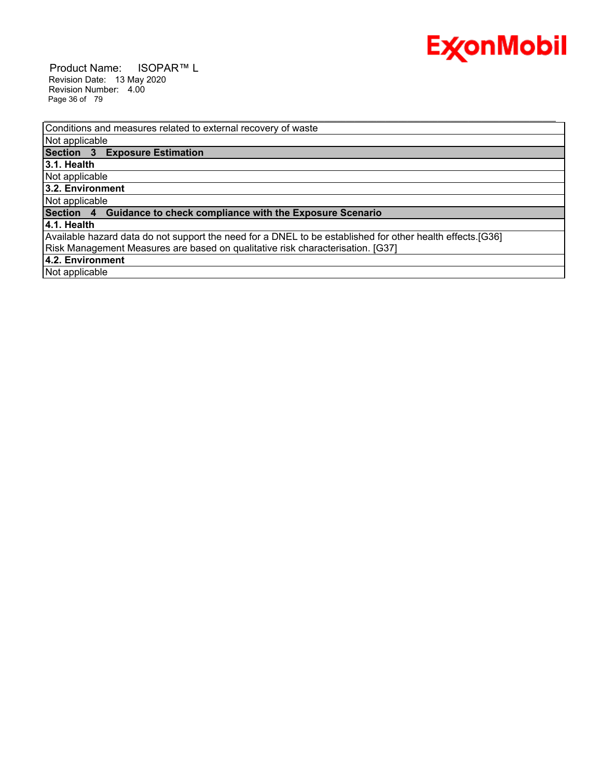

 Product Name: ISOPAR™ L Revision Date: 13 May 2020 Revision Number: 4.00 Page 36 of 79

| Conditions and measures related to external recovery of waste                                             |
|-----------------------------------------------------------------------------------------------------------|
| Not applicable                                                                                            |
| <b>Section 3 Exposure Estimation</b>                                                                      |
| 3.1. Health                                                                                               |
| Not applicable                                                                                            |
| 3.2. Environment                                                                                          |
| Not applicable                                                                                            |
| Section 4 Guidance to check compliance with the Exposure Scenario                                         |
| 4.1. Health                                                                                               |
| Available hazard data do not support the need for a DNEL to be established for other health effects.[G36] |
| Risk Management Measures are based on qualitative risk characterisation. [G37]                            |
| 4.2. Environment                                                                                          |
| Not applicable                                                                                            |
|                                                                                                           |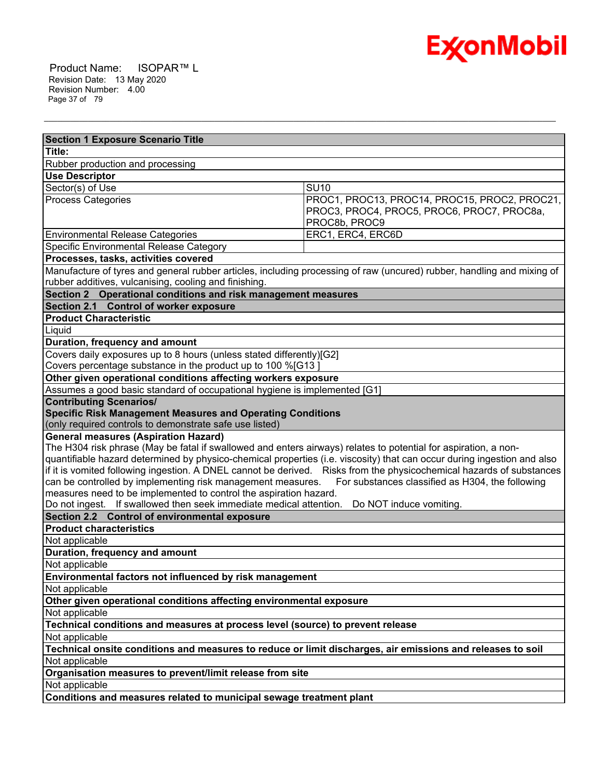

 Product Name: ISOPAR™ L Revision Date: 13 May 2020 Revision Number: 4.00 Page 37 of 79

| <b>Section 1 Exposure Scenario Title</b>                                                                                                                                                                                                                                                                                                                                                                                                                                                                                                                                                                                    |                                                                                                              |
|-----------------------------------------------------------------------------------------------------------------------------------------------------------------------------------------------------------------------------------------------------------------------------------------------------------------------------------------------------------------------------------------------------------------------------------------------------------------------------------------------------------------------------------------------------------------------------------------------------------------------------|--------------------------------------------------------------------------------------------------------------|
| Title:                                                                                                                                                                                                                                                                                                                                                                                                                                                                                                                                                                                                                      |                                                                                                              |
| Rubber production and processing                                                                                                                                                                                                                                                                                                                                                                                                                                                                                                                                                                                            |                                                                                                              |
| <b>Use Descriptor</b>                                                                                                                                                                                                                                                                                                                                                                                                                                                                                                                                                                                                       |                                                                                                              |
| Sector(s) of Use                                                                                                                                                                                                                                                                                                                                                                                                                                                                                                                                                                                                            | <b>SU10</b>                                                                                                  |
| <b>Process Categories</b>                                                                                                                                                                                                                                                                                                                                                                                                                                                                                                                                                                                                   | PROC1, PROC13, PROC14, PROC15, PROC2, PROC21,<br>PROC3, PROC4, PROC5, PROC6, PROC7, PROC8a,<br>PROC8b, PROC9 |
| <b>Environmental Release Categories</b>                                                                                                                                                                                                                                                                                                                                                                                                                                                                                                                                                                                     | ERC1, ERC4, ERC6D                                                                                            |
| Specific Environmental Release Category                                                                                                                                                                                                                                                                                                                                                                                                                                                                                                                                                                                     |                                                                                                              |
| Processes, tasks, activities covered                                                                                                                                                                                                                                                                                                                                                                                                                                                                                                                                                                                        |                                                                                                              |
| Manufacture of tyres and general rubber articles, including processing of raw (uncured) rubber, handling and mixing of<br>rubber additives, vulcanising, cooling and finishing.                                                                                                                                                                                                                                                                                                                                                                                                                                             |                                                                                                              |
| Section 2 Operational conditions and risk management measures                                                                                                                                                                                                                                                                                                                                                                                                                                                                                                                                                               |                                                                                                              |
| Section 2.1 Control of worker exposure                                                                                                                                                                                                                                                                                                                                                                                                                                                                                                                                                                                      |                                                                                                              |
| <b>Product Characteristic</b>                                                                                                                                                                                                                                                                                                                                                                                                                                                                                                                                                                                               |                                                                                                              |
| Liquid                                                                                                                                                                                                                                                                                                                                                                                                                                                                                                                                                                                                                      |                                                                                                              |
| Duration, frequency and amount                                                                                                                                                                                                                                                                                                                                                                                                                                                                                                                                                                                              |                                                                                                              |
| Covers daily exposures up to 8 hours (unless stated differently)[G2]                                                                                                                                                                                                                                                                                                                                                                                                                                                                                                                                                        |                                                                                                              |
| Covers percentage substance in the product up to 100 %[G13]                                                                                                                                                                                                                                                                                                                                                                                                                                                                                                                                                                 |                                                                                                              |
| Other given operational conditions affecting workers exposure                                                                                                                                                                                                                                                                                                                                                                                                                                                                                                                                                               |                                                                                                              |
| Assumes a good basic standard of occupational hygiene is implemented [G1]                                                                                                                                                                                                                                                                                                                                                                                                                                                                                                                                                   |                                                                                                              |
| <b>Contributing Scenarios/</b><br><b>Specific Risk Management Measures and Operating Conditions</b><br>(only required controls to demonstrate safe use listed)                                                                                                                                                                                                                                                                                                                                                                                                                                                              |                                                                                                              |
| <b>General measures (Aspiration Hazard)</b><br>The H304 risk phrase (May be fatal if swallowed and enters airways) relates to potential for aspiration, a non-<br>quantifiable hazard determined by physico-chemical properties (i.e. viscosity) that can occur during ingestion and also<br>if it is vomited following ingestion. A DNEL cannot be derived. Risks from the physicochemical hazards of substances<br>can be controlled by implementing risk management measures.<br>measures need to be implemented to control the aspiration hazard.<br>Do not ingest. If swallowed then seek immediate medical attention. | For substances classified as H304, the following<br>Do NOT induce vomiting.                                  |
| Section 2.2 Control of environmental exposure                                                                                                                                                                                                                                                                                                                                                                                                                                                                                                                                                                               |                                                                                                              |
| <b>Product characteristics</b>                                                                                                                                                                                                                                                                                                                                                                                                                                                                                                                                                                                              |                                                                                                              |
| Not applicable                                                                                                                                                                                                                                                                                                                                                                                                                                                                                                                                                                                                              |                                                                                                              |
| Duration, frequency and amount                                                                                                                                                                                                                                                                                                                                                                                                                                                                                                                                                                                              |                                                                                                              |
| Not applicable                                                                                                                                                                                                                                                                                                                                                                                                                                                                                                                                                                                                              |                                                                                                              |
| Environmental factors not influenced by risk management                                                                                                                                                                                                                                                                                                                                                                                                                                                                                                                                                                     |                                                                                                              |
| Not applicable                                                                                                                                                                                                                                                                                                                                                                                                                                                                                                                                                                                                              |                                                                                                              |
| Other given operational conditions affecting environmental exposure                                                                                                                                                                                                                                                                                                                                                                                                                                                                                                                                                         |                                                                                                              |
| Not applicable                                                                                                                                                                                                                                                                                                                                                                                                                                                                                                                                                                                                              |                                                                                                              |
| Technical conditions and measures at process level (source) to prevent release                                                                                                                                                                                                                                                                                                                                                                                                                                                                                                                                              |                                                                                                              |
| Not applicable                                                                                                                                                                                                                                                                                                                                                                                                                                                                                                                                                                                                              |                                                                                                              |
| Technical onsite conditions and measures to reduce or limit discharges, air emissions and releases to soil                                                                                                                                                                                                                                                                                                                                                                                                                                                                                                                  |                                                                                                              |
| Not applicable                                                                                                                                                                                                                                                                                                                                                                                                                                                                                                                                                                                                              |                                                                                                              |
| Organisation measures to prevent/limit release from site                                                                                                                                                                                                                                                                                                                                                                                                                                                                                                                                                                    |                                                                                                              |
| Not applicable                                                                                                                                                                                                                                                                                                                                                                                                                                                                                                                                                                                                              |                                                                                                              |
| Conditions and measures related to municipal sewage treatment plant                                                                                                                                                                                                                                                                                                                                                                                                                                                                                                                                                         |                                                                                                              |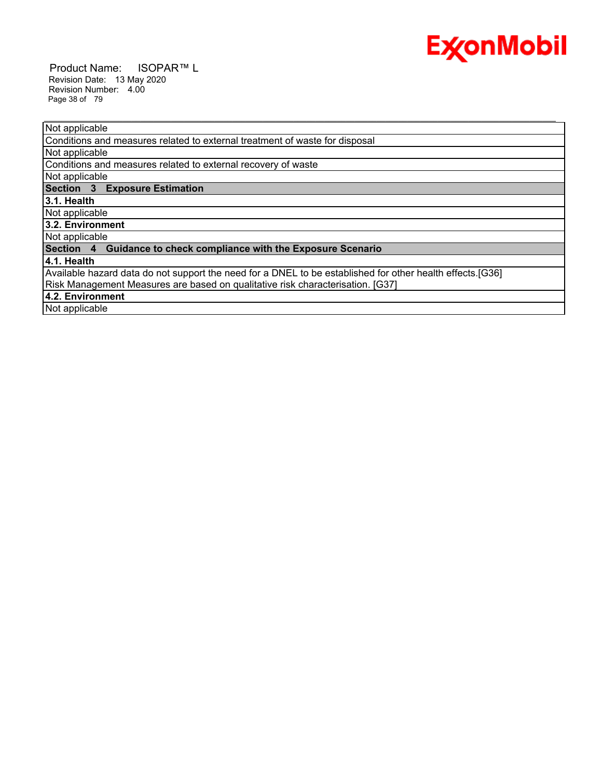

 Product Name: ISOPAR™ L Revision Date: 13 May 2020 Revision Number: 4.00 Page 38 of 79

| Not applicable                                                                                            |
|-----------------------------------------------------------------------------------------------------------|
| Conditions and measures related to external treatment of waste for disposal                               |
| Not applicable                                                                                            |
| Conditions and measures related to external recovery of waste                                             |
| Not applicable                                                                                            |
| Section 3 Exposure Estimation                                                                             |
| 3.1. Health                                                                                               |
| Not applicable                                                                                            |
| 3.2. Environment                                                                                          |
| Not applicable                                                                                            |
| Section 4 Guidance to check compliance with the Exposure Scenario                                         |
| ∣4.1. Health                                                                                              |
| Available hazard data do not support the need for a DNEL to be established for other health effects.[G36] |
| Risk Management Measures are based on qualitative risk characterisation. [G37]                            |
| 4.2. Environment                                                                                          |
| Not applicable                                                                                            |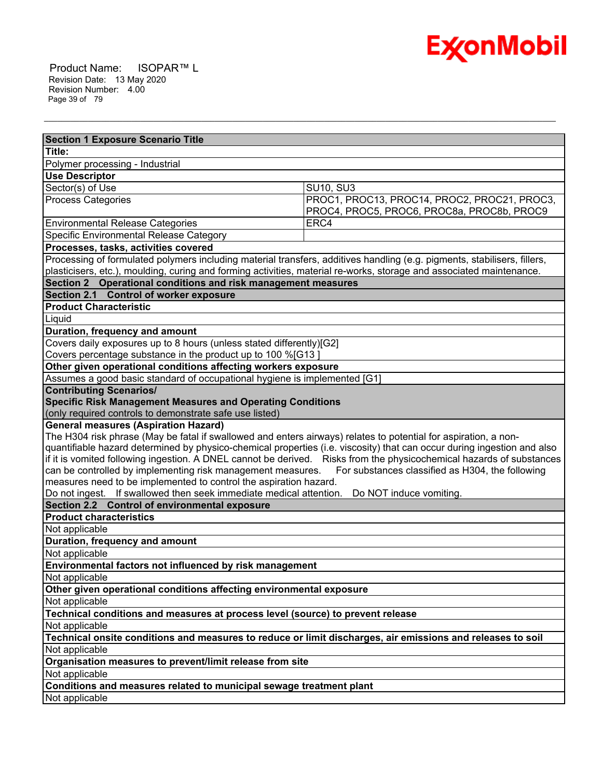

 Product Name: ISOPAR™ L Revision Date: 13 May 2020 Revision Number: 4.00 Page 39 of 79

| <b>Section 1 Exposure Scenario Title</b>                                                                                 |                                                  |
|--------------------------------------------------------------------------------------------------------------------------|--------------------------------------------------|
| Title:                                                                                                                   |                                                  |
| Polymer processing - Industrial                                                                                          |                                                  |
| <b>Use Descriptor</b>                                                                                                    |                                                  |
| Sector(s) of Use                                                                                                         | <b>SU10, SU3</b>                                 |
| <b>Process Categories</b>                                                                                                | PROC1, PROC13, PROC14, PROC2, PROC21, PROC3,     |
|                                                                                                                          | PROC4, PROC5, PROC6, PROC8a, PROC8b, PROC9       |
| <b>Environmental Release Categories</b>                                                                                  | ERC4                                             |
| Specific Environmental Release Category                                                                                  |                                                  |
| Processes, tasks, activities covered                                                                                     |                                                  |
| Processing of formulated polymers including material transfers, additives handling (e.g. pigments, stabilisers, fillers, |                                                  |
| plasticisers, etc.), moulding, curing and forming activities, material re-works, storage and associated maintenance.     |                                                  |
| Section 2 Operational conditions and risk management measures                                                            |                                                  |
| Section 2.1 Control of worker exposure                                                                                   |                                                  |
| <b>Product Characteristic</b>                                                                                            |                                                  |
| Liquid                                                                                                                   |                                                  |
| Duration, frequency and amount                                                                                           |                                                  |
| Covers daily exposures up to 8 hours (unless stated differently)[G2]                                                     |                                                  |
| Covers percentage substance in the product up to 100 %[G13]                                                              |                                                  |
| Other given operational conditions affecting workers exposure                                                            |                                                  |
| Assumes a good basic standard of occupational hygiene is implemented [G1]                                                |                                                  |
| <b>Contributing Scenarios/</b>                                                                                           |                                                  |
| <b>Specific Risk Management Measures and Operating Conditions</b>                                                        |                                                  |
| (only required controls to demonstrate safe use listed)                                                                  |                                                  |
| <b>General measures (Aspiration Hazard)</b>                                                                              |                                                  |
| The H304 risk phrase (May be fatal if swallowed and enters airways) relates to potential for aspiration, a non-          |                                                  |
| quantifiable hazard determined by physico-chemical properties (i.e. viscosity) that can occur during ingestion and also  |                                                  |
| if it is vomited following ingestion. A DNEL cannot be derived. Risks from the physicochemical hazards of substances     |                                                  |
| can be controlled by implementing risk management measures.                                                              | For substances classified as H304, the following |
| measures need to be implemented to control the aspiration hazard.                                                        |                                                  |
| Do not ingest. If swallowed then seek immediate medical attention.                                                       | Do NOT induce vomiting.                          |
| Section 2.2 Control of environmental exposure                                                                            |                                                  |
| <b>Product characteristics</b>                                                                                           |                                                  |
| Not applicable                                                                                                           |                                                  |
| Duration, frequency and amount                                                                                           |                                                  |
| Not applicable                                                                                                           |                                                  |
| Environmental factors not influenced by risk management                                                                  |                                                  |
| Not applicable                                                                                                           |                                                  |
| Other given operational conditions affecting environmental exposure                                                      |                                                  |
| Not applicable                                                                                                           |                                                  |
| Technical conditions and measures at process level (source) to prevent release                                           |                                                  |
| Not applicable                                                                                                           |                                                  |
| Technical onsite conditions and measures to reduce or limit discharges, air emissions and releases to soil               |                                                  |
| Not applicable                                                                                                           |                                                  |
| Organisation measures to prevent/limit release from site                                                                 |                                                  |
| Not applicable                                                                                                           |                                                  |
| Conditions and measures related to municipal sewage treatment plant                                                      |                                                  |
| Not applicable                                                                                                           |                                                  |
|                                                                                                                          |                                                  |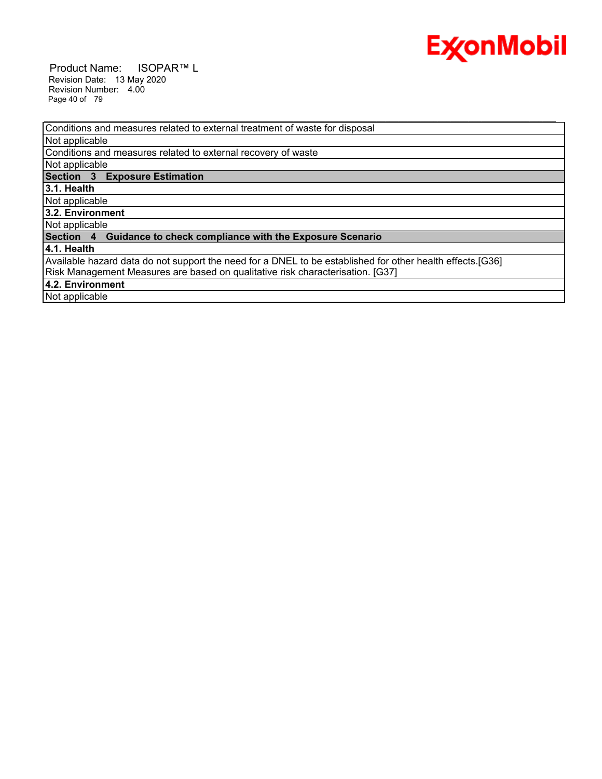

 Product Name: ISOPAR™ L Revision Date: 13 May 2020 Revision Number: 4.00 Page 40 of 79

## \_\_\_\_\_\_\_\_\_\_\_\_\_\_\_\_\_\_\_\_\_\_\_\_\_\_\_\_\_\_\_\_\_\_\_\_\_\_\_\_\_\_\_\_\_\_\_\_\_\_\_\_\_\_\_\_\_\_\_\_\_\_\_\_\_\_\_\_\_\_\_\_\_\_\_\_\_\_\_\_\_\_\_\_\_\_\_\_\_\_\_\_\_\_\_\_\_\_\_\_\_\_\_\_\_\_\_\_\_\_\_\_\_\_\_\_\_ Conditions and measures related to external treatment of waste for disposal Not applicable Conditions and measures related to external recovery of waste Not applicable **Section 3 Exposure Estimation 3.1. Health** Not applicable **3.2. Environment** Not applicable **Section 4 Guidance to check compliance with the Exposure Scenario 4.1. Health** Available hazard data do not support the need for a DNEL to be established for other health effects.[G36] Risk Management Measures are based on qualitative risk characterisation. [G37] **4.2. Environment**

Not applicable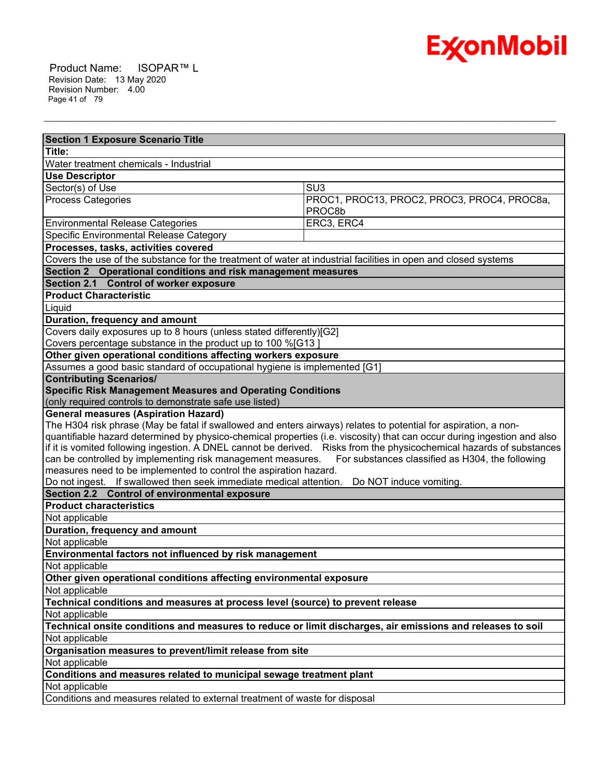

 Product Name: ISOPAR™ L Revision Date: 13 May 2020 Revision Number: 4.00 Page 41 of 79

| <b>Section 1 Exposure Scenario Title</b>                                                                                                                                                                                                                                                                                                                           |                                                       |
|--------------------------------------------------------------------------------------------------------------------------------------------------------------------------------------------------------------------------------------------------------------------------------------------------------------------------------------------------------------------|-------------------------------------------------------|
| Title:                                                                                                                                                                                                                                                                                                                                                             |                                                       |
| Water treatment chemicals - Industrial                                                                                                                                                                                                                                                                                                                             |                                                       |
| <b>Use Descriptor</b>                                                                                                                                                                                                                                                                                                                                              |                                                       |
| Sector(s) of Use                                                                                                                                                                                                                                                                                                                                                   | SU <sub>3</sub>                                       |
| <b>Process Categories</b>                                                                                                                                                                                                                                                                                                                                          | PROC1, PROC13, PROC2, PROC3, PROC4, PROC8a,<br>PROC8b |
| <b>Environmental Release Categories</b>                                                                                                                                                                                                                                                                                                                            | ERC3, ERC4                                            |
| Specific Environmental Release Category                                                                                                                                                                                                                                                                                                                            |                                                       |
| Processes, tasks, activities covered                                                                                                                                                                                                                                                                                                                               |                                                       |
| Covers the use of the substance for the treatment of water at industrial facilities in open and closed systems                                                                                                                                                                                                                                                     |                                                       |
| Section 2 Operational conditions and risk management measures                                                                                                                                                                                                                                                                                                      |                                                       |
| Section 2.1 Control of worker exposure                                                                                                                                                                                                                                                                                                                             |                                                       |
| <b>Product Characteristic</b>                                                                                                                                                                                                                                                                                                                                      |                                                       |
| Liquid                                                                                                                                                                                                                                                                                                                                                             |                                                       |
| Duration, frequency and amount                                                                                                                                                                                                                                                                                                                                     |                                                       |
| Covers daily exposures up to 8 hours (unless stated differently)[G2]                                                                                                                                                                                                                                                                                               |                                                       |
| Covers percentage substance in the product up to 100 %[G13]                                                                                                                                                                                                                                                                                                        |                                                       |
| Other given operational conditions affecting workers exposure                                                                                                                                                                                                                                                                                                      |                                                       |
| Assumes a good basic standard of occupational hygiene is implemented [G1]                                                                                                                                                                                                                                                                                          |                                                       |
| <b>Contributing Scenarios/</b>                                                                                                                                                                                                                                                                                                                                     |                                                       |
| <b>Specific Risk Management Measures and Operating Conditions</b>                                                                                                                                                                                                                                                                                                  |                                                       |
| (only required controls to demonstrate safe use listed)                                                                                                                                                                                                                                                                                                            |                                                       |
| <b>General measures (Aspiration Hazard)</b>                                                                                                                                                                                                                                                                                                                        |                                                       |
|                                                                                                                                                                                                                                                                                                                                                                    |                                                       |
| The H304 risk phrase (May be fatal if swallowed and enters airways) relates to potential for aspiration, a non-<br>quantifiable hazard determined by physico-chemical properties (i.e. viscosity) that can occur during ingestion and also<br>if it is vomited following ingestion. A DNEL cannot be derived. Risks from the physicochemical hazards of substances |                                                       |
| can be controlled by implementing risk management measures. For substances classified as H304, the following                                                                                                                                                                                                                                                       |                                                       |
| measures need to be implemented to control the aspiration hazard.                                                                                                                                                                                                                                                                                                  |                                                       |
| Do not ingest. If swallowed then seek immediate medical attention.                                                                                                                                                                                                                                                                                                 | Do NOT induce vomiting.                               |
| Section 2.2 Control of environmental exposure                                                                                                                                                                                                                                                                                                                      |                                                       |
| <b>Product characteristics</b>                                                                                                                                                                                                                                                                                                                                     |                                                       |
| Not applicable                                                                                                                                                                                                                                                                                                                                                     |                                                       |
| Duration, frequency and amount                                                                                                                                                                                                                                                                                                                                     |                                                       |
| Not applicable                                                                                                                                                                                                                                                                                                                                                     |                                                       |
| Environmental factors not influenced by risk management                                                                                                                                                                                                                                                                                                            |                                                       |
| Not applicable                                                                                                                                                                                                                                                                                                                                                     |                                                       |
| Other given operational conditions affecting environmental exposure                                                                                                                                                                                                                                                                                                |                                                       |
| Not applicable                                                                                                                                                                                                                                                                                                                                                     |                                                       |
| Technical conditions and measures at process level (source) to prevent release                                                                                                                                                                                                                                                                                     |                                                       |
| Not applicable                                                                                                                                                                                                                                                                                                                                                     |                                                       |
| Technical onsite conditions and measures to reduce or limit discharges, air emissions and releases to soil                                                                                                                                                                                                                                                         |                                                       |
| Not applicable                                                                                                                                                                                                                                                                                                                                                     |                                                       |
| Organisation measures to prevent/limit release from site                                                                                                                                                                                                                                                                                                           |                                                       |
| Not applicable                                                                                                                                                                                                                                                                                                                                                     |                                                       |
| Conditions and measures related to municipal sewage treatment plant                                                                                                                                                                                                                                                                                                |                                                       |
| Not applicable                                                                                                                                                                                                                                                                                                                                                     |                                                       |
| Conditions and measures related to external treatment of waste for disposal                                                                                                                                                                                                                                                                                        |                                                       |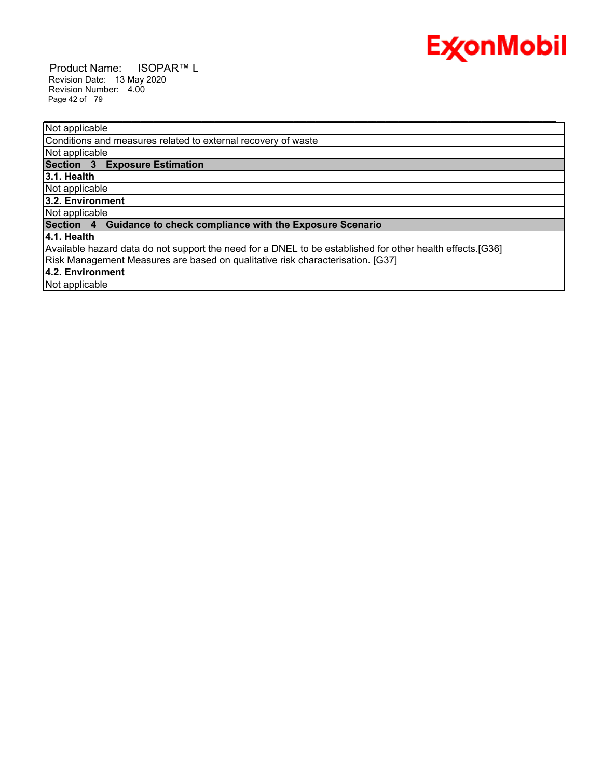

 Product Name: ISOPAR™ L Revision Date: 13 May 2020 Revision Number: 4.00 Page 42 of 79

| Not applicable                                                                                            |
|-----------------------------------------------------------------------------------------------------------|
| Conditions and measures related to external recovery of waste                                             |
| Not applicable                                                                                            |
| Section 3 Exposure Estimation                                                                             |
| 3.1. Health                                                                                               |
| Not applicable                                                                                            |
| 3.2. Environment                                                                                          |
| Not applicable                                                                                            |
| Section 4 Guidance to check compliance with the Exposure Scenario                                         |
| <b>4.1. Health</b>                                                                                        |
| Available hazard data do not support the need for a DNEL to be established for other health effects.[G36] |
| Risk Management Measures are based on qualitative risk characterisation. [G37]                            |
| 4.2. Environment                                                                                          |
| Not applicable                                                                                            |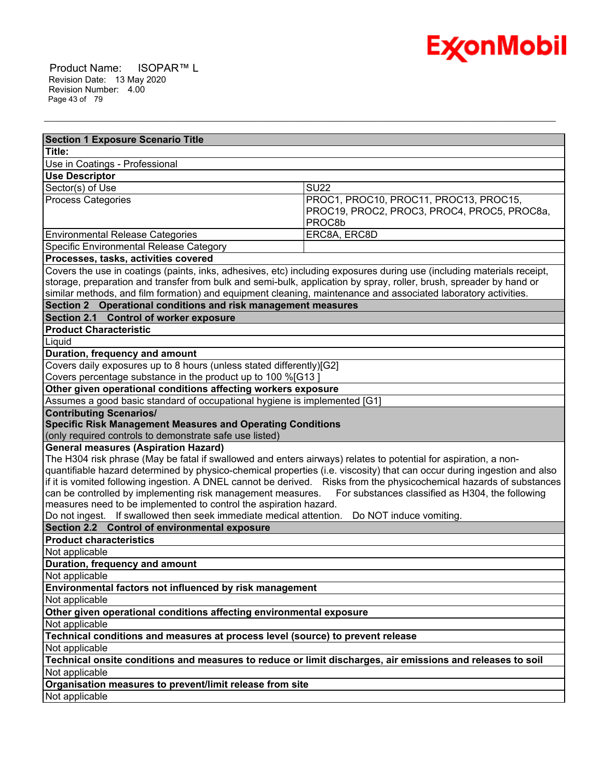

 Product Name: ISOPAR™ L Revision Date: 13 May 2020 Revision Number: 4.00 Page 43 of 79

| <b>Section 1 Exposure Scenario Title</b>                                                                                |                                                  |
|-------------------------------------------------------------------------------------------------------------------------|--------------------------------------------------|
| Title:                                                                                                                  |                                                  |
| Use in Coatings - Professional                                                                                          |                                                  |
| <b>Use Descriptor</b>                                                                                                   |                                                  |
| Sector(s) of Use                                                                                                        | <b>SU22</b>                                      |
| <b>Process Categories</b>                                                                                               | PROC1, PROC10, PROC11, PROC13, PROC15,           |
|                                                                                                                         | PROC19, PROC2, PROC3, PROC4, PROC5, PROC8a,      |
|                                                                                                                         | PROC8b                                           |
| <b>Environmental Release Categories</b>                                                                                 | ERC8A, ERC8D                                     |
| Specific Environmental Release Category                                                                                 |                                                  |
| Processes, tasks, activities covered                                                                                    |                                                  |
| Covers the use in coatings (paints, inks, adhesives, etc) including exposures during use (including materials receipt,  |                                                  |
| storage, preparation and transfer from bulk and semi-bulk, application by spray, roller, brush, spreader by hand or     |                                                  |
| similar methods, and film formation) and equipment cleaning, maintenance and associated laboratory activities.          |                                                  |
| Section 2 Operational conditions and risk management measures                                                           |                                                  |
| Section 2.1 Control of worker exposure                                                                                  |                                                  |
| <b>Product Characteristic</b>                                                                                           |                                                  |
| Liquid                                                                                                                  |                                                  |
| Duration, frequency and amount                                                                                          |                                                  |
| Covers daily exposures up to 8 hours (unless stated differently)[G2]                                                    |                                                  |
| Covers percentage substance in the product up to 100 %[G13]                                                             |                                                  |
| Other given operational conditions affecting workers exposure                                                           |                                                  |
| Assumes a good basic standard of occupational hygiene is implemented [G1]                                               |                                                  |
| <b>Contributing Scenarios/</b>                                                                                          |                                                  |
| <b>Specific Risk Management Measures and Operating Conditions</b>                                                       |                                                  |
| (only required controls to demonstrate safe use listed)                                                                 |                                                  |
| <b>General measures (Aspiration Hazard)</b>                                                                             |                                                  |
| The H304 risk phrase (May be fatal if swallowed and enters airways) relates to potential for aspiration, a non-         |                                                  |
| quantifiable hazard determined by physico-chemical properties (i.e. viscosity) that can occur during ingestion and also |                                                  |
| if it is vomited following ingestion. A DNEL cannot be derived. Risks from the physicochemical hazards of substances    |                                                  |
| can be controlled by implementing risk management measures.                                                             | For substances classified as H304, the following |
| measures need to be implemented to control the aspiration hazard.                                                       |                                                  |
| Do not ingest. If swallowed then seek immediate medical attention. Do NOT induce vomiting.                              |                                                  |
| Section 2.2 Control of environmental exposure                                                                           |                                                  |
| <b>Product characteristics</b>                                                                                          |                                                  |
| Not applicable                                                                                                          |                                                  |
| Duration, frequency and amount                                                                                          |                                                  |
| Not applicable                                                                                                          |                                                  |
| Environmental factors not influenced by risk management                                                                 |                                                  |
| Not applicable                                                                                                          |                                                  |
| Other given operational conditions affecting environmental exposure                                                     |                                                  |
| Not applicable                                                                                                          |                                                  |
| Technical conditions and measures at process level (source) to prevent release                                          |                                                  |
| Not applicable                                                                                                          |                                                  |
| Technical onsite conditions and measures to reduce or limit discharges, air emissions and releases to soil              |                                                  |
| Not applicable                                                                                                          |                                                  |
| Organisation measures to prevent/limit release from site                                                                |                                                  |
| Not applicable                                                                                                          |                                                  |
|                                                                                                                         |                                                  |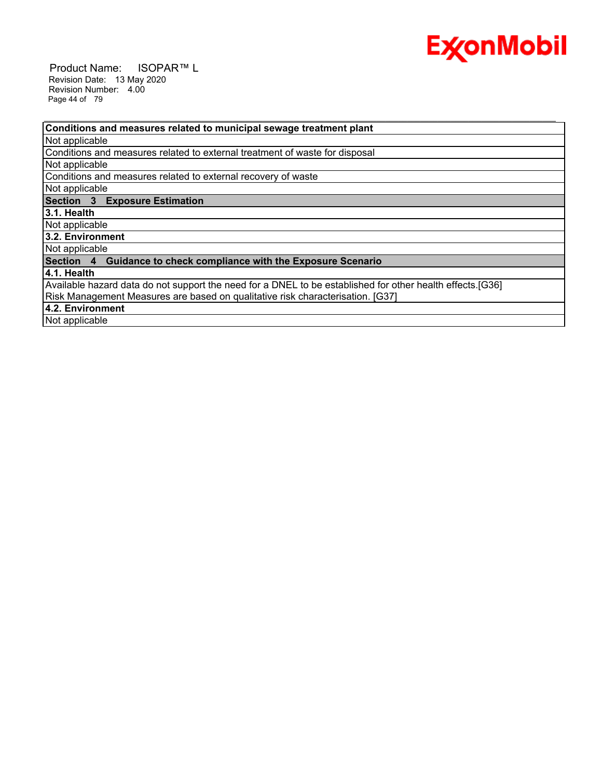

 Product Name: ISOPAR™ L Revision Date: 13 May 2020 Revision Number: 4.00 Page 44 of 79

| Conditions and measures related to municipal sewage treatment plant                                       |
|-----------------------------------------------------------------------------------------------------------|
| Not applicable                                                                                            |
| Conditions and measures related to external treatment of waste for disposal                               |
| Not applicable                                                                                            |
| Conditions and measures related to external recovery of waste                                             |
| Not applicable                                                                                            |
| <b>Section 3 Exposure Estimation</b>                                                                      |
| 3.1. Health                                                                                               |
| Not applicable                                                                                            |
| 3.2. Environment                                                                                          |
| Not applicable                                                                                            |
| Section 4 Guidance to check compliance with the Exposure Scenario                                         |
| 4.1. Health                                                                                               |
| Available hazard data do not support the need for a DNEL to be established for other health effects.[G36] |
| Risk Management Measures are based on qualitative risk characterisation. [G37]                            |
| 4.2. Environment                                                                                          |
| Not applicable                                                                                            |
|                                                                                                           |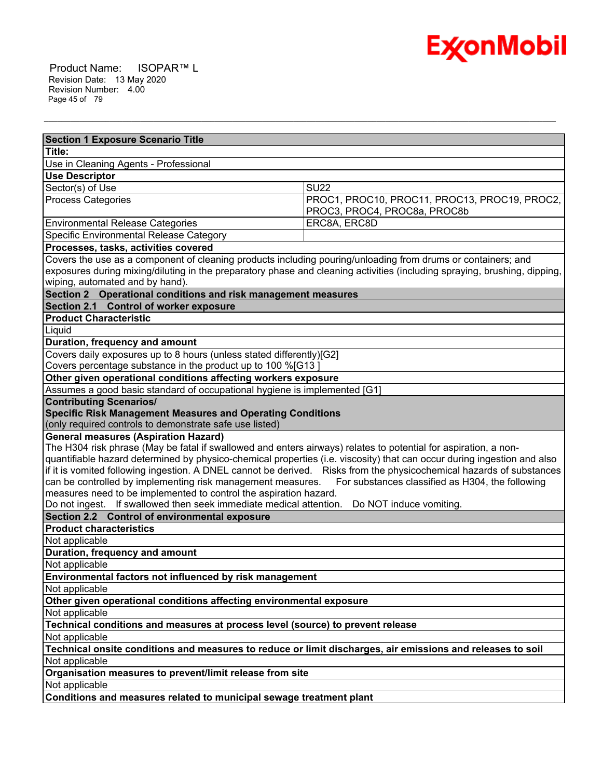

 Product Name: ISOPAR™ L Revision Date: 13 May 2020 Revision Number: 4.00 Page 45 of 79

| <b>Section 1 Exposure Scenario Title</b>                                                                                                    |                                                  |
|---------------------------------------------------------------------------------------------------------------------------------------------|--------------------------------------------------|
| Title:                                                                                                                                      |                                                  |
| Use in Cleaning Agents - Professional                                                                                                       |                                                  |
| <b>Use Descriptor</b>                                                                                                                       |                                                  |
| Sector(s) of Use                                                                                                                            | <b>SU22</b>                                      |
| <b>Process Categories</b>                                                                                                                   | PROC1, PROC10, PROC11, PROC13, PROC19, PROC2,    |
|                                                                                                                                             | PROC3, PROC4, PROC8a, PROC8b                     |
| <b>Environmental Release Categories</b>                                                                                                     | ERC8A, ERC8D                                     |
| Specific Environmental Release Category                                                                                                     |                                                  |
| Processes, tasks, activities covered                                                                                                        |                                                  |
| Covers the use as a component of cleaning products including pouring/unloading from drums or containers; and                                |                                                  |
| exposures during mixing/diluting in the preparatory phase and cleaning activities (including spraying, brushing, dipping,                   |                                                  |
| wiping, automated and by hand).                                                                                                             |                                                  |
| Section 2 Operational conditions and risk management measures                                                                               |                                                  |
| Section 2.1 Control of worker exposure                                                                                                      |                                                  |
| <b>Product Characteristic</b>                                                                                                               |                                                  |
| Liquid                                                                                                                                      |                                                  |
| Duration, frequency and amount                                                                                                              |                                                  |
| Covers daily exposures up to 8 hours (unless stated differently)[G2]                                                                        |                                                  |
| Covers percentage substance in the product up to 100 %[G13]                                                                                 |                                                  |
| Other given operational conditions affecting workers exposure                                                                               |                                                  |
| Assumes a good basic standard of occupational hygiene is implemented [G1]                                                                   |                                                  |
| <b>Contributing Scenarios/</b>                                                                                                              |                                                  |
| <b>Specific Risk Management Measures and Operating Conditions</b>                                                                           |                                                  |
| (only required controls to demonstrate safe use listed)                                                                                     |                                                  |
| <b>General measures (Aspiration Hazard)</b>                                                                                                 |                                                  |
| The H304 risk phrase (May be fatal if swallowed and enters airways) relates to potential for aspiration, a non-                             |                                                  |
| quantifiable hazard determined by physico-chemical properties (i.e. viscosity) that can occur during ingestion and also                     |                                                  |
| if it is vomited following ingestion. A DNEL cannot be derived. Risks from the physicochemical hazards of substances                        |                                                  |
| can be controlled by implementing risk management measures.                                                                                 | For substances classified as H304, the following |
| measures need to be implemented to control the aspiration hazard.                                                                           |                                                  |
| Do not ingest. If swallowed then seek immediate medical attention. Do NOT induce vomiting.<br>Section 2.2 Control of environmental exposure |                                                  |
| <b>Product characteristics</b>                                                                                                              |                                                  |
|                                                                                                                                             |                                                  |
| Not applicable                                                                                                                              |                                                  |
| Duration, frequency and amount                                                                                                              |                                                  |
| Not applicable                                                                                                                              |                                                  |
| Environmental factors not influenced by risk management                                                                                     |                                                  |
| Not applicable                                                                                                                              |                                                  |
| Other given operational conditions affecting environmental exposure                                                                         |                                                  |
| Not applicable                                                                                                                              |                                                  |
| Technical conditions and measures at process level (source) to prevent release                                                              |                                                  |
| Not applicable                                                                                                                              |                                                  |
| Technical onsite conditions and measures to reduce or limit discharges, air emissions and releases to soil                                  |                                                  |
| Not applicable                                                                                                                              |                                                  |
| Organisation measures to prevent/limit release from site                                                                                    |                                                  |
| Not applicable                                                                                                                              |                                                  |
| Conditions and measures related to municipal sewage treatment plant                                                                         |                                                  |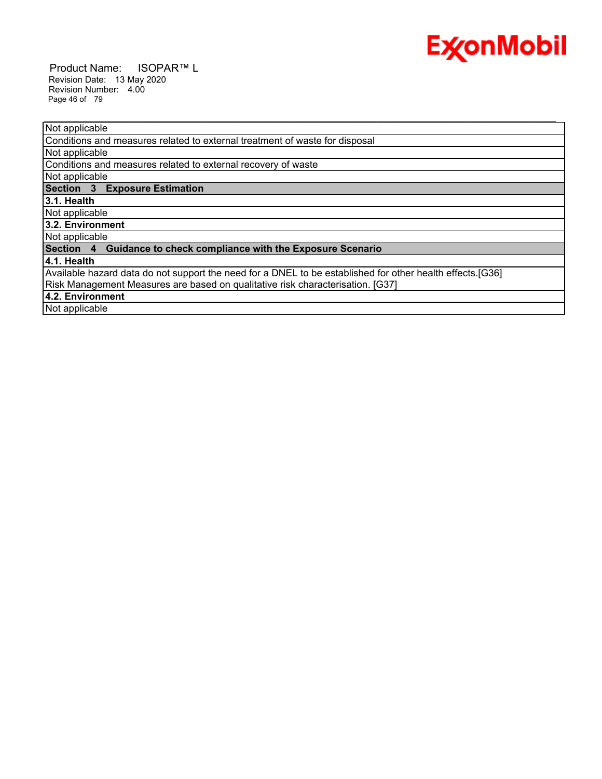

 Product Name: ISOPAR™ L Revision Date: 13 May 2020 Revision Number: 4.00 Page 46 of 79

| Not applicable                                                                                            |
|-----------------------------------------------------------------------------------------------------------|
| Conditions and measures related to external treatment of waste for disposal                               |
| Not applicable                                                                                            |
| Conditions and measures related to external recovery of waste                                             |
| Not applicable                                                                                            |
| Section 3 Exposure Estimation                                                                             |
| 3.1. Health                                                                                               |
| Not applicable                                                                                            |
| 3.2. Environment                                                                                          |
| Not applicable                                                                                            |
| Section 4 Guidance to check compliance with the Exposure Scenario                                         |
| ∣4.1. Health                                                                                              |
| Available hazard data do not support the need for a DNEL to be established for other health effects.[G36] |
| Risk Management Measures are based on qualitative risk characterisation. [G37]                            |
| 4.2. Environment                                                                                          |
| Not applicable                                                                                            |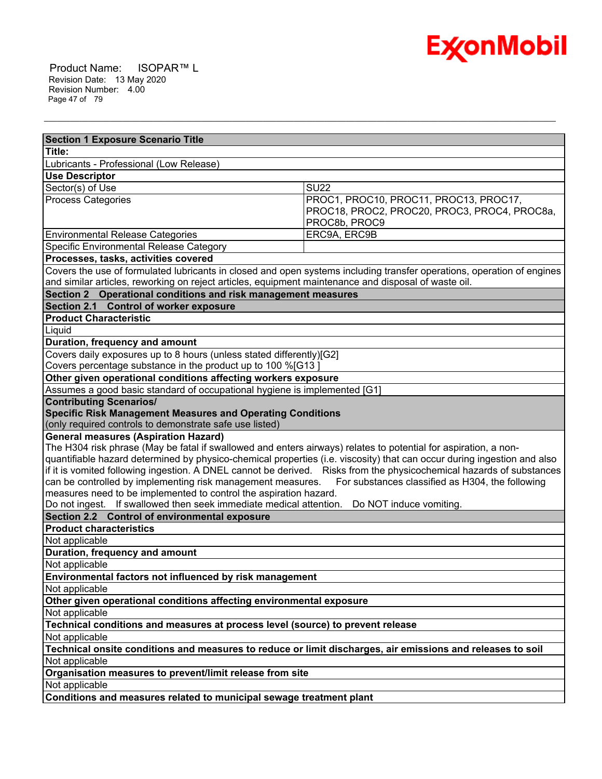

 Product Name: ISOPAR™ L Revision Date: 13 May 2020 Revision Number: 4.00 Page 47 of 79

| <b>Section 1 Exposure Scenario Title</b>                                                                                |                                                  |
|-------------------------------------------------------------------------------------------------------------------------|--------------------------------------------------|
| Title:                                                                                                                  |                                                  |
| Lubricants - Professional (Low Release)                                                                                 |                                                  |
| <b>Use Descriptor</b>                                                                                                   |                                                  |
| Sector(s) of Use                                                                                                        | <b>SU22</b>                                      |
| <b>Process Categories</b>                                                                                               | PROC1, PROC10, PROC11, PROC13, PROC17,           |
|                                                                                                                         | PROC18, PROC2, PROC20, PROC3, PROC4, PROC8a,     |
|                                                                                                                         | PROC8b, PROC9                                    |
| <b>Environmental Release Categories</b>                                                                                 | ERC9A, ERC9B                                     |
| Specific Environmental Release Category                                                                                 |                                                  |
| Processes, tasks, activities covered                                                                                    |                                                  |
| Covers the use of formulated lubricants in closed and open systems including transfer operations, operation of engines  |                                                  |
| and similar articles, reworking on reject articles, equipment maintenance and disposal of waste oil.                    |                                                  |
| Section 2 Operational conditions and risk management measures                                                           |                                                  |
| Section 2.1 Control of worker exposure                                                                                  |                                                  |
| <b>Product Characteristic</b>                                                                                           |                                                  |
| Liquid                                                                                                                  |                                                  |
| Duration, frequency and amount                                                                                          |                                                  |
| Covers daily exposures up to 8 hours (unless stated differently)[G2]                                                    |                                                  |
| Covers percentage substance in the product up to 100 %[G13]                                                             |                                                  |
| Other given operational conditions affecting workers exposure                                                           |                                                  |
| Assumes a good basic standard of occupational hygiene is implemented [G1]                                               |                                                  |
| <b>Contributing Scenarios/</b>                                                                                          |                                                  |
| <b>Specific Risk Management Measures and Operating Conditions</b>                                                       |                                                  |
| (only required controls to demonstrate safe use listed)                                                                 |                                                  |
| <b>General measures (Aspiration Hazard)</b>                                                                             |                                                  |
| The H304 risk phrase (May be fatal if swallowed and enters airways) relates to potential for aspiration, a non-         |                                                  |
| quantifiable hazard determined by physico-chemical properties (i.e. viscosity) that can occur during ingestion and also |                                                  |
| if it is vomited following ingestion. A DNEL cannot be derived. Risks from the physicochemical hazards of substances    |                                                  |
| can be controlled by implementing risk management measures.                                                             | For substances classified as H304, the following |
| measures need to be implemented to control the aspiration hazard.                                                       |                                                  |
| Do not ingest. If swallowed then seek immediate medical attention. Do NOT induce vomiting.                              |                                                  |
| Section 2.2 Control of environmental exposure                                                                           |                                                  |
| <b>Product characteristics</b>                                                                                          |                                                  |
| Not applicable                                                                                                          |                                                  |
| Duration, frequency and amount                                                                                          |                                                  |
| Not applicable                                                                                                          |                                                  |
| Environmental factors not influenced by risk management                                                                 |                                                  |
| Not applicable                                                                                                          |                                                  |
| Other given operational conditions affecting environmental exposure                                                     |                                                  |
| Not applicable                                                                                                          |                                                  |
| Technical conditions and measures at process level (source) to prevent release                                          |                                                  |
| Not applicable                                                                                                          |                                                  |
| Technical onsite conditions and measures to reduce or limit discharges, air emissions and releases to soil              |                                                  |
| Not applicable                                                                                                          |                                                  |
| Organisation measures to prevent/limit release from site                                                                |                                                  |
| Not applicable                                                                                                          |                                                  |
| Conditions and measures related to municipal sewage treatment plant                                                     |                                                  |
|                                                                                                                         |                                                  |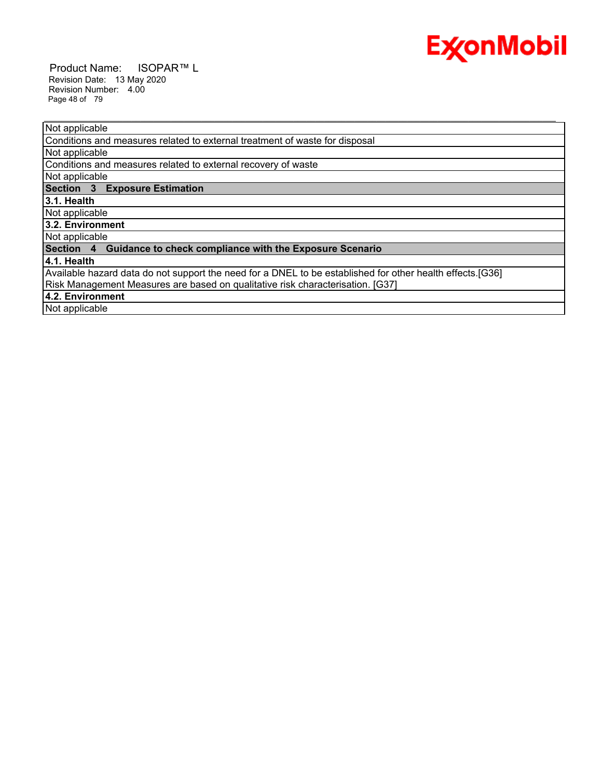

 Product Name: ISOPAR™ L Revision Date: 13 May 2020 Revision Number: 4.00 Page 48 of 79

| Not applicable                                                                                            |
|-----------------------------------------------------------------------------------------------------------|
| Conditions and measures related to external treatment of waste for disposal                               |
| Not applicable                                                                                            |
| Conditions and measures related to external recovery of waste                                             |
| Not applicable                                                                                            |
| Section 3 Exposure Estimation                                                                             |
| 3.1. Health                                                                                               |
| Not applicable                                                                                            |
| 3.2. Environment                                                                                          |
| Not applicable                                                                                            |
| Section 4 Guidance to check compliance with the Exposure Scenario                                         |
| ∣4.1. Health                                                                                              |
| Available hazard data do not support the need for a DNEL to be established for other health effects.[G36] |
| Risk Management Measures are based on qualitative risk characterisation. [G37]                            |
| 4.2. Environment                                                                                          |
| Not applicable                                                                                            |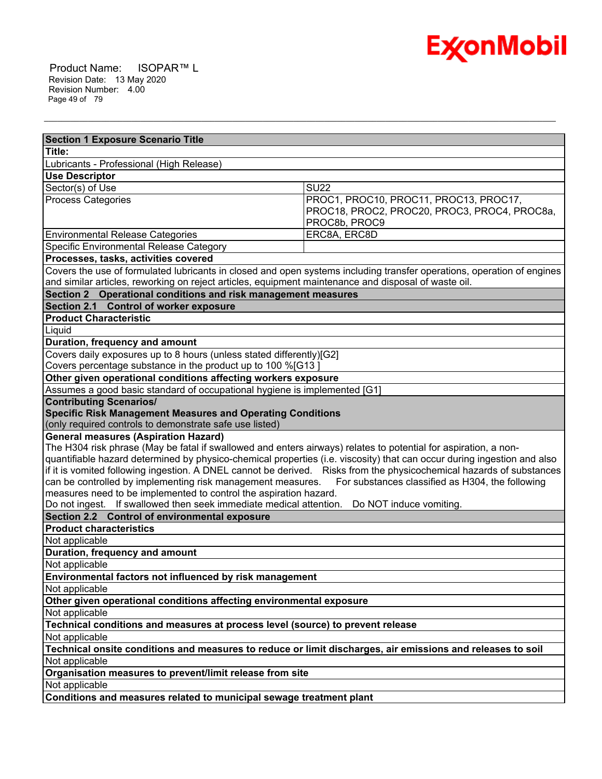

 Product Name: ISOPAR™ L Revision Date: 13 May 2020 Revision Number: 4.00 Page 49 of 79

| <b>Section 1 Exposure Scenario Title</b>                                                                                |                                                  |
|-------------------------------------------------------------------------------------------------------------------------|--------------------------------------------------|
| Title:                                                                                                                  |                                                  |
| Lubricants - Professional (High Release)                                                                                |                                                  |
| <b>Use Descriptor</b>                                                                                                   |                                                  |
| Sector(s) of Use                                                                                                        | <b>SU22</b>                                      |
| <b>Process Categories</b>                                                                                               | PROC1, PROC10, PROC11, PROC13, PROC17,           |
|                                                                                                                         | PROC18, PROC2, PROC20, PROC3, PROC4, PROC8a,     |
|                                                                                                                         | PROC8b, PROC9                                    |
| <b>Environmental Release Categories</b>                                                                                 | ERC8A, ERC8D                                     |
| Specific Environmental Release Category                                                                                 |                                                  |
| Processes, tasks, activities covered                                                                                    |                                                  |
| Covers the use of formulated lubricants in closed and open systems including transfer operations, operation of engines  |                                                  |
| and similar articles, reworking on reject articles, equipment maintenance and disposal of waste oil.                    |                                                  |
| Section 2 Operational conditions and risk management measures                                                           |                                                  |
| Section 2.1 Control of worker exposure                                                                                  |                                                  |
| <b>Product Characteristic</b>                                                                                           |                                                  |
| Liquid                                                                                                                  |                                                  |
| Duration, frequency and amount                                                                                          |                                                  |
| Covers daily exposures up to 8 hours (unless stated differently)[G2]                                                    |                                                  |
| Covers percentage substance in the product up to 100 %[G13]                                                             |                                                  |
| Other given operational conditions affecting workers exposure                                                           |                                                  |
| Assumes a good basic standard of occupational hygiene is implemented [G1]                                               |                                                  |
| <b>Contributing Scenarios/</b>                                                                                          |                                                  |
| <b>Specific Risk Management Measures and Operating Conditions</b>                                                       |                                                  |
| (only required controls to demonstrate safe use listed)                                                                 |                                                  |
| <b>General measures (Aspiration Hazard)</b>                                                                             |                                                  |
| The H304 risk phrase (May be fatal if swallowed and enters airways) relates to potential for aspiration, a non-         |                                                  |
| quantifiable hazard determined by physico-chemical properties (i.e. viscosity) that can occur during ingestion and also |                                                  |
| if it is vomited following ingestion. A DNEL cannot be derived. Risks from the physicochemical hazards of substances    |                                                  |
| can be controlled by implementing risk management measures.                                                             | For substances classified as H304, the following |
| measures need to be implemented to control the aspiration hazard.                                                       |                                                  |
| Do not ingest. If swallowed then seek immediate medical attention. Do NOT induce vomiting.                              |                                                  |
| Section 2.2 Control of environmental exposure                                                                           |                                                  |
| <b>Product characteristics</b>                                                                                          |                                                  |
| Not applicable                                                                                                          |                                                  |
| Duration, frequency and amount                                                                                          |                                                  |
| Not applicable                                                                                                          |                                                  |
| Environmental factors not influenced by risk management                                                                 |                                                  |
| Not applicable                                                                                                          |                                                  |
| Other given operational conditions affecting environmental exposure                                                     |                                                  |
| Not applicable                                                                                                          |                                                  |
| Technical conditions and measures at process level (source) to prevent release                                          |                                                  |
| Not applicable                                                                                                          |                                                  |
| Technical onsite conditions and measures to reduce or limit discharges, air emissions and releases to soil              |                                                  |
| Not applicable                                                                                                          |                                                  |
| Organisation measures to prevent/limit release from site                                                                |                                                  |
| Not applicable                                                                                                          |                                                  |
| Conditions and measures related to municipal sewage treatment plant                                                     |                                                  |
|                                                                                                                         |                                                  |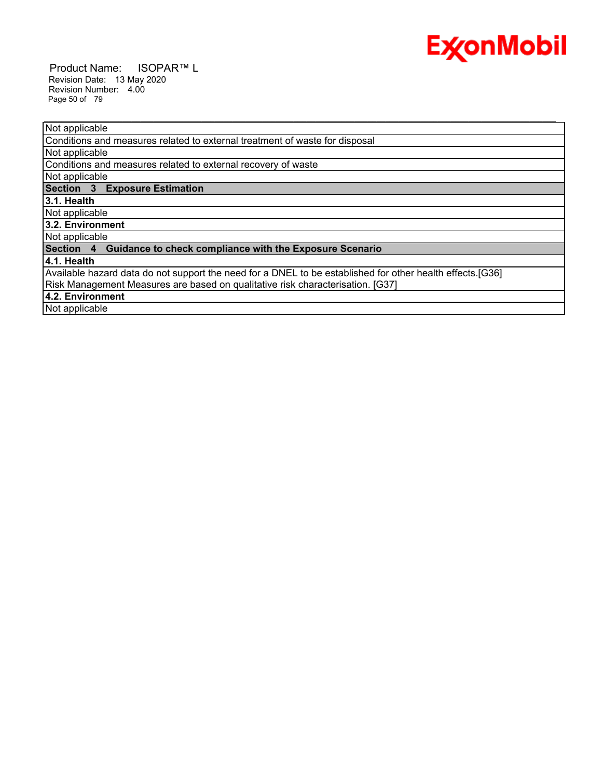

 Product Name: ISOPAR™ L Revision Date: 13 May 2020 Revision Number: 4.00 Page 50 of 79

| Not applicable                                                                                            |  |
|-----------------------------------------------------------------------------------------------------------|--|
| Conditions and measures related to external treatment of waste for disposal                               |  |
| Not applicable                                                                                            |  |
| Conditions and measures related to external recovery of waste                                             |  |
| Not applicable                                                                                            |  |
| Section 3 Exposure Estimation                                                                             |  |
| 3.1. Health                                                                                               |  |
| Not applicable                                                                                            |  |
| 3.2. Environment                                                                                          |  |
| Not applicable                                                                                            |  |
| Section 4 Guidance to check compliance with the Exposure Scenario                                         |  |
| ∣4.1. Health                                                                                              |  |
| Available hazard data do not support the need for a DNEL to be established for other health effects.[G36] |  |
| Risk Management Measures are based on qualitative risk characterisation. [G37]                            |  |
| 4.2. Environment                                                                                          |  |
| Not applicable                                                                                            |  |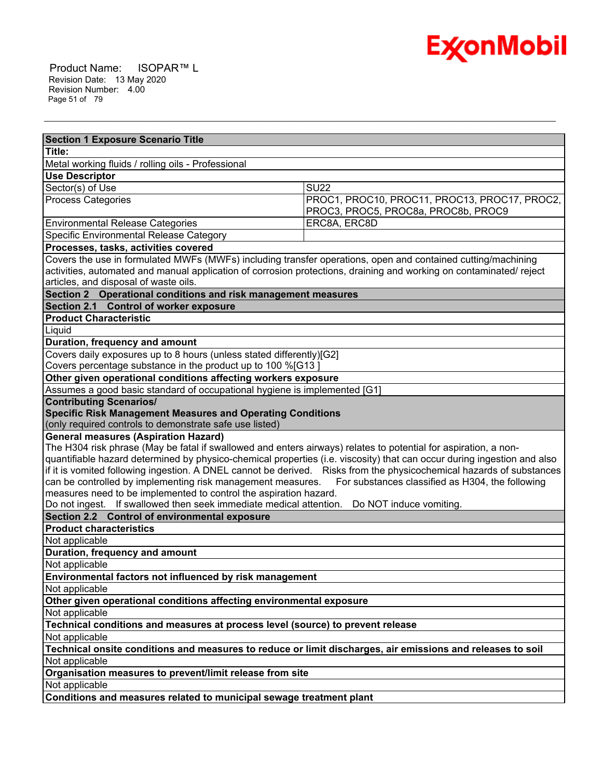

 Product Name: ISOPAR™ L Revision Date: 13 May 2020 Revision Number: 4.00 Page 51 of 79

| <b>Section 1 Exposure Scenario Title</b>                                                                                |                                                  |
|-------------------------------------------------------------------------------------------------------------------------|--------------------------------------------------|
| Title:                                                                                                                  |                                                  |
| Metal working fluids / rolling oils - Professional                                                                      |                                                  |
| <b>Use Descriptor</b>                                                                                                   |                                                  |
| Sector(s) of Use                                                                                                        | <b>SU22</b>                                      |
| <b>Process Categories</b>                                                                                               | PROC1, PROC10, PROC11, PROC13, PROC17, PROC2,    |
|                                                                                                                         | PROC3, PROC5, PROC8a, PROC8b, PROC9              |
| <b>Environmental Release Categories</b>                                                                                 | ERC8A, ERC8D                                     |
| Specific Environmental Release Category                                                                                 |                                                  |
| Processes, tasks, activities covered                                                                                    |                                                  |
| Covers the use in formulated MWFs (MWFs) including transfer operations, open and contained cutting/machining            |                                                  |
| activities, automated and manual application of corrosion protections, draining and working on contaminated/reject      |                                                  |
| articles, and disposal of waste oils.                                                                                   |                                                  |
| Section 2 Operational conditions and risk management measures                                                           |                                                  |
| Section 2.1 Control of worker exposure                                                                                  |                                                  |
| <b>Product Characteristic</b>                                                                                           |                                                  |
| Liquid                                                                                                                  |                                                  |
| Duration, frequency and amount                                                                                          |                                                  |
| Covers daily exposures up to 8 hours (unless stated differently)[G2]                                                    |                                                  |
| Covers percentage substance in the product up to 100 %[G13]                                                             |                                                  |
| Other given operational conditions affecting workers exposure                                                           |                                                  |
| Assumes a good basic standard of occupational hygiene is implemented [G1]                                               |                                                  |
| <b>Contributing Scenarios/</b>                                                                                          |                                                  |
| <b>Specific Risk Management Measures and Operating Conditions</b>                                                       |                                                  |
| (only required controls to demonstrate safe use listed)                                                                 |                                                  |
| <b>General measures (Aspiration Hazard)</b>                                                                             |                                                  |
| The H304 risk phrase (May be fatal if swallowed and enters airways) relates to potential for aspiration, a non-         |                                                  |
| quantifiable hazard determined by physico-chemical properties (i.e. viscosity) that can occur during ingestion and also |                                                  |
| if it is vomited following ingestion. A DNEL cannot be derived. Risks from the physicochemical hazards of substances    |                                                  |
| can be controlled by implementing risk management measures.                                                             | For substances classified as H304, the following |
| measures need to be implemented to control the aspiration hazard.                                                       |                                                  |
| Do not ingest. If swallowed then seek immediate medical attention. Do NOT induce vomiting.                              |                                                  |
| Section 2.2 Control of environmental exposure                                                                           |                                                  |
| <b>Product characteristics</b>                                                                                          |                                                  |
| Not applicable                                                                                                          |                                                  |
| Duration, frequency and amount                                                                                          |                                                  |
| Not applicable                                                                                                          |                                                  |
| Environmental factors not influenced by risk management                                                                 |                                                  |
| Not applicable                                                                                                          |                                                  |
| Other given operational conditions affecting environmental exposure                                                     |                                                  |
| Not applicable                                                                                                          |                                                  |
| Technical conditions and measures at process level (source) to prevent release                                          |                                                  |
| Not applicable                                                                                                          |                                                  |
| Technical onsite conditions and measures to reduce or limit discharges, air emissions and releases to soil              |                                                  |
| Not applicable                                                                                                          |                                                  |
| Organisation measures to prevent/limit release from site                                                                |                                                  |
| Not applicable                                                                                                          |                                                  |
| Conditions and measures related to municipal sewage treatment plant                                                     |                                                  |
|                                                                                                                         |                                                  |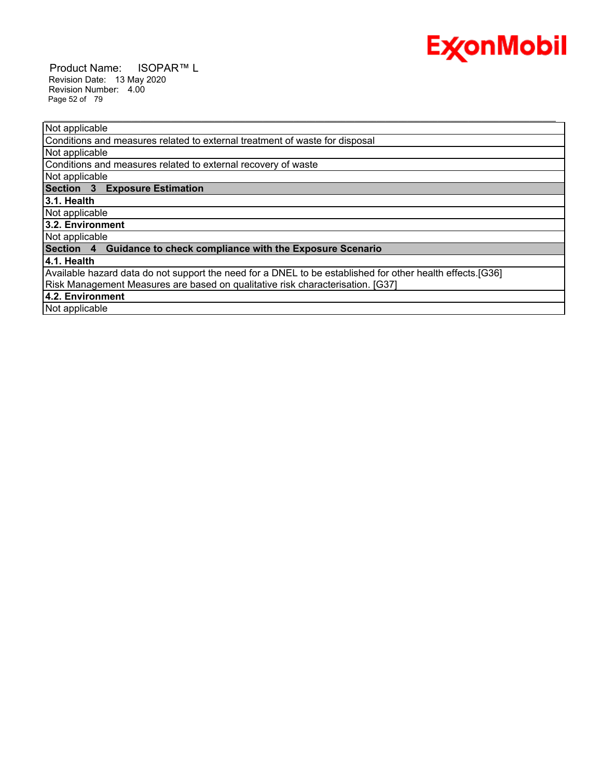

 Product Name: ISOPAR™ L Revision Date: 13 May 2020 Revision Number: 4.00 Page 52 of 79

| Not applicable                                                                                            |  |
|-----------------------------------------------------------------------------------------------------------|--|
| Conditions and measures related to external treatment of waste for disposal                               |  |
| Not applicable                                                                                            |  |
| Conditions and measures related to external recovery of waste                                             |  |
| Not applicable                                                                                            |  |
| Section 3 Exposure Estimation                                                                             |  |
| 3.1. Health                                                                                               |  |
| Not applicable                                                                                            |  |
| 3.2. Environment                                                                                          |  |
| Not applicable                                                                                            |  |
| Section 4 Guidance to check compliance with the Exposure Scenario                                         |  |
| ∣4.1. Health                                                                                              |  |
| Available hazard data do not support the need for a DNEL to be established for other health effects.[G36] |  |
| Risk Management Measures are based on qualitative risk characterisation. [G37]                            |  |
| 4.2. Environment                                                                                          |  |
| Not applicable                                                                                            |  |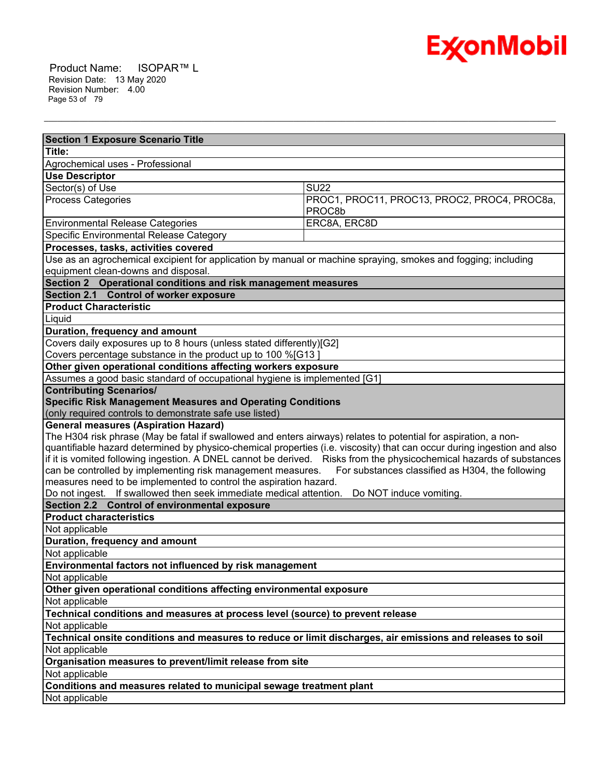

 Product Name: ISOPAR™ L Revision Date: 13 May 2020 Revision Number: 4.00 Page 53 of 79

| <b>Section 1 Exposure Scenario Title</b>                                                                                |                                                  |
|-------------------------------------------------------------------------------------------------------------------------|--------------------------------------------------|
| Title:                                                                                                                  |                                                  |
| Agrochemical uses - Professional                                                                                        |                                                  |
| <b>Use Descriptor</b>                                                                                                   |                                                  |
| Sector(s) of Use                                                                                                        | <b>SU22</b>                                      |
| <b>Process Categories</b>                                                                                               | PROC1, PROC11, PROC13, PROC2, PROC4, PROC8a,     |
|                                                                                                                         | PROC8b                                           |
| <b>Environmental Release Categories</b>                                                                                 | ERC8A, ERC8D                                     |
| Specific Environmental Release Category                                                                                 |                                                  |
| Processes, tasks, activities covered                                                                                    |                                                  |
| Use as an agrochemical excipient for application by manual or machine spraying, smokes and fogging; including           |                                                  |
| equipment clean-downs and disposal.                                                                                     |                                                  |
| Section 2 Operational conditions and risk management measures                                                           |                                                  |
| Section 2.1 Control of worker exposure                                                                                  |                                                  |
| <b>Product Characteristic</b>                                                                                           |                                                  |
| Liquid                                                                                                                  |                                                  |
| Duration, frequency and amount                                                                                          |                                                  |
| Covers daily exposures up to 8 hours (unless stated differently)[G2]                                                    |                                                  |
| Covers percentage substance in the product up to 100 %[G13]                                                             |                                                  |
| Other given operational conditions affecting workers exposure                                                           |                                                  |
| Assumes a good basic standard of occupational hygiene is implemented [G1]                                               |                                                  |
| <b>Contributing Scenarios/</b>                                                                                          |                                                  |
| <b>Specific Risk Management Measures and Operating Conditions</b>                                                       |                                                  |
| (only required controls to demonstrate safe use listed)                                                                 |                                                  |
| <b>General measures (Aspiration Hazard)</b>                                                                             |                                                  |
| The H304 risk phrase (May be fatal if swallowed and enters airways) relates to potential for aspiration, a non-         |                                                  |
| quantifiable hazard determined by physico-chemical properties (i.e. viscosity) that can occur during ingestion and also |                                                  |
| if it is vomited following ingestion. A DNEL cannot be derived. Risks from the physicochemical hazards of substances    |                                                  |
| can be controlled by implementing risk management measures.                                                             | For substances classified as H304, the following |
| measures need to be implemented to control the aspiration hazard.                                                       |                                                  |
| Do not ingest. If swallowed then seek immediate medical attention.                                                      | Do NOT induce vomiting.                          |
| Section 2.2 Control of environmental exposure                                                                           |                                                  |
| <b>Product characteristics</b>                                                                                          |                                                  |
| Not applicable                                                                                                          |                                                  |
| Duration, frequency and amount                                                                                          |                                                  |
| Not applicable                                                                                                          |                                                  |
| Environmental factors not influenced by risk management                                                                 |                                                  |
| Not applicable                                                                                                          |                                                  |
| Other given operational conditions affecting environmental exposure                                                     |                                                  |
| Not applicable                                                                                                          |                                                  |
| Technical conditions and measures at process level (source) to prevent release                                          |                                                  |
| Not applicable                                                                                                          |                                                  |
| Technical onsite conditions and measures to reduce or limit discharges, air emissions and releases to soil              |                                                  |
| Not applicable                                                                                                          |                                                  |
| Organisation measures to prevent/limit release from site                                                                |                                                  |
| Not applicable                                                                                                          |                                                  |
| Conditions and measures related to municipal sewage treatment plant                                                     |                                                  |
| Not applicable                                                                                                          |                                                  |
|                                                                                                                         |                                                  |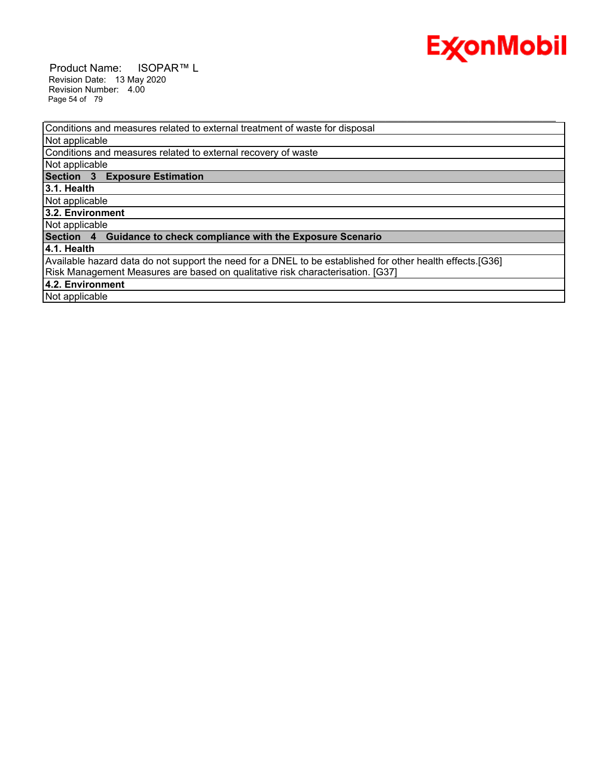

 Product Name: ISOPAR™ L Revision Date: 13 May 2020 Revision Number: 4.00 Page 54 of 79

## \_\_\_\_\_\_\_\_\_\_\_\_\_\_\_\_\_\_\_\_\_\_\_\_\_\_\_\_\_\_\_\_\_\_\_\_\_\_\_\_\_\_\_\_\_\_\_\_\_\_\_\_\_\_\_\_\_\_\_\_\_\_\_\_\_\_\_\_\_\_\_\_\_\_\_\_\_\_\_\_\_\_\_\_\_\_\_\_\_\_\_\_\_\_\_\_\_\_\_\_\_\_\_\_\_\_\_\_\_\_\_\_\_\_\_\_\_ Conditions and measures related to external treatment of waste for disposal Not applicable Conditions and measures related to external recovery of waste Not applicable **Section 3 Exposure Estimation 3.1. Health** Not applicable **3.2. Environment** Not applicable **Section 4 Guidance to check compliance with the Exposure Scenario 4.1. Health** Available hazard data do not support the need for a DNEL to be established for other health effects.[G36] Risk Management Measures are based on qualitative risk characterisation. [G37] **4.2. Environment**

Not applicable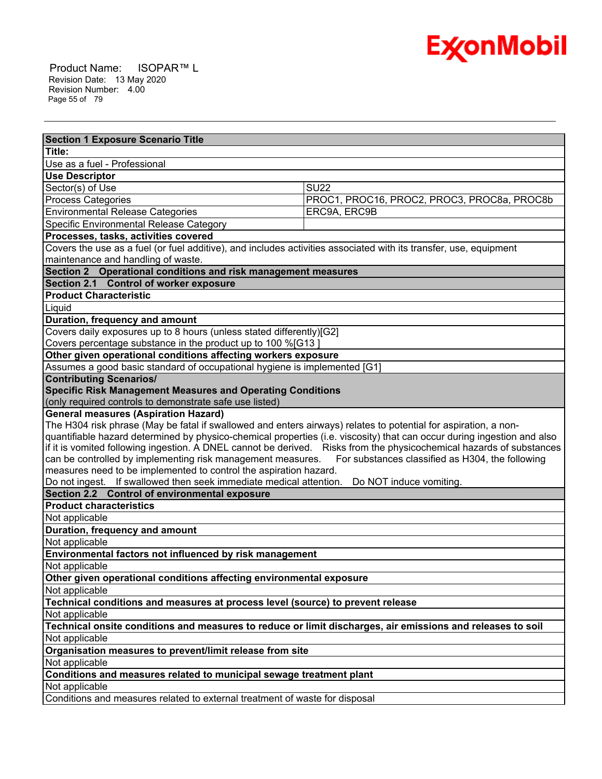

 Product Name: ISOPAR™ L Revision Date: 13 May 2020 Revision Number: 4.00 Page 55 of 79

| <b>Section 1 Exposure Scenario Title</b>                                                                                         |                                                  |
|----------------------------------------------------------------------------------------------------------------------------------|--------------------------------------------------|
| Title:                                                                                                                           |                                                  |
| Use as a fuel - Professional                                                                                                     |                                                  |
| <b>Use Descriptor</b>                                                                                                            |                                                  |
| Sector(s) of Use                                                                                                                 | <b>SU22</b>                                      |
| Process Categories                                                                                                               | PROC1, PROC16, PROC2, PROC3, PROC8a, PROC8b      |
| <b>Environmental Release Categories</b>                                                                                          | ERC9A, ERC9B                                     |
| Specific Environmental Release Category                                                                                          |                                                  |
| Processes, tasks, activities covered                                                                                             |                                                  |
| Covers the use as a fuel (or fuel additive), and includes activities associated with its transfer, use, equipment                |                                                  |
| maintenance and handling of waste.                                                                                               |                                                  |
| Section 2 Operational conditions and risk management measures                                                                    |                                                  |
| Section 2.1 Control of worker exposure                                                                                           |                                                  |
| <b>Product Characteristic</b>                                                                                                    |                                                  |
| Liquid                                                                                                                           |                                                  |
| Duration, frequency and amount                                                                                                   |                                                  |
| Covers daily exposures up to 8 hours (unless stated differently)[G2]                                                             |                                                  |
| Covers percentage substance in the product up to 100 %[G13]                                                                      |                                                  |
| Other given operational conditions affecting workers exposure                                                                    |                                                  |
| Assumes a good basic standard of occupational hygiene is implemented [G1]                                                        |                                                  |
| <b>Contributing Scenarios/</b>                                                                                                   |                                                  |
| <b>Specific Risk Management Measures and Operating Conditions</b>                                                                |                                                  |
| (only required controls to demonstrate safe use listed)                                                                          |                                                  |
| <b>General measures (Aspiration Hazard)</b>                                                                                      |                                                  |
| The H304 risk phrase (May be fatal if swallowed and enters airways) relates to potential for aspiration, a non-                  |                                                  |
| quantifiable hazard determined by physico-chemical properties (i.e. viscosity) that can occur during ingestion and also          |                                                  |
| if it is vomited following ingestion. A DNEL cannot be derived. Risks from the physicochemical hazards of substances             |                                                  |
| can be controlled by implementing risk management measures.<br>measures need to be implemented to control the aspiration hazard. | For substances classified as H304, the following |
| Do not ingest. If swallowed then seek immediate medical attention.                                                               | Do NOT induce vomiting.                          |
| Section 2.2 Control of environmental exposure                                                                                    |                                                  |
| <b>Product characteristics</b>                                                                                                   |                                                  |
| Not applicable                                                                                                                   |                                                  |
| Duration, frequency and amount                                                                                                   |                                                  |
| Not applicable                                                                                                                   |                                                  |
| Environmental factors not influenced by risk management                                                                          |                                                  |
| Not applicable                                                                                                                   |                                                  |
| Other given operational conditions affecting environmental exposure                                                              |                                                  |
| Not applicable                                                                                                                   |                                                  |
| Technical conditions and measures at process level (source) to prevent release                                                   |                                                  |
| Not applicable                                                                                                                   |                                                  |
| Technical onsite conditions and measures to reduce or limit discharges, air emissions and releases to soil                       |                                                  |
| Not applicable                                                                                                                   |                                                  |
| Organisation measures to prevent/limit release from site                                                                         |                                                  |
| Not applicable                                                                                                                   |                                                  |
| Conditions and measures related to municipal sewage treatment plant                                                              |                                                  |
| Not applicable                                                                                                                   |                                                  |
| Conditions and measures related to external treatment of waste for disposal                                                      |                                                  |
|                                                                                                                                  |                                                  |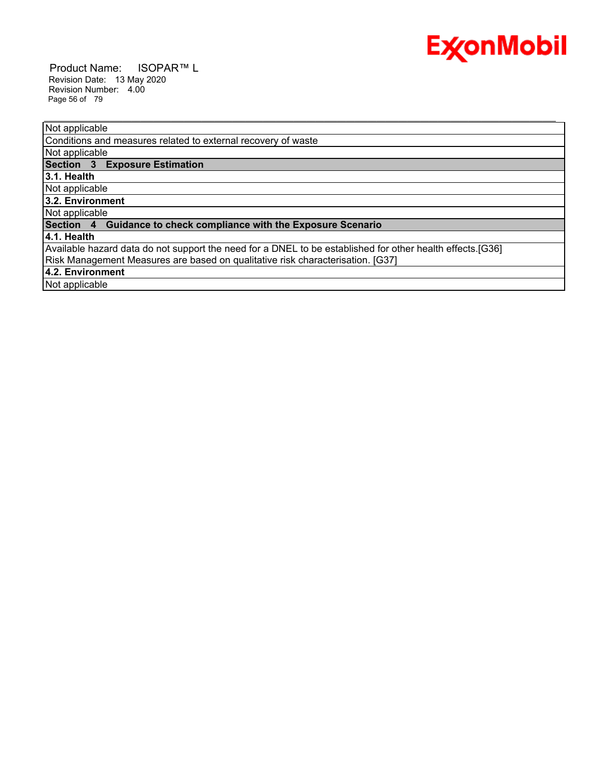

 Product Name: ISOPAR™ L Revision Date: 13 May 2020 Revision Number: 4.00 Page 56 of 79

| Not applicable                                                                                            |
|-----------------------------------------------------------------------------------------------------------|
| Conditions and measures related to external recovery of waste                                             |
| Not applicable                                                                                            |
| Section 3 Exposure Estimation                                                                             |
| 3.1. Health                                                                                               |
| Not applicable                                                                                            |
| 3.2. Environment                                                                                          |
| Not applicable                                                                                            |
| Section 4 Guidance to check compliance with the Exposure Scenario                                         |
| <b>4.1. Health</b>                                                                                        |
| Available hazard data do not support the need for a DNEL to be established for other health effects.[G36] |
| Risk Management Measures are based on qualitative risk characterisation. [G37]                            |
| 4.2. Environment                                                                                          |
| Not applicable                                                                                            |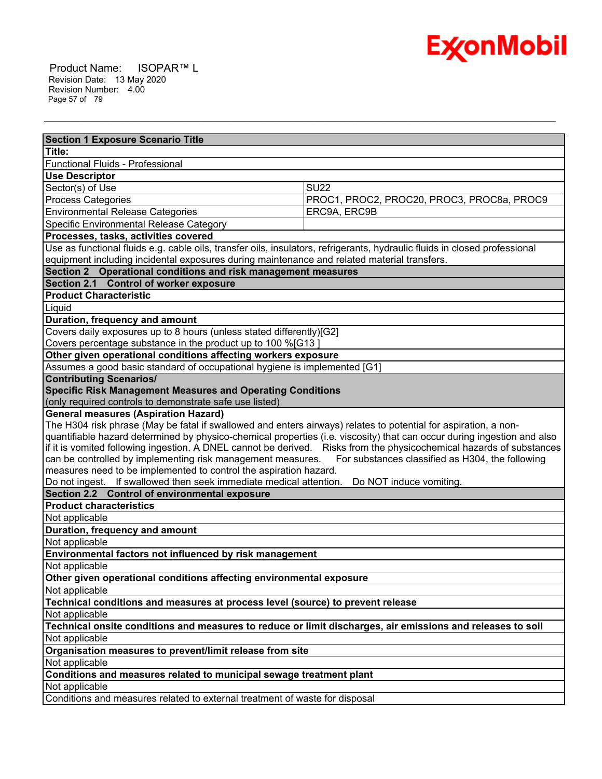

 Product Name: ISOPAR™ L Revision Date: 13 May 2020 Revision Number: 4.00 Page 57 of 79

| <b>Section 1 Exposure Scenario Title</b>                                                                                                |                                                  |
|-----------------------------------------------------------------------------------------------------------------------------------------|--------------------------------------------------|
| Title:                                                                                                                                  |                                                  |
| Functional Fluids - Professional                                                                                                        |                                                  |
| <b>Use Descriptor</b>                                                                                                                   |                                                  |
| Sector(s) of Use                                                                                                                        | <b>SU22</b>                                      |
| Process Categories                                                                                                                      | PROC1, PROC2, PROC20, PROC3, PROC8a, PROC9       |
| <b>Environmental Release Categories</b>                                                                                                 | ERC9A, ERC9B                                     |
| Specific Environmental Release Category                                                                                                 |                                                  |
| Processes, tasks, activities covered                                                                                                    |                                                  |
| Use as functional fluids e.g. cable oils, transfer oils, insulators, refrigerants, hydraulic fluids in closed professional              |                                                  |
| equipment including incidental exposures during maintenance and related material transfers.                                             |                                                  |
| Section 2 Operational conditions and risk management measures                                                                           |                                                  |
| Section 2.1 Control of worker exposure                                                                                                  |                                                  |
| <b>Product Characteristic</b>                                                                                                           |                                                  |
| Liquid                                                                                                                                  |                                                  |
| Duration, frequency and amount                                                                                                          |                                                  |
| Covers daily exposures up to 8 hours (unless stated differently)[G2]                                                                    |                                                  |
| Covers percentage substance in the product up to 100 %[G13]                                                                             |                                                  |
| Other given operational conditions affecting workers exposure                                                                           |                                                  |
| Assumes a good basic standard of occupational hygiene is implemented [G1]                                                               |                                                  |
| <b>Contributing Scenarios/</b>                                                                                                          |                                                  |
| <b>Specific Risk Management Measures and Operating Conditions</b>                                                                       |                                                  |
| (only required controls to demonstrate safe use listed)                                                                                 |                                                  |
| <b>General measures (Aspiration Hazard)</b>                                                                                             |                                                  |
| The H304 risk phrase (May be fatal if swallowed and enters airways) relates to potential for aspiration, a non-                         |                                                  |
| quantifiable hazard determined by physico-chemical properties (i.e. viscosity) that can occur during ingestion and also                 |                                                  |
| if it is vomited following ingestion. A DNEL cannot be derived. Risks from the physicochemical hazards of substances                    |                                                  |
| can be controlled by implementing risk management measures.                                                                             | For substances classified as H304, the following |
| measures need to be implemented to control the aspiration hazard.<br>Do not ingest. If swallowed then seek immediate medical attention. |                                                  |
|                                                                                                                                         | Do NOT induce vomiting.                          |
| Section 2.2 Control of environmental exposure                                                                                           |                                                  |
| <b>Product characteristics</b><br>Not applicable                                                                                        |                                                  |
|                                                                                                                                         |                                                  |
| Duration, frequency and amount                                                                                                          |                                                  |
| Not applicable                                                                                                                          |                                                  |
| Environmental factors not influenced by risk management                                                                                 |                                                  |
| Not applicable                                                                                                                          |                                                  |
| Other given operational conditions affecting environmental exposure                                                                     |                                                  |
| Not applicable                                                                                                                          |                                                  |
| Technical conditions and measures at process level (source) to prevent release                                                          |                                                  |
| Not applicable                                                                                                                          |                                                  |
| Technical onsite conditions and measures to reduce or limit discharges, air emissions and releases to soil                              |                                                  |
| Not applicable                                                                                                                          |                                                  |
| Organisation measures to prevent/limit release from site                                                                                |                                                  |
| Not applicable<br>Conditions and measures related to municipal sewage treatment plant                                                   |                                                  |
|                                                                                                                                         |                                                  |
| Not applicable                                                                                                                          |                                                  |
| Conditions and measures related to external treatment of waste for disposal                                                             |                                                  |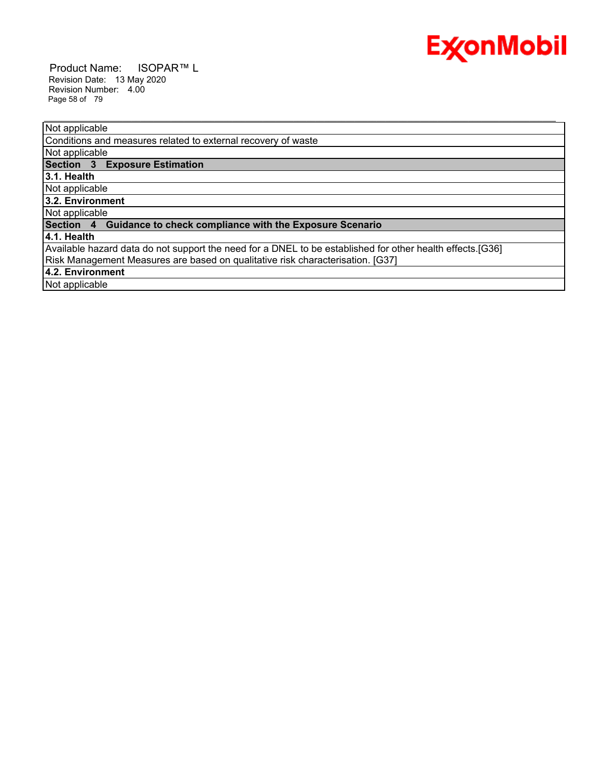

 Product Name: ISOPAR™ L Revision Date: 13 May 2020 Revision Number: 4.00 Page 58 of 79

| Not applicable                                                                                            |
|-----------------------------------------------------------------------------------------------------------|
| Conditions and measures related to external recovery of waste                                             |
| Not applicable                                                                                            |
| Section 3 Exposure Estimation                                                                             |
| 3.1. Health                                                                                               |
| Not applicable                                                                                            |
| 3.2. Environment                                                                                          |
| Not applicable                                                                                            |
| Section 4 Guidance to check compliance with the Exposure Scenario                                         |
| <b>4.1. Health</b>                                                                                        |
| Available hazard data do not support the need for a DNEL to be established for other health effects.[G36] |
| Risk Management Measures are based on qualitative risk characterisation. [G37]                            |
| 4.2. Environment                                                                                          |
| Not applicable                                                                                            |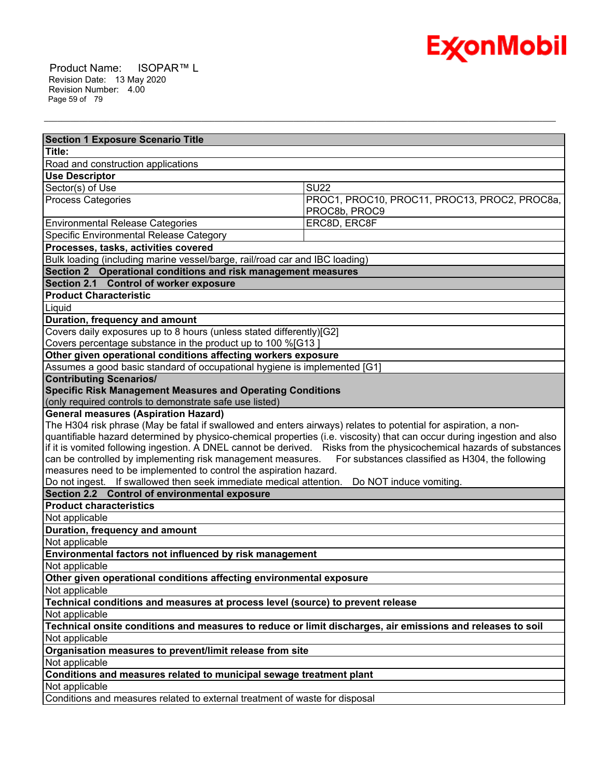

 Product Name: ISOPAR™ L Revision Date: 13 May 2020 Revision Number: 4.00 Page 59 of 79

| <b>Section 1 Exposure Scenario Title</b>                                                                                                                                                                                                   |                                                                |
|--------------------------------------------------------------------------------------------------------------------------------------------------------------------------------------------------------------------------------------------|----------------------------------------------------------------|
| Title:                                                                                                                                                                                                                                     |                                                                |
| Road and construction applications                                                                                                                                                                                                         |                                                                |
| <b>Use Descriptor</b>                                                                                                                                                                                                                      |                                                                |
| Sector(s) of Use                                                                                                                                                                                                                           | <b>SU22</b>                                                    |
| <b>Process Categories</b>                                                                                                                                                                                                                  | PROC1, PROC10, PROC11, PROC13, PROC2, PROC8a,<br>PROC8b, PROC9 |
| <b>Environmental Release Categories</b>                                                                                                                                                                                                    | ERC8D, ERC8F                                                   |
| Specific Environmental Release Category                                                                                                                                                                                                    |                                                                |
| Processes, tasks, activities covered                                                                                                                                                                                                       |                                                                |
| Bulk loading (including marine vessel/barge, rail/road car and IBC loading)                                                                                                                                                                |                                                                |
| Section 2 Operational conditions and risk management measures                                                                                                                                                                              |                                                                |
| Section 2.1 Control of worker exposure                                                                                                                                                                                                     |                                                                |
| <b>Product Characteristic</b>                                                                                                                                                                                                              |                                                                |
| Liquid                                                                                                                                                                                                                                     |                                                                |
| Duration, frequency and amount                                                                                                                                                                                                             |                                                                |
| Covers daily exposures up to 8 hours (unless stated differently)[G2]                                                                                                                                                                       |                                                                |
| Covers percentage substance in the product up to 100 %[G13]                                                                                                                                                                                |                                                                |
| Other given operational conditions affecting workers exposure                                                                                                                                                                              |                                                                |
| Assumes a good basic standard of occupational hygiene is implemented [G1]                                                                                                                                                                  |                                                                |
| <b>Contributing Scenarios/</b>                                                                                                                                                                                                             |                                                                |
| <b>Specific Risk Management Measures and Operating Conditions</b>                                                                                                                                                                          |                                                                |
| (only required controls to demonstrate safe use listed)                                                                                                                                                                                    |                                                                |
| <b>General measures (Aspiration Hazard)</b>                                                                                                                                                                                                |                                                                |
| The H304 risk phrase (May be fatal if swallowed and enters airways) relates to potential for aspiration, a non-<br>quantifiable hazard determined by physico-chemical properties (i.e. viscosity) that can occur during ingestion and also |                                                                |
| if it is vomited following ingestion. A DNEL cannot be derived. Risks from the physicochemical hazards of substances<br>can be controlled by implementing risk management measures.<br>For substances classified as H304, the following    |                                                                |
| measures need to be implemented to control the aspiration hazard.                                                                                                                                                                          |                                                                |
| Do not ingest. If swallowed then seek immediate medical attention.                                                                                                                                                                         | Do NOT induce vomiting.                                        |
| Section 2.2 Control of environmental exposure                                                                                                                                                                                              |                                                                |
| <b>Product characteristics</b>                                                                                                                                                                                                             |                                                                |
| Not applicable                                                                                                                                                                                                                             |                                                                |
| Duration, frequency and amount                                                                                                                                                                                                             |                                                                |
| Not applicable                                                                                                                                                                                                                             |                                                                |
| Environmental factors not influenced by risk management                                                                                                                                                                                    |                                                                |
| Not applicable                                                                                                                                                                                                                             |                                                                |
| Other given operational conditions affecting environmental exposure                                                                                                                                                                        |                                                                |
| Not applicable                                                                                                                                                                                                                             |                                                                |
| Technical conditions and measures at process level (source) to prevent release                                                                                                                                                             |                                                                |
| Not applicable                                                                                                                                                                                                                             |                                                                |
| Technical onsite conditions and measures to reduce or limit discharges, air emissions and releases to soil                                                                                                                                 |                                                                |
| Not applicable                                                                                                                                                                                                                             |                                                                |
| Organisation measures to prevent/limit release from site                                                                                                                                                                                   |                                                                |
| Not applicable                                                                                                                                                                                                                             |                                                                |
| Conditions and measures related to municipal sewage treatment plant                                                                                                                                                                        |                                                                |
| Not applicable                                                                                                                                                                                                                             |                                                                |
| Conditions and measures related to external treatment of waste for disposal                                                                                                                                                                |                                                                |
|                                                                                                                                                                                                                                            |                                                                |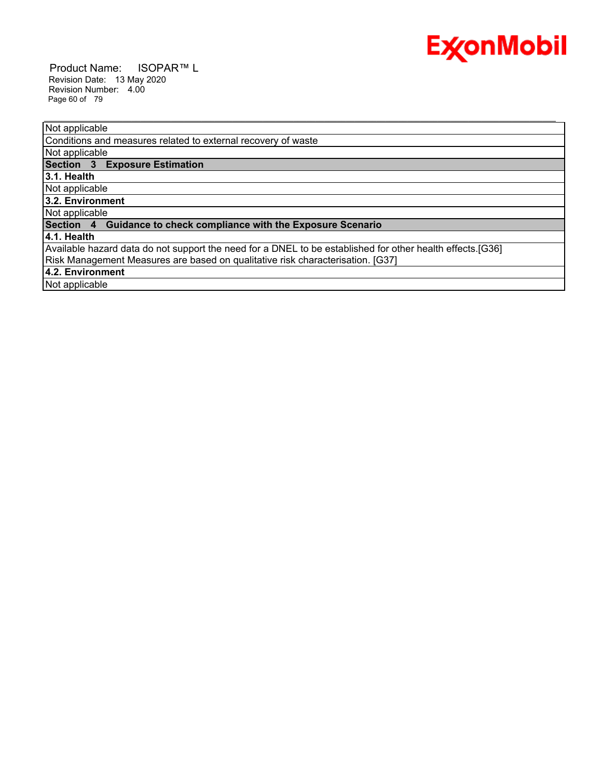

 Product Name: ISOPAR™ L Revision Date: 13 May 2020 Revision Number: 4.00 Page 60 of 79

| Not applicable                                                                                            |
|-----------------------------------------------------------------------------------------------------------|
| Conditions and measures related to external recovery of waste                                             |
| Not applicable                                                                                            |
| Section 3 Exposure Estimation                                                                             |
| 3.1. Health                                                                                               |
| Not applicable                                                                                            |
| 3.2. Environment                                                                                          |
| Not applicable                                                                                            |
| Section 4 Guidance to check compliance with the Exposure Scenario                                         |
| <b>4.1. Health</b>                                                                                        |
| Available hazard data do not support the need for a DNEL to be established for other health effects.[G36] |
| Risk Management Measures are based on qualitative risk characterisation. [G37]                            |
| 4.2. Environment                                                                                          |
| Not applicable                                                                                            |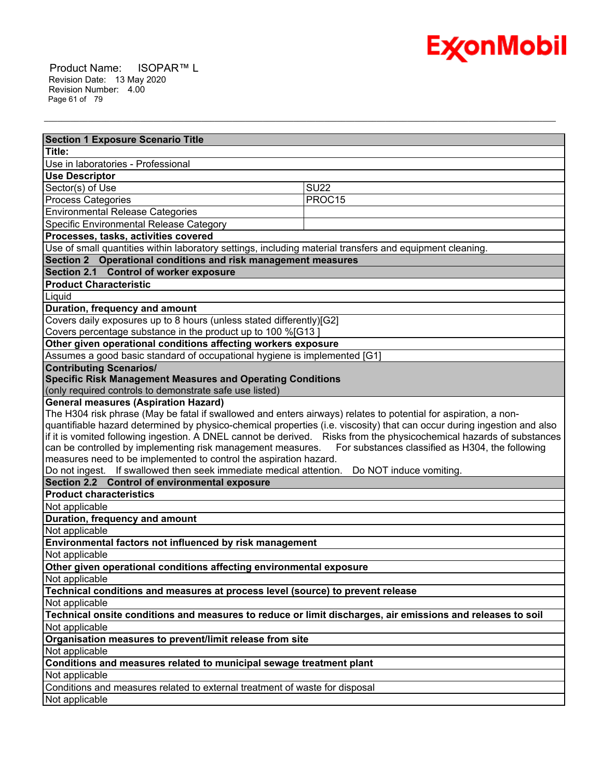

 Product Name: ISOPAR™ L Revision Date: 13 May 2020 Revision Number: 4.00 Page 61 of 79

| <b>Section 1 Exposure Scenario Title</b>                                                                                |                                                                                                                      |
|-------------------------------------------------------------------------------------------------------------------------|----------------------------------------------------------------------------------------------------------------------|
| Title:                                                                                                                  |                                                                                                                      |
| Use in laboratories - Professional                                                                                      |                                                                                                                      |
| <b>Use Descriptor</b>                                                                                                   |                                                                                                                      |
| Sector(s) of Use                                                                                                        | <b>SU22</b>                                                                                                          |
| <b>Process Categories</b>                                                                                               | PROC15                                                                                                               |
| <b>Environmental Release Categories</b>                                                                                 |                                                                                                                      |
| Specific Environmental Release Category                                                                                 |                                                                                                                      |
| Processes, tasks, activities covered                                                                                    |                                                                                                                      |
| Use of small quantities within laboratory settings, including material transfers and equipment cleaning.                |                                                                                                                      |
| Section 2 Operational conditions and risk management measures                                                           |                                                                                                                      |
| Section 2.1 Control of worker exposure                                                                                  |                                                                                                                      |
| <b>Product Characteristic</b>                                                                                           |                                                                                                                      |
| Liquid                                                                                                                  |                                                                                                                      |
| Duration, frequency and amount                                                                                          |                                                                                                                      |
| Covers daily exposures up to 8 hours (unless stated differently)[G2]                                                    |                                                                                                                      |
| Covers percentage substance in the product up to 100 %[G13]                                                             |                                                                                                                      |
| Other given operational conditions affecting workers exposure                                                           |                                                                                                                      |
| Assumes a good basic standard of occupational hygiene is implemented [G1]                                               |                                                                                                                      |
| <b>Contributing Scenarios/</b>                                                                                          |                                                                                                                      |
| <b>Specific Risk Management Measures and Operating Conditions</b>                                                       |                                                                                                                      |
| (only required controls to demonstrate safe use listed)                                                                 |                                                                                                                      |
| <b>General measures (Aspiration Hazard)</b>                                                                             |                                                                                                                      |
| The H304 risk phrase (May be fatal if swallowed and enters airways) relates to potential for aspiration, a non-         |                                                                                                                      |
| quantifiable hazard determined by physico-chemical properties (i.e. viscosity) that can occur during ingestion and also | if it is vomited following ingestion. A DNEL cannot be derived. Risks from the physicochemical hazards of substances |
| can be controlled by implementing risk management measures. For substances classified as H304, the following            |                                                                                                                      |
| measures need to be implemented to control the aspiration hazard.                                                       |                                                                                                                      |
| Do not ingest. If swallowed then seek immediate medical attention.                                                      | Do NOT induce vomiting.                                                                                              |
| Section 2.2 Control of environmental exposure                                                                           |                                                                                                                      |
| <b>Product characteristics</b>                                                                                          |                                                                                                                      |
| Not applicable                                                                                                          |                                                                                                                      |
| Duration, frequency and amount                                                                                          |                                                                                                                      |
| Not applicable                                                                                                          |                                                                                                                      |
| Environmental factors not influenced by risk management                                                                 |                                                                                                                      |
| Not applicable                                                                                                          |                                                                                                                      |
| Other given operational conditions affecting environmental exposure                                                     |                                                                                                                      |
| Not applicable                                                                                                          |                                                                                                                      |
| Technical conditions and measures at process level (source) to prevent release                                          |                                                                                                                      |
| Not applicable                                                                                                          |                                                                                                                      |
| Technical onsite conditions and measures to reduce or limit discharges, air emissions and releases to soil              |                                                                                                                      |
| Not applicable                                                                                                          |                                                                                                                      |
| Organisation measures to prevent/limit release from site                                                                |                                                                                                                      |
| Not applicable                                                                                                          |                                                                                                                      |
| Conditions and measures related to municipal sewage treatment plant                                                     |                                                                                                                      |
| Not applicable                                                                                                          |                                                                                                                      |
| Conditions and measures related to external treatment of waste for disposal                                             |                                                                                                                      |
| Not applicable                                                                                                          |                                                                                                                      |
|                                                                                                                         |                                                                                                                      |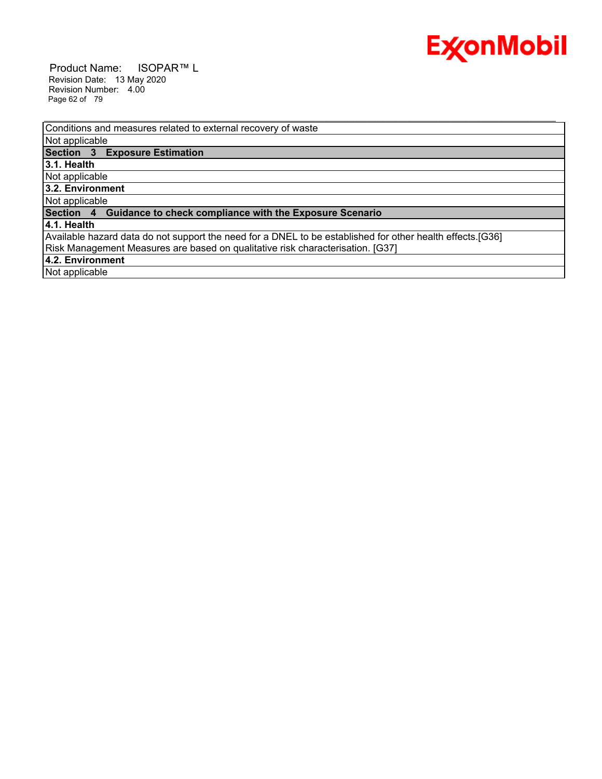

 Product Name: ISOPAR™ L Revision Date: 13 May 2020 Revision Number: 4.00 Page 62 of 79

| Conditions and measures related to external recovery of waste                                             |  |  |
|-----------------------------------------------------------------------------------------------------------|--|--|
| Not applicable                                                                                            |  |  |
| <b>Section 3 Exposure Estimation</b>                                                                      |  |  |
| <b>3.1. Health</b>                                                                                        |  |  |
| Not applicable                                                                                            |  |  |
| 3.2. Environment                                                                                          |  |  |
| Not applicable                                                                                            |  |  |
| Section 4 Guidance to check compliance with the Exposure Scenario                                         |  |  |
| 4.1. Health                                                                                               |  |  |
| Available hazard data do not support the need for a DNEL to be established for other health effects.[G36] |  |  |
| Risk Management Measures are based on qualitative risk characterisation. [G37]                            |  |  |
| 4.2. Environment                                                                                          |  |  |
| Not applicable                                                                                            |  |  |
|                                                                                                           |  |  |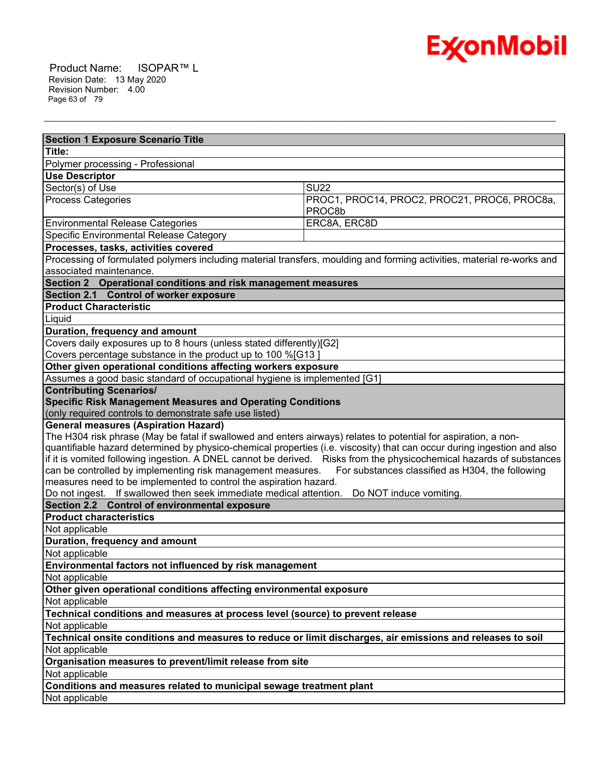

 Product Name: ISOPAR™ L Revision Date: 13 May 2020 Revision Number: 4.00 Page 63 of 79

| <b>Section 1 Exposure Scenario Title</b>                                                                                |                                                  |  |
|-------------------------------------------------------------------------------------------------------------------------|--------------------------------------------------|--|
| Title:                                                                                                                  |                                                  |  |
| Polymer processing - Professional                                                                                       |                                                  |  |
| <b>Use Descriptor</b>                                                                                                   |                                                  |  |
| Sector(s) of Use                                                                                                        | <b>SU22</b>                                      |  |
| <b>Process Categories</b>                                                                                               | PROC1, PROC14, PROC2, PROC21, PROC6, PROC8a,     |  |
|                                                                                                                         | PROC8b                                           |  |
| <b>Environmental Release Categories</b>                                                                                 | ERC8A, ERC8D                                     |  |
| Specific Environmental Release Category                                                                                 |                                                  |  |
| Processes, tasks, activities covered                                                                                    |                                                  |  |
| Processing of formulated polymers including material transfers, moulding and forming activities, material re-works and  |                                                  |  |
| associated maintenance.                                                                                                 |                                                  |  |
| Section 2 Operational conditions and risk management measures                                                           |                                                  |  |
| Section 2.1 Control of worker exposure                                                                                  |                                                  |  |
| <b>Product Characteristic</b>                                                                                           |                                                  |  |
| Liquid                                                                                                                  |                                                  |  |
| Duration, frequency and amount                                                                                          |                                                  |  |
| Covers daily exposures up to 8 hours (unless stated differently)[G2]                                                    |                                                  |  |
| Covers percentage substance in the product up to 100 %[G13]                                                             |                                                  |  |
| Other given operational conditions affecting workers exposure                                                           |                                                  |  |
| Assumes a good basic standard of occupational hygiene is implemented [G1]                                               |                                                  |  |
| <b>Contributing Scenarios/</b>                                                                                          |                                                  |  |
| <b>Specific Risk Management Measures and Operating Conditions</b>                                                       |                                                  |  |
| (only required controls to demonstrate safe use listed)                                                                 |                                                  |  |
| <b>General measures (Aspiration Hazard)</b>                                                                             |                                                  |  |
| The H304 risk phrase (May be fatal if swallowed and enters airways) relates to potential for aspiration, a non-         |                                                  |  |
| quantifiable hazard determined by physico-chemical properties (i.e. viscosity) that can occur during ingestion and also |                                                  |  |
| if it is vomited following ingestion. A DNEL cannot be derived. Risks from the physicochemical hazards of substances    |                                                  |  |
| can be controlled by implementing risk management measures.                                                             | For substances classified as H304, the following |  |
| measures need to be implemented to control the aspiration hazard.                                                       |                                                  |  |
| Do not ingest. If swallowed then seek immediate medical attention.                                                      | Do NOT induce vomiting.                          |  |
| Section 2.2 Control of environmental exposure                                                                           |                                                  |  |
| <b>Product characteristics</b>                                                                                          |                                                  |  |
| Not applicable                                                                                                          |                                                  |  |
| Duration, frequency and amount                                                                                          |                                                  |  |
| Not applicable                                                                                                          |                                                  |  |
| Environmental factors not influenced by risk management                                                                 |                                                  |  |
| Not applicable                                                                                                          |                                                  |  |
| Other given operational conditions affecting environmental exposure                                                     |                                                  |  |
| Not applicable                                                                                                          |                                                  |  |
| Technical conditions and measures at process level (source) to prevent release                                          |                                                  |  |
| Not applicable                                                                                                          |                                                  |  |
| Technical onsite conditions and measures to reduce or limit discharges, air emissions and releases to soil              |                                                  |  |
| Not applicable                                                                                                          |                                                  |  |
| Organisation measures to prevent/limit release from site                                                                |                                                  |  |
| Not applicable                                                                                                          |                                                  |  |
| Conditions and measures related to municipal sewage treatment plant                                                     |                                                  |  |
| Not applicable                                                                                                          |                                                  |  |
|                                                                                                                         |                                                  |  |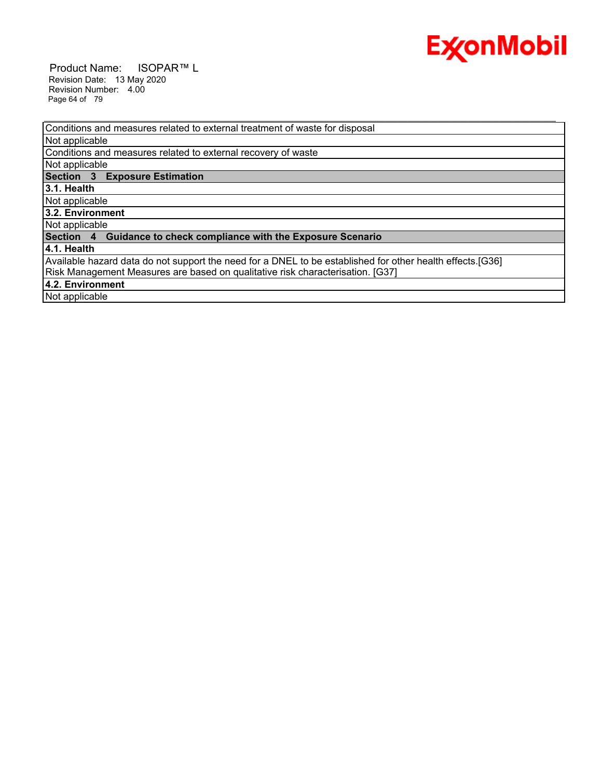

 Product Name: ISOPAR™ L Revision Date: 13 May 2020 Revision Number: 4.00 Page 64 of 79

## \_\_\_\_\_\_\_\_\_\_\_\_\_\_\_\_\_\_\_\_\_\_\_\_\_\_\_\_\_\_\_\_\_\_\_\_\_\_\_\_\_\_\_\_\_\_\_\_\_\_\_\_\_\_\_\_\_\_\_\_\_\_\_\_\_\_\_\_\_\_\_\_\_\_\_\_\_\_\_\_\_\_\_\_\_\_\_\_\_\_\_\_\_\_\_\_\_\_\_\_\_\_\_\_\_\_\_\_\_\_\_\_\_\_\_\_\_ Conditions and measures related to external treatment of waste for disposal Not applicable Conditions and measures related to external recovery of waste Not applicable **Section 3 Exposure Estimation 3.1. Health** Not applicable **3.2. Environment** Not applicable **Section 4 Guidance to check compliance with the Exposure Scenario 4.1. Health** Available hazard data do not support the need for a DNEL to be established for other health effects.[G36] Risk Management Measures are based on qualitative risk characterisation. [G37] **4.2. Environment**

Not applicable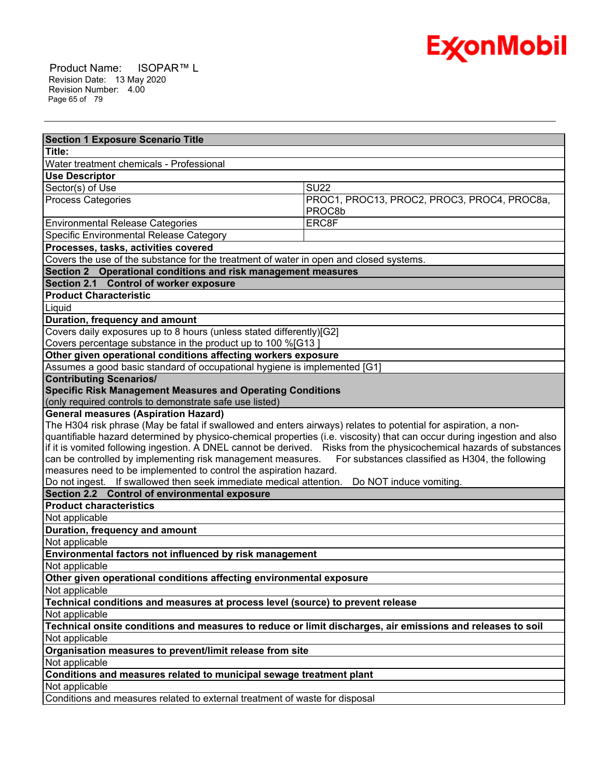

 Product Name: ISOPAR™ L Revision Date: 13 May 2020 Revision Number: 4.00 Page 65 of 79

| <b>Section 1 Exposure Scenario Title</b>                                                                                                                                                                                                                                                                                                                                                                                                                                                                                                                                                                                                                 |                                                       |  |
|----------------------------------------------------------------------------------------------------------------------------------------------------------------------------------------------------------------------------------------------------------------------------------------------------------------------------------------------------------------------------------------------------------------------------------------------------------------------------------------------------------------------------------------------------------------------------------------------------------------------------------------------------------|-------------------------------------------------------|--|
| Title:                                                                                                                                                                                                                                                                                                                                                                                                                                                                                                                                                                                                                                                   |                                                       |  |
| Water treatment chemicals - Professional                                                                                                                                                                                                                                                                                                                                                                                                                                                                                                                                                                                                                 |                                                       |  |
| <b>Use Descriptor</b>                                                                                                                                                                                                                                                                                                                                                                                                                                                                                                                                                                                                                                    |                                                       |  |
| Sector(s) of Use                                                                                                                                                                                                                                                                                                                                                                                                                                                                                                                                                                                                                                         | <b>SU22</b>                                           |  |
| Process Categories                                                                                                                                                                                                                                                                                                                                                                                                                                                                                                                                                                                                                                       | PROC1, PROC13, PROC2, PROC3, PROC4, PROC8a,<br>PROC8b |  |
| <b>Environmental Release Categories</b>                                                                                                                                                                                                                                                                                                                                                                                                                                                                                                                                                                                                                  | ERC8F                                                 |  |
| Specific Environmental Release Category                                                                                                                                                                                                                                                                                                                                                                                                                                                                                                                                                                                                                  |                                                       |  |
| Processes, tasks, activities covered                                                                                                                                                                                                                                                                                                                                                                                                                                                                                                                                                                                                                     |                                                       |  |
| Covers the use of the substance for the treatment of water in open and closed systems.                                                                                                                                                                                                                                                                                                                                                                                                                                                                                                                                                                   |                                                       |  |
| Section 2 Operational conditions and risk management measures                                                                                                                                                                                                                                                                                                                                                                                                                                                                                                                                                                                            |                                                       |  |
| Section 2.1 Control of worker exposure                                                                                                                                                                                                                                                                                                                                                                                                                                                                                                                                                                                                                   |                                                       |  |
| <b>Product Characteristic</b>                                                                                                                                                                                                                                                                                                                                                                                                                                                                                                                                                                                                                            |                                                       |  |
| Liquid                                                                                                                                                                                                                                                                                                                                                                                                                                                                                                                                                                                                                                                   |                                                       |  |
| Duration, frequency and amount                                                                                                                                                                                                                                                                                                                                                                                                                                                                                                                                                                                                                           |                                                       |  |
| Covers daily exposures up to 8 hours (unless stated differently)[G2]                                                                                                                                                                                                                                                                                                                                                                                                                                                                                                                                                                                     |                                                       |  |
| Covers percentage substance in the product up to 100 %[G13]                                                                                                                                                                                                                                                                                                                                                                                                                                                                                                                                                                                              |                                                       |  |
| Other given operational conditions affecting workers exposure                                                                                                                                                                                                                                                                                                                                                                                                                                                                                                                                                                                            |                                                       |  |
| Assumes a good basic standard of occupational hygiene is implemented [G1]                                                                                                                                                                                                                                                                                                                                                                                                                                                                                                                                                                                |                                                       |  |
| <b>Contributing Scenarios/</b>                                                                                                                                                                                                                                                                                                                                                                                                                                                                                                                                                                                                                           |                                                       |  |
| <b>Specific Risk Management Measures and Operating Conditions</b>                                                                                                                                                                                                                                                                                                                                                                                                                                                                                                                                                                                        |                                                       |  |
| (only required controls to demonstrate safe use listed)                                                                                                                                                                                                                                                                                                                                                                                                                                                                                                                                                                                                  |                                                       |  |
| <b>General measures (Aspiration Hazard)</b>                                                                                                                                                                                                                                                                                                                                                                                                                                                                                                                                                                                                              |                                                       |  |
| The H304 risk phrase (May be fatal if swallowed and enters airways) relates to potential for aspiration, a non-<br>quantifiable hazard determined by physico-chemical properties (i.e. viscosity) that can occur during ingestion and also<br>if it is vomited following ingestion. A DNEL cannot be derived. Risks from the physicochemical hazards of substances<br>can be controlled by implementing risk management measures. For substances classified as H304, the following<br>measures need to be implemented to control the aspiration hazard.<br>Do not ingest. If swallowed then seek immediate medical attention.<br>Do NOT induce vomiting. |                                                       |  |
| Section 2.2 Control of environmental exposure                                                                                                                                                                                                                                                                                                                                                                                                                                                                                                                                                                                                            |                                                       |  |
| <b>Product characteristics</b>                                                                                                                                                                                                                                                                                                                                                                                                                                                                                                                                                                                                                           |                                                       |  |
| Not applicable                                                                                                                                                                                                                                                                                                                                                                                                                                                                                                                                                                                                                                           |                                                       |  |
| Duration, frequency and amount                                                                                                                                                                                                                                                                                                                                                                                                                                                                                                                                                                                                                           |                                                       |  |
| Not applicable                                                                                                                                                                                                                                                                                                                                                                                                                                                                                                                                                                                                                                           |                                                       |  |
| Environmental factors not influenced by risk management                                                                                                                                                                                                                                                                                                                                                                                                                                                                                                                                                                                                  |                                                       |  |
| Not applicable                                                                                                                                                                                                                                                                                                                                                                                                                                                                                                                                                                                                                                           |                                                       |  |
| Other given operational conditions affecting environmental exposure                                                                                                                                                                                                                                                                                                                                                                                                                                                                                                                                                                                      |                                                       |  |
| Not applicable                                                                                                                                                                                                                                                                                                                                                                                                                                                                                                                                                                                                                                           |                                                       |  |
| Technical conditions and measures at process level (source) to prevent release                                                                                                                                                                                                                                                                                                                                                                                                                                                                                                                                                                           |                                                       |  |
| Not applicable                                                                                                                                                                                                                                                                                                                                                                                                                                                                                                                                                                                                                                           |                                                       |  |
| Technical onsite conditions and measures to reduce or limit discharges, air emissions and releases to soil                                                                                                                                                                                                                                                                                                                                                                                                                                                                                                                                               |                                                       |  |
| Not applicable                                                                                                                                                                                                                                                                                                                                                                                                                                                                                                                                                                                                                                           |                                                       |  |
| Organisation measures to prevent/limit release from site                                                                                                                                                                                                                                                                                                                                                                                                                                                                                                                                                                                                 |                                                       |  |
| Not applicable                                                                                                                                                                                                                                                                                                                                                                                                                                                                                                                                                                                                                                           |                                                       |  |
| Conditions and measures related to municipal sewage treatment plant                                                                                                                                                                                                                                                                                                                                                                                                                                                                                                                                                                                      |                                                       |  |
| Not applicable                                                                                                                                                                                                                                                                                                                                                                                                                                                                                                                                                                                                                                           |                                                       |  |
|                                                                                                                                                                                                                                                                                                                                                                                                                                                                                                                                                                                                                                                          |                                                       |  |
| Conditions and measures related to external treatment of waste for disposal                                                                                                                                                                                                                                                                                                                                                                                                                                                                                                                                                                              |                                                       |  |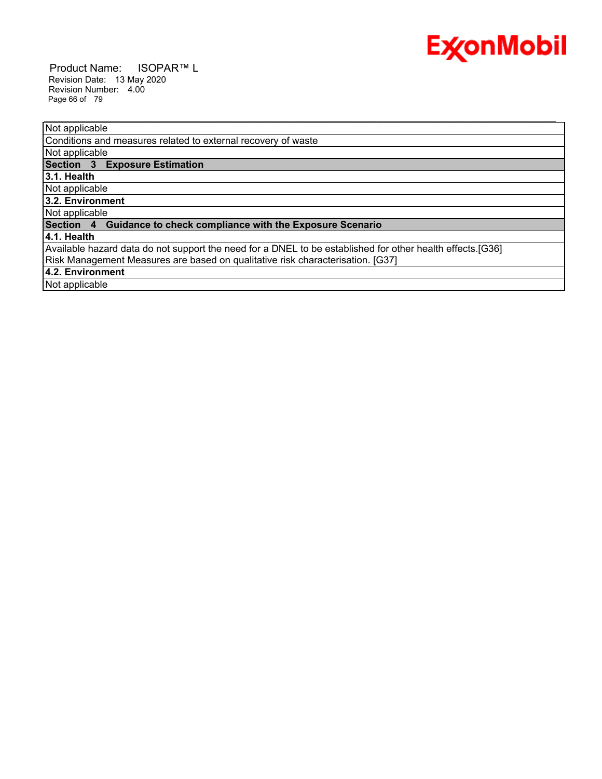

 Product Name: ISOPAR™ L Revision Date: 13 May 2020 Revision Number: 4.00 Page 66 of 79

| Not applicable                                                                                            |  |  |
|-----------------------------------------------------------------------------------------------------------|--|--|
| Conditions and measures related to external recovery of waste                                             |  |  |
| Not applicable                                                                                            |  |  |
| Section 3 Exposure Estimation                                                                             |  |  |
| 3.1. Health                                                                                               |  |  |
| Not applicable                                                                                            |  |  |
| 3.2. Environment                                                                                          |  |  |
| Not applicable                                                                                            |  |  |
| Section 4 Guidance to check compliance with the Exposure Scenario                                         |  |  |
| <b>4.1. Health</b>                                                                                        |  |  |
| Available hazard data do not support the need for a DNEL to be established for other health effects.[G36] |  |  |
| Risk Management Measures are based on qualitative risk characterisation. [G37]                            |  |  |
| 4.2. Environment                                                                                          |  |  |
| Not applicable                                                                                            |  |  |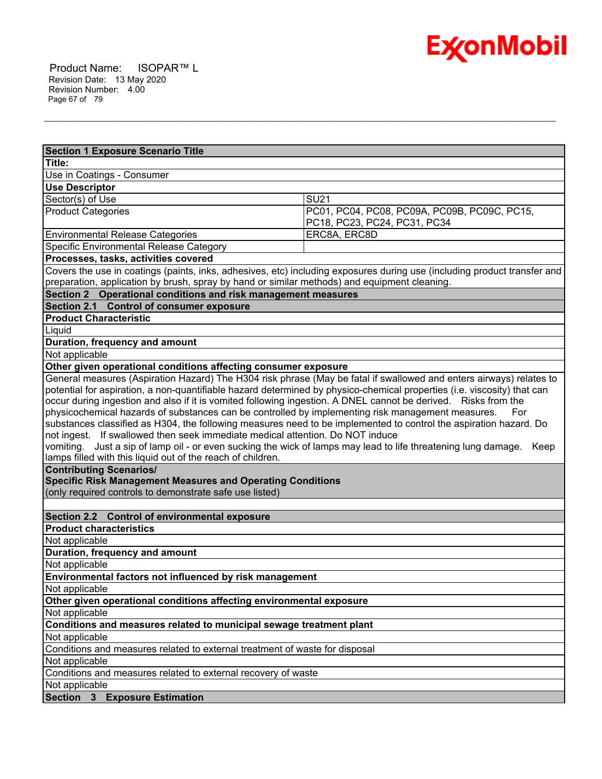

 Product Name: ISOPAR™ L Revision Date: 13 May 2020 Revision Number: 4.00 Page 67 of 79

| <b>Section 1 Exposure Scenario Title</b>                                                                                 |                                              |  |
|--------------------------------------------------------------------------------------------------------------------------|----------------------------------------------|--|
| Title:                                                                                                                   |                                              |  |
| Use in Coatings - Consumer                                                                                               |                                              |  |
| <b>Use Descriptor</b>                                                                                                    |                                              |  |
| Sector(s) of Use                                                                                                         | <b>SU21</b>                                  |  |
| <b>Product Categories</b>                                                                                                | PC01, PC04, PC08, PC09A, PC09B, PC09C, PC15, |  |
|                                                                                                                          | PC18, PC23, PC24, PC31, PC34                 |  |
| <b>Environmental Release Categories</b>                                                                                  | ERC8A, ERC8D                                 |  |
| Specific Environmental Release Category                                                                                  |                                              |  |
| Processes, tasks, activities covered                                                                                     |                                              |  |
| Covers the use in coatings (paints, inks, adhesives, etc) including exposures during use (including product transfer and |                                              |  |
| preparation, application by brush, spray by hand or similar methods) and equipment cleaning.                             |                                              |  |
| Section 2 Operational conditions and risk management measures                                                            |                                              |  |
| Section 2.1 Control of consumer exposure                                                                                 |                                              |  |
| <b>Product Characteristic</b>                                                                                            |                                              |  |
| Liquid                                                                                                                   |                                              |  |
| Duration, frequency and amount                                                                                           |                                              |  |
| Not applicable                                                                                                           |                                              |  |
| Other given operational conditions affecting consumer exposure                                                           |                                              |  |
| General measures (Aspiration Hazard) The H304 risk phrase (May be fatal if swallowed and enters airways) relates to      |                                              |  |
| potential for aspiration, a non-quantifiable hazard determined by physico-chemical properties (i.e. viscosity) that can  |                                              |  |
| occur during ingestion and also if it is vomited following ingestion. A DNEL cannot be derived. Risks from the           |                                              |  |
| physicochemical hazards of substances can be controlled by implementing risk management measures.                        | For                                          |  |
| substances classified as H304, the following measures need to be implemented to control the aspiration hazard. Do        |                                              |  |
| not ingest. If swallowed then seek immediate medical attention. Do NOT induce                                            |                                              |  |
| vomiting. Just a sip of lamp oil - or even sucking the wick of lamps may lead to life threatening lung damage.           | Keep                                         |  |
| lamps filled with this liquid out of the reach of children.                                                              |                                              |  |
| <b>Contributing Scenarios/</b>                                                                                           |                                              |  |
| <b>Specific Risk Management Measures and Operating Conditions</b>                                                        |                                              |  |
| (only required controls to demonstrate safe use listed)                                                                  |                                              |  |
|                                                                                                                          |                                              |  |
| Section 2.2 Control of environmental exposure                                                                            |                                              |  |
| <b>Product characteristics</b>                                                                                           |                                              |  |
| Not applicable                                                                                                           |                                              |  |
| Duration, frequency and amount<br>Not applicable                                                                         |                                              |  |
|                                                                                                                          |                                              |  |
| Environmental factors not influenced by risk management                                                                  |                                              |  |
| Not applicable                                                                                                           |                                              |  |
| Other given operational conditions affecting environmental exposure                                                      |                                              |  |
| Not applicable                                                                                                           |                                              |  |
| Conditions and measures related to municipal sewage treatment plant                                                      |                                              |  |
| Not applicable                                                                                                           |                                              |  |
| Conditions and measures related to external treatment of waste for disposal                                              |                                              |  |
| Not applicable                                                                                                           |                                              |  |
| Conditions and measures related to external recovery of waste                                                            |                                              |  |
| Not applicable                                                                                                           |                                              |  |
| Section 3 Exposure Estimation                                                                                            |                                              |  |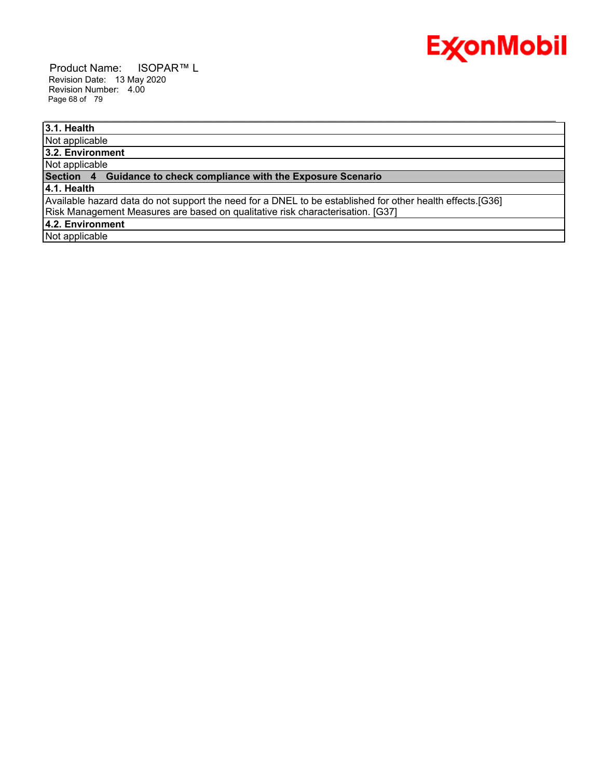

 Product Name: ISOPAR™ L Revision Date: 13 May 2020 Revision Number: 4.00 Page 68 of 79

| $3.1.$ Health                                                                                             |  |  |
|-----------------------------------------------------------------------------------------------------------|--|--|
| Not applicable                                                                                            |  |  |
| 3.2. Environment                                                                                          |  |  |
| Not applicable                                                                                            |  |  |
| Section 4 Guidance to check compliance with the Exposure Scenario                                         |  |  |
| <b>4.1. Health</b>                                                                                        |  |  |
| Available hazard data do not support the need for a DNEL to be established for other health effects.[G36] |  |  |
| Risk Management Measures are based on qualitative risk characterisation. [G37]                            |  |  |
| 4.2. Environment                                                                                          |  |  |
| Not applicable                                                                                            |  |  |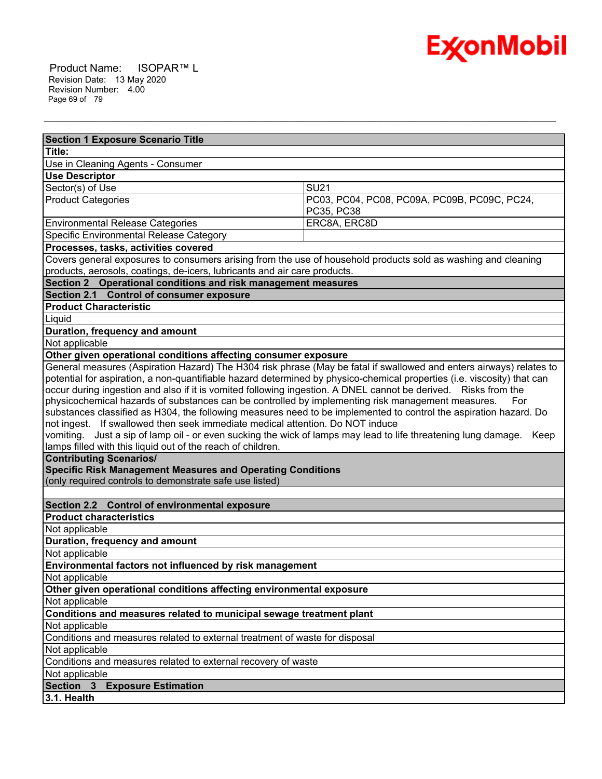

 Product Name: ISOPAR™ L Revision Date: 13 May 2020 Revision Number: 4.00 Page 69 of 79

| <b>Section 1 Exposure Scenario Title</b>                                                                                |                                              |  |
|-------------------------------------------------------------------------------------------------------------------------|----------------------------------------------|--|
| Title:                                                                                                                  |                                              |  |
| Use in Cleaning Agents - Consumer                                                                                       |                                              |  |
| <b>Use Descriptor</b>                                                                                                   |                                              |  |
| Sector(s) of Use                                                                                                        | <b>SU21</b>                                  |  |
| <b>Product Categories</b>                                                                                               | PC03, PC04, PC08, PC09A, PC09B, PC09C, PC24, |  |
|                                                                                                                         | PC35, PC38                                   |  |
| <b>Environmental Release Categories</b>                                                                                 | ERC8A, ERC8D                                 |  |
| Specific Environmental Release Category                                                                                 |                                              |  |
| Processes, tasks, activities covered                                                                                    |                                              |  |
|                                                                                                                         |                                              |  |
| Covers general exposures to consumers arising from the use of household products sold as washing and cleaning           |                                              |  |
| products, aerosols, coatings, de-icers, lubricants and air care products.                                               |                                              |  |
| Section 2 Operational conditions and risk management measures                                                           |                                              |  |
| Section 2.1 Control of consumer exposure                                                                                |                                              |  |
| <b>Product Characteristic</b>                                                                                           |                                              |  |
| Liquid                                                                                                                  |                                              |  |
| Duration, frequency and amount                                                                                          |                                              |  |
| Not applicable                                                                                                          |                                              |  |
| Other given operational conditions affecting consumer exposure                                                          |                                              |  |
| General measures (Aspiration Hazard) The H304 risk phrase (May be fatal if swallowed and enters airways) relates to     |                                              |  |
| potential for aspiration, a non-quantifiable hazard determined by physico-chemical properties (i.e. viscosity) that can |                                              |  |
| occur during ingestion and also if it is vomited following ingestion. A DNEL cannot be derived. Risks from the          |                                              |  |
| physicochemical hazards of substances can be controlled by implementing risk management measures.                       | For                                          |  |
| substances classified as H304, the following measures need to be implemented to control the aspiration hazard. Do       |                                              |  |
| not ingest. If swallowed then seek immediate medical attention. Do NOT induce                                           |                                              |  |
| vomiting. Just a sip of lamp oil - or even sucking the wick of lamps may lead to life threatening lung damage. Keep     |                                              |  |
| lamps filled with this liquid out of the reach of children.                                                             |                                              |  |
| <b>Contributing Scenarios/</b>                                                                                          |                                              |  |
| <b>Specific Risk Management Measures and Operating Conditions</b>                                                       |                                              |  |
| (only required controls to demonstrate safe use listed)                                                                 |                                              |  |
|                                                                                                                         |                                              |  |
| Section 2.2 Control of environmental exposure                                                                           |                                              |  |
| <b>Product characteristics</b>                                                                                          |                                              |  |
| Not applicable                                                                                                          |                                              |  |
|                                                                                                                         |                                              |  |
| Duration, frequency and amount                                                                                          |                                              |  |
| Not applicable                                                                                                          |                                              |  |
| Environmental factors not influenced by risk management                                                                 |                                              |  |
| Not applicable                                                                                                          |                                              |  |
| Other given operational conditions affecting environmental exposure                                                     |                                              |  |
| Not applicable                                                                                                          |                                              |  |
| Conditions and measures related to municipal sewage treatment plant                                                     |                                              |  |
| Not applicable                                                                                                          |                                              |  |
| Conditions and measures related to external treatment of waste for disposal                                             |                                              |  |
| Not applicable                                                                                                          |                                              |  |
| Conditions and measures related to external recovery of waste                                                           |                                              |  |
| Not applicable                                                                                                          |                                              |  |
| <b>Section 3 Exposure Estimation</b>                                                                                    |                                              |  |
| 3.1. Health                                                                                                             |                                              |  |
|                                                                                                                         |                                              |  |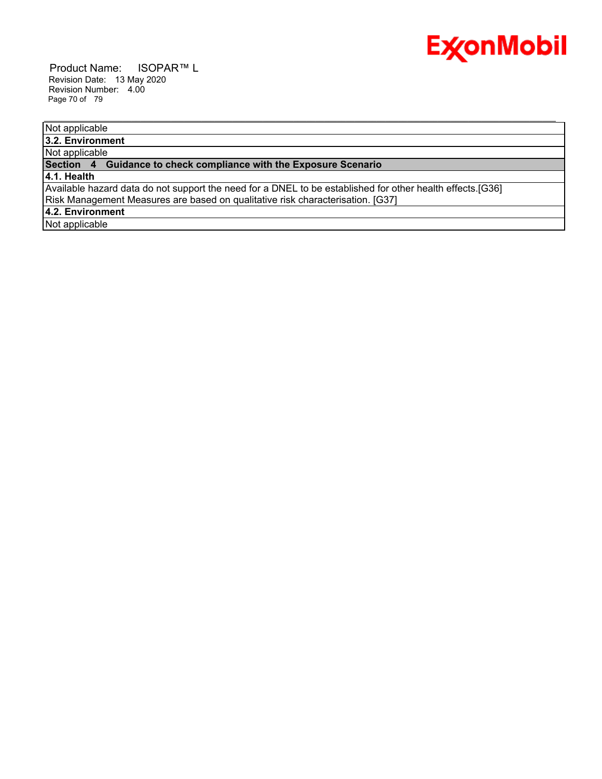

 Product Name: ISOPAR™ L Revision Date: 13 May 2020 Revision Number: 4.00 Page 70 of 79

| Not applicable                                                                                             |  |  |
|------------------------------------------------------------------------------------------------------------|--|--|
| 3.2. Environment                                                                                           |  |  |
| Not applicable                                                                                             |  |  |
| Section 4 Guidance to check compliance with the Exposure Scenario                                          |  |  |
| <b>4.1. Health</b>                                                                                         |  |  |
| Available hazard data do not support the need for a DNEL to be established for other health effects. [G36] |  |  |
| Risk Management Measures are based on qualitative risk characterisation. [G37]                             |  |  |
| 4.2. Environment                                                                                           |  |  |
| Not applicable                                                                                             |  |  |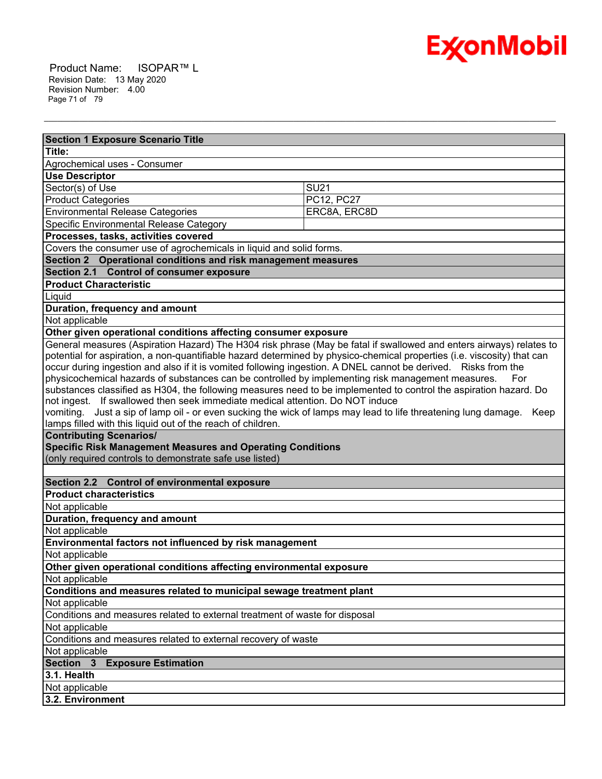

 Product Name: ISOPAR™ L Revision Date: 13 May 2020 Revision Number: 4.00 Page 71 of 79

| <b>Section 1 Exposure Scenario Title</b>                                                                                |              |  |
|-------------------------------------------------------------------------------------------------------------------------|--------------|--|
| Title:                                                                                                                  |              |  |
| Agrochemical uses - Consumer                                                                                            |              |  |
| <b>Use Descriptor</b>                                                                                                   |              |  |
| Sector(s) of Use                                                                                                        | <b>SU21</b>  |  |
| <b>Product Categories</b>                                                                                               | PC12, PC27   |  |
| <b>Environmental Release Categories</b>                                                                                 | ERC8A, ERC8D |  |
| Specific Environmental Release Category                                                                                 |              |  |
| Processes, tasks, activities covered                                                                                    |              |  |
| Covers the consumer use of agrochemicals in liquid and solid forms.                                                     |              |  |
| Section 2 Operational conditions and risk management measures                                                           |              |  |
| Section 2.1 Control of consumer exposure                                                                                |              |  |
| <b>Product Characteristic</b>                                                                                           |              |  |
| Liquid                                                                                                                  |              |  |
| Duration, frequency and amount                                                                                          |              |  |
| Not applicable                                                                                                          |              |  |
| Other given operational conditions affecting consumer exposure                                                          |              |  |
| General measures (Aspiration Hazard) The H304 risk phrase (May be fatal if swallowed and enters airways) relates to     |              |  |
| potential for aspiration, a non-quantifiable hazard determined by physico-chemical properties (i.e. viscosity) that can |              |  |
| occur during ingestion and also if it is vomited following ingestion. A DNEL cannot be derived. Risks from the          |              |  |
| physicochemical hazards of substances can be controlled by implementing risk management measures.                       | For          |  |
| substances classified as H304, the following measures need to be implemented to control the aspiration hazard. Do       |              |  |
| not ingest. If swallowed then seek immediate medical attention. Do NOT induce                                           |              |  |
| vomiting. Just a sip of lamp oil - or even sucking the wick of lamps may lead to life threatening lung damage.          | Keep         |  |
| lamps filled with this liquid out of the reach of children.                                                             |              |  |
| <b>Contributing Scenarios/</b>                                                                                          |              |  |
| <b>Specific Risk Management Measures and Operating Conditions</b>                                                       |              |  |
| (only required controls to demonstrate safe use listed)                                                                 |              |  |
|                                                                                                                         |              |  |
| Section 2.2 Control of environmental exposure                                                                           |              |  |
| <b>Product characteristics</b>                                                                                          |              |  |
| Not applicable                                                                                                          |              |  |
| Duration, frequency and amount                                                                                          |              |  |
| Not applicable                                                                                                          |              |  |
| Environmental factors not influenced by risk management                                                                 |              |  |
| Not applicable                                                                                                          |              |  |
| Other given operational conditions affecting environmental exposure                                                     |              |  |
| Not applicable                                                                                                          |              |  |
| Conditions and measures related to municipal sewage treatment plant                                                     |              |  |
| Not applicable                                                                                                          |              |  |
| Conditions and measures related to external treatment of waste for disposal                                             |              |  |
| Not applicable                                                                                                          |              |  |
| Conditions and measures related to external recovery of waste                                                           |              |  |
| Not applicable                                                                                                          |              |  |
| <b>Section 3 Exposure Estimation</b>                                                                                    |              |  |
| 3.1. Health                                                                                                             |              |  |
| Not applicable                                                                                                          |              |  |
| 3.2. Environment                                                                                                        |              |  |
|                                                                                                                         |              |  |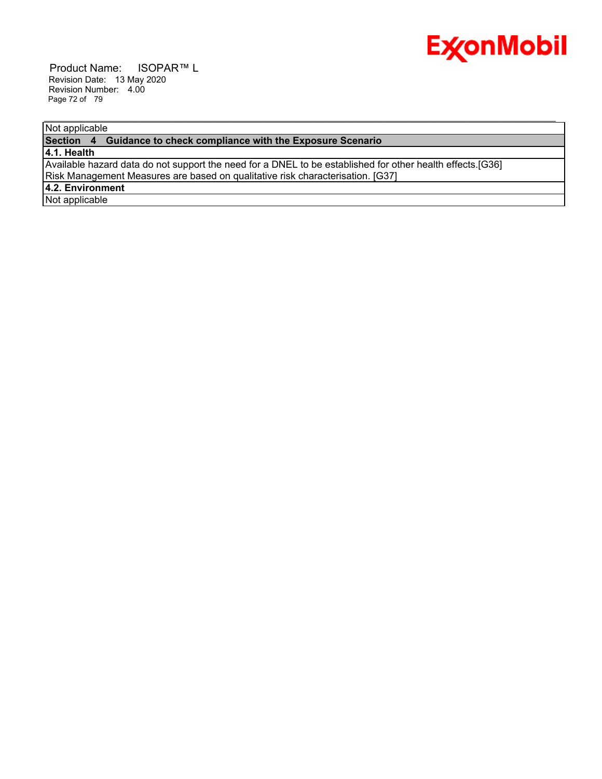

 Product Name: ISOPAR™ L Revision Date: 13 May 2020 Revision Number: 4.00 Page 72 of 79

## Not applicable **Section 4 Guidance to check compliance with the Exposure Scenario**

**4.1. Health**

Available hazard data do not support the need for a DNEL to be established for other health effects.[G36] Risk Management Measures are based on qualitative risk characterisation. [G37]

\_\_\_\_\_\_\_\_\_\_\_\_\_\_\_\_\_\_\_\_\_\_\_\_\_\_\_\_\_\_\_\_\_\_\_\_\_\_\_\_\_\_\_\_\_\_\_\_\_\_\_\_\_\_\_\_\_\_\_\_\_\_\_\_\_\_\_\_\_\_\_\_\_\_\_\_\_\_\_\_\_\_\_\_\_\_\_\_\_\_\_\_\_\_\_\_\_\_\_\_\_\_\_\_\_\_\_\_\_\_\_\_\_\_\_\_\_

# **4.2. Environment**

Not applicable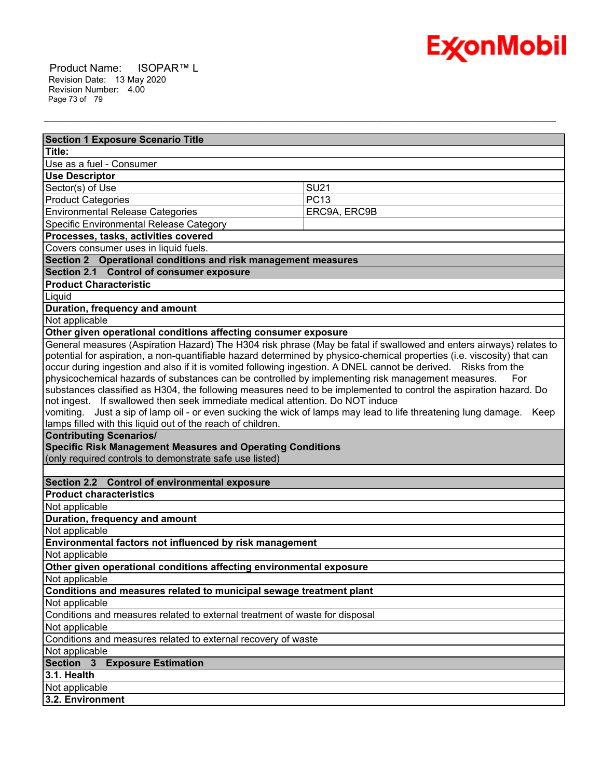

 Product Name: ISOPAR™ L Revision Date: 13 May 2020 Revision Number: 4.00 Page 73 of 79

| Title:<br>Use as a fuel - Consumer<br><b>Use Descriptor</b><br>Sector(s) of Use<br><b>SU21</b><br><b>PC13</b><br><b>Product Categories</b><br><b>Environmental Release Categories</b><br>ERC9A, ERC9B<br>Specific Environmental Release Category<br>Processes, tasks, activities covered<br>Covers consumer uses in liquid fuels.<br>Section 2 Operational conditions and risk management measures<br>Section 2.1 Control of consumer exposure<br><b>Product Characteristic</b><br>Liquid<br>Duration, frequency and amount<br>Not applicable<br>Other given operational conditions affecting consumer exposure<br>General measures (Aspiration Hazard) The H304 risk phrase (May be fatal if swallowed and enters airways) relates to<br>potential for aspiration, a non-quantifiable hazard determined by physico-chemical properties (i.e. viscosity) that can<br>occur during ingestion and also if it is vomited following ingestion. A DNEL cannot be derived. Risks from the<br>physicochemical hazards of substances can be controlled by implementing risk management measures.<br>For<br>substances classified as H304, the following measures need to be implemented to control the aspiration hazard. Do<br>not ingest. If swallowed then seek immediate medical attention. Do NOT induce<br>vomiting. Just a sip of lamp oil - or even sucking the wick of lamps may lead to life threatening lung damage. Keep<br>lamps filled with this liquid out of the reach of children.<br><b>Contributing Scenarios/</b><br><b>Specific Risk Management Measures and Operating Conditions</b><br>(only required controls to demonstrate safe use listed)<br>Section 2.2 Control of environmental exposure<br><b>Product characteristics</b><br>Not applicable<br>Duration, frequency and amount<br>Not applicable<br>Environmental factors not influenced by risk management<br>Not applicable<br>Other given operational conditions affecting environmental exposure<br>Not applicable<br>Conditions and measures related to municipal sewage treatment plant<br>Not applicable<br>Conditions and measures related to external treatment of waste for disposal<br>Not applicable<br>Conditions and measures related to external recovery of waste<br>Not applicable<br><b>Section 3 Exposure Estimation</b><br>3.1. Health<br>Not applicable<br>3.2. Environment | <b>Section 1 Exposure Scenario Title</b> |  |  |  |  |
|------------------------------------------------------------------------------------------------------------------------------------------------------------------------------------------------------------------------------------------------------------------------------------------------------------------------------------------------------------------------------------------------------------------------------------------------------------------------------------------------------------------------------------------------------------------------------------------------------------------------------------------------------------------------------------------------------------------------------------------------------------------------------------------------------------------------------------------------------------------------------------------------------------------------------------------------------------------------------------------------------------------------------------------------------------------------------------------------------------------------------------------------------------------------------------------------------------------------------------------------------------------------------------------------------------------------------------------------------------------------------------------------------------------------------------------------------------------------------------------------------------------------------------------------------------------------------------------------------------------------------------------------------------------------------------------------------------------------------------------------------------------------------------------------------------------------------------------------------------------------------------------------------------------------------------------------------------------------------------------------------------------------------------------------------------------------------------------------------------------------------------------------------------------------------------------------------------------------------------------------------------------------------------------------------------------------------------------------------------------------|------------------------------------------|--|--|--|--|
|                                                                                                                                                                                                                                                                                                                                                                                                                                                                                                                                                                                                                                                                                                                                                                                                                                                                                                                                                                                                                                                                                                                                                                                                                                                                                                                                                                                                                                                                                                                                                                                                                                                                                                                                                                                                                                                                                                                                                                                                                                                                                                                                                                                                                                                                                                                                                                        |                                          |  |  |  |  |
|                                                                                                                                                                                                                                                                                                                                                                                                                                                                                                                                                                                                                                                                                                                                                                                                                                                                                                                                                                                                                                                                                                                                                                                                                                                                                                                                                                                                                                                                                                                                                                                                                                                                                                                                                                                                                                                                                                                                                                                                                                                                                                                                                                                                                                                                                                                                                                        |                                          |  |  |  |  |
|                                                                                                                                                                                                                                                                                                                                                                                                                                                                                                                                                                                                                                                                                                                                                                                                                                                                                                                                                                                                                                                                                                                                                                                                                                                                                                                                                                                                                                                                                                                                                                                                                                                                                                                                                                                                                                                                                                                                                                                                                                                                                                                                                                                                                                                                                                                                                                        |                                          |  |  |  |  |
|                                                                                                                                                                                                                                                                                                                                                                                                                                                                                                                                                                                                                                                                                                                                                                                                                                                                                                                                                                                                                                                                                                                                                                                                                                                                                                                                                                                                                                                                                                                                                                                                                                                                                                                                                                                                                                                                                                                                                                                                                                                                                                                                                                                                                                                                                                                                                                        |                                          |  |  |  |  |
|                                                                                                                                                                                                                                                                                                                                                                                                                                                                                                                                                                                                                                                                                                                                                                                                                                                                                                                                                                                                                                                                                                                                                                                                                                                                                                                                                                                                                                                                                                                                                                                                                                                                                                                                                                                                                                                                                                                                                                                                                                                                                                                                                                                                                                                                                                                                                                        |                                          |  |  |  |  |
|                                                                                                                                                                                                                                                                                                                                                                                                                                                                                                                                                                                                                                                                                                                                                                                                                                                                                                                                                                                                                                                                                                                                                                                                                                                                                                                                                                                                                                                                                                                                                                                                                                                                                                                                                                                                                                                                                                                                                                                                                                                                                                                                                                                                                                                                                                                                                                        |                                          |  |  |  |  |
|                                                                                                                                                                                                                                                                                                                                                                                                                                                                                                                                                                                                                                                                                                                                                                                                                                                                                                                                                                                                                                                                                                                                                                                                                                                                                                                                                                                                                                                                                                                                                                                                                                                                                                                                                                                                                                                                                                                                                                                                                                                                                                                                                                                                                                                                                                                                                                        |                                          |  |  |  |  |
|                                                                                                                                                                                                                                                                                                                                                                                                                                                                                                                                                                                                                                                                                                                                                                                                                                                                                                                                                                                                                                                                                                                                                                                                                                                                                                                                                                                                                                                                                                                                                                                                                                                                                                                                                                                                                                                                                                                                                                                                                                                                                                                                                                                                                                                                                                                                                                        |                                          |  |  |  |  |
|                                                                                                                                                                                                                                                                                                                                                                                                                                                                                                                                                                                                                                                                                                                                                                                                                                                                                                                                                                                                                                                                                                                                                                                                                                                                                                                                                                                                                                                                                                                                                                                                                                                                                                                                                                                                                                                                                                                                                                                                                                                                                                                                                                                                                                                                                                                                                                        |                                          |  |  |  |  |
|                                                                                                                                                                                                                                                                                                                                                                                                                                                                                                                                                                                                                                                                                                                                                                                                                                                                                                                                                                                                                                                                                                                                                                                                                                                                                                                                                                                                                                                                                                                                                                                                                                                                                                                                                                                                                                                                                                                                                                                                                                                                                                                                                                                                                                                                                                                                                                        |                                          |  |  |  |  |
|                                                                                                                                                                                                                                                                                                                                                                                                                                                                                                                                                                                                                                                                                                                                                                                                                                                                                                                                                                                                                                                                                                                                                                                                                                                                                                                                                                                                                                                                                                                                                                                                                                                                                                                                                                                                                                                                                                                                                                                                                                                                                                                                                                                                                                                                                                                                                                        |                                          |  |  |  |  |
|                                                                                                                                                                                                                                                                                                                                                                                                                                                                                                                                                                                                                                                                                                                                                                                                                                                                                                                                                                                                                                                                                                                                                                                                                                                                                                                                                                                                                                                                                                                                                                                                                                                                                                                                                                                                                                                                                                                                                                                                                                                                                                                                                                                                                                                                                                                                                                        |                                          |  |  |  |  |
|                                                                                                                                                                                                                                                                                                                                                                                                                                                                                                                                                                                                                                                                                                                                                                                                                                                                                                                                                                                                                                                                                                                                                                                                                                                                                                                                                                                                                                                                                                                                                                                                                                                                                                                                                                                                                                                                                                                                                                                                                                                                                                                                                                                                                                                                                                                                                                        |                                          |  |  |  |  |
|                                                                                                                                                                                                                                                                                                                                                                                                                                                                                                                                                                                                                                                                                                                                                                                                                                                                                                                                                                                                                                                                                                                                                                                                                                                                                                                                                                                                                                                                                                                                                                                                                                                                                                                                                                                                                                                                                                                                                                                                                                                                                                                                                                                                                                                                                                                                                                        |                                          |  |  |  |  |
|                                                                                                                                                                                                                                                                                                                                                                                                                                                                                                                                                                                                                                                                                                                                                                                                                                                                                                                                                                                                                                                                                                                                                                                                                                                                                                                                                                                                                                                                                                                                                                                                                                                                                                                                                                                                                                                                                                                                                                                                                                                                                                                                                                                                                                                                                                                                                                        |                                          |  |  |  |  |
|                                                                                                                                                                                                                                                                                                                                                                                                                                                                                                                                                                                                                                                                                                                                                                                                                                                                                                                                                                                                                                                                                                                                                                                                                                                                                                                                                                                                                                                                                                                                                                                                                                                                                                                                                                                                                                                                                                                                                                                                                                                                                                                                                                                                                                                                                                                                                                        |                                          |  |  |  |  |
|                                                                                                                                                                                                                                                                                                                                                                                                                                                                                                                                                                                                                                                                                                                                                                                                                                                                                                                                                                                                                                                                                                                                                                                                                                                                                                                                                                                                                                                                                                                                                                                                                                                                                                                                                                                                                                                                                                                                                                                                                                                                                                                                                                                                                                                                                                                                                                        |                                          |  |  |  |  |
|                                                                                                                                                                                                                                                                                                                                                                                                                                                                                                                                                                                                                                                                                                                                                                                                                                                                                                                                                                                                                                                                                                                                                                                                                                                                                                                                                                                                                                                                                                                                                                                                                                                                                                                                                                                                                                                                                                                                                                                                                                                                                                                                                                                                                                                                                                                                                                        |                                          |  |  |  |  |
|                                                                                                                                                                                                                                                                                                                                                                                                                                                                                                                                                                                                                                                                                                                                                                                                                                                                                                                                                                                                                                                                                                                                                                                                                                                                                                                                                                                                                                                                                                                                                                                                                                                                                                                                                                                                                                                                                                                                                                                                                                                                                                                                                                                                                                                                                                                                                                        |                                          |  |  |  |  |
|                                                                                                                                                                                                                                                                                                                                                                                                                                                                                                                                                                                                                                                                                                                                                                                                                                                                                                                                                                                                                                                                                                                                                                                                                                                                                                                                                                                                                                                                                                                                                                                                                                                                                                                                                                                                                                                                                                                                                                                                                                                                                                                                                                                                                                                                                                                                                                        |                                          |  |  |  |  |
|                                                                                                                                                                                                                                                                                                                                                                                                                                                                                                                                                                                                                                                                                                                                                                                                                                                                                                                                                                                                                                                                                                                                                                                                                                                                                                                                                                                                                                                                                                                                                                                                                                                                                                                                                                                                                                                                                                                                                                                                                                                                                                                                                                                                                                                                                                                                                                        |                                          |  |  |  |  |
|                                                                                                                                                                                                                                                                                                                                                                                                                                                                                                                                                                                                                                                                                                                                                                                                                                                                                                                                                                                                                                                                                                                                                                                                                                                                                                                                                                                                                                                                                                                                                                                                                                                                                                                                                                                                                                                                                                                                                                                                                                                                                                                                                                                                                                                                                                                                                                        |                                          |  |  |  |  |
|                                                                                                                                                                                                                                                                                                                                                                                                                                                                                                                                                                                                                                                                                                                                                                                                                                                                                                                                                                                                                                                                                                                                                                                                                                                                                                                                                                                                                                                                                                                                                                                                                                                                                                                                                                                                                                                                                                                                                                                                                                                                                                                                                                                                                                                                                                                                                                        |                                          |  |  |  |  |
|                                                                                                                                                                                                                                                                                                                                                                                                                                                                                                                                                                                                                                                                                                                                                                                                                                                                                                                                                                                                                                                                                                                                                                                                                                                                                                                                                                                                                                                                                                                                                                                                                                                                                                                                                                                                                                                                                                                                                                                                                                                                                                                                                                                                                                                                                                                                                                        |                                          |  |  |  |  |
|                                                                                                                                                                                                                                                                                                                                                                                                                                                                                                                                                                                                                                                                                                                                                                                                                                                                                                                                                                                                                                                                                                                                                                                                                                                                                                                                                                                                                                                                                                                                                                                                                                                                                                                                                                                                                                                                                                                                                                                                                                                                                                                                                                                                                                                                                                                                                                        |                                          |  |  |  |  |
|                                                                                                                                                                                                                                                                                                                                                                                                                                                                                                                                                                                                                                                                                                                                                                                                                                                                                                                                                                                                                                                                                                                                                                                                                                                                                                                                                                                                                                                                                                                                                                                                                                                                                                                                                                                                                                                                                                                                                                                                                                                                                                                                                                                                                                                                                                                                                                        |                                          |  |  |  |  |
|                                                                                                                                                                                                                                                                                                                                                                                                                                                                                                                                                                                                                                                                                                                                                                                                                                                                                                                                                                                                                                                                                                                                                                                                                                                                                                                                                                                                                                                                                                                                                                                                                                                                                                                                                                                                                                                                                                                                                                                                                                                                                                                                                                                                                                                                                                                                                                        |                                          |  |  |  |  |
|                                                                                                                                                                                                                                                                                                                                                                                                                                                                                                                                                                                                                                                                                                                                                                                                                                                                                                                                                                                                                                                                                                                                                                                                                                                                                                                                                                                                                                                                                                                                                                                                                                                                                                                                                                                                                                                                                                                                                                                                                                                                                                                                                                                                                                                                                                                                                                        |                                          |  |  |  |  |
|                                                                                                                                                                                                                                                                                                                                                                                                                                                                                                                                                                                                                                                                                                                                                                                                                                                                                                                                                                                                                                                                                                                                                                                                                                                                                                                                                                                                                                                                                                                                                                                                                                                                                                                                                                                                                                                                                                                                                                                                                                                                                                                                                                                                                                                                                                                                                                        |                                          |  |  |  |  |
|                                                                                                                                                                                                                                                                                                                                                                                                                                                                                                                                                                                                                                                                                                                                                                                                                                                                                                                                                                                                                                                                                                                                                                                                                                                                                                                                                                                                                                                                                                                                                                                                                                                                                                                                                                                                                                                                                                                                                                                                                                                                                                                                                                                                                                                                                                                                                                        |                                          |  |  |  |  |
|                                                                                                                                                                                                                                                                                                                                                                                                                                                                                                                                                                                                                                                                                                                                                                                                                                                                                                                                                                                                                                                                                                                                                                                                                                                                                                                                                                                                                                                                                                                                                                                                                                                                                                                                                                                                                                                                                                                                                                                                                                                                                                                                                                                                                                                                                                                                                                        |                                          |  |  |  |  |
|                                                                                                                                                                                                                                                                                                                                                                                                                                                                                                                                                                                                                                                                                                                                                                                                                                                                                                                                                                                                                                                                                                                                                                                                                                                                                                                                                                                                                                                                                                                                                                                                                                                                                                                                                                                                                                                                                                                                                                                                                                                                                                                                                                                                                                                                                                                                                                        |                                          |  |  |  |  |
|                                                                                                                                                                                                                                                                                                                                                                                                                                                                                                                                                                                                                                                                                                                                                                                                                                                                                                                                                                                                                                                                                                                                                                                                                                                                                                                                                                                                                                                                                                                                                                                                                                                                                                                                                                                                                                                                                                                                                                                                                                                                                                                                                                                                                                                                                                                                                                        |                                          |  |  |  |  |
|                                                                                                                                                                                                                                                                                                                                                                                                                                                                                                                                                                                                                                                                                                                                                                                                                                                                                                                                                                                                                                                                                                                                                                                                                                                                                                                                                                                                                                                                                                                                                                                                                                                                                                                                                                                                                                                                                                                                                                                                                                                                                                                                                                                                                                                                                                                                                                        |                                          |  |  |  |  |
|                                                                                                                                                                                                                                                                                                                                                                                                                                                                                                                                                                                                                                                                                                                                                                                                                                                                                                                                                                                                                                                                                                                                                                                                                                                                                                                                                                                                                                                                                                                                                                                                                                                                                                                                                                                                                                                                                                                                                                                                                                                                                                                                                                                                                                                                                                                                                                        |                                          |  |  |  |  |
|                                                                                                                                                                                                                                                                                                                                                                                                                                                                                                                                                                                                                                                                                                                                                                                                                                                                                                                                                                                                                                                                                                                                                                                                                                                                                                                                                                                                                                                                                                                                                                                                                                                                                                                                                                                                                                                                                                                                                                                                                                                                                                                                                                                                                                                                                                                                                                        |                                          |  |  |  |  |
|                                                                                                                                                                                                                                                                                                                                                                                                                                                                                                                                                                                                                                                                                                                                                                                                                                                                                                                                                                                                                                                                                                                                                                                                                                                                                                                                                                                                                                                                                                                                                                                                                                                                                                                                                                                                                                                                                                                                                                                                                                                                                                                                                                                                                                                                                                                                                                        |                                          |  |  |  |  |
|                                                                                                                                                                                                                                                                                                                                                                                                                                                                                                                                                                                                                                                                                                                                                                                                                                                                                                                                                                                                                                                                                                                                                                                                                                                                                                                                                                                                                                                                                                                                                                                                                                                                                                                                                                                                                                                                                                                                                                                                                                                                                                                                                                                                                                                                                                                                                                        |                                          |  |  |  |  |
|                                                                                                                                                                                                                                                                                                                                                                                                                                                                                                                                                                                                                                                                                                                                                                                                                                                                                                                                                                                                                                                                                                                                                                                                                                                                                                                                                                                                                                                                                                                                                                                                                                                                                                                                                                                                                                                                                                                                                                                                                                                                                                                                                                                                                                                                                                                                                                        |                                          |  |  |  |  |
|                                                                                                                                                                                                                                                                                                                                                                                                                                                                                                                                                                                                                                                                                                                                                                                                                                                                                                                                                                                                                                                                                                                                                                                                                                                                                                                                                                                                                                                                                                                                                                                                                                                                                                                                                                                                                                                                                                                                                                                                                                                                                                                                                                                                                                                                                                                                                                        |                                          |  |  |  |  |
|                                                                                                                                                                                                                                                                                                                                                                                                                                                                                                                                                                                                                                                                                                                                                                                                                                                                                                                                                                                                                                                                                                                                                                                                                                                                                                                                                                                                                                                                                                                                                                                                                                                                                                                                                                                                                                                                                                                                                                                                                                                                                                                                                                                                                                                                                                                                                                        |                                          |  |  |  |  |
|                                                                                                                                                                                                                                                                                                                                                                                                                                                                                                                                                                                                                                                                                                                                                                                                                                                                                                                                                                                                                                                                                                                                                                                                                                                                                                                                                                                                                                                                                                                                                                                                                                                                                                                                                                                                                                                                                                                                                                                                                                                                                                                                                                                                                                                                                                                                                                        |                                          |  |  |  |  |
|                                                                                                                                                                                                                                                                                                                                                                                                                                                                                                                                                                                                                                                                                                                                                                                                                                                                                                                                                                                                                                                                                                                                                                                                                                                                                                                                                                                                                                                                                                                                                                                                                                                                                                                                                                                                                                                                                                                                                                                                                                                                                                                                                                                                                                                                                                                                                                        |                                          |  |  |  |  |
|                                                                                                                                                                                                                                                                                                                                                                                                                                                                                                                                                                                                                                                                                                                                                                                                                                                                                                                                                                                                                                                                                                                                                                                                                                                                                                                                                                                                                                                                                                                                                                                                                                                                                                                                                                                                                                                                                                                                                                                                                                                                                                                                                                                                                                                                                                                                                                        |                                          |  |  |  |  |
|                                                                                                                                                                                                                                                                                                                                                                                                                                                                                                                                                                                                                                                                                                                                                                                                                                                                                                                                                                                                                                                                                                                                                                                                                                                                                                                                                                                                                                                                                                                                                                                                                                                                                                                                                                                                                                                                                                                                                                                                                                                                                                                                                                                                                                                                                                                                                                        |                                          |  |  |  |  |
|                                                                                                                                                                                                                                                                                                                                                                                                                                                                                                                                                                                                                                                                                                                                                                                                                                                                                                                                                                                                                                                                                                                                                                                                                                                                                                                                                                                                                                                                                                                                                                                                                                                                                                                                                                                                                                                                                                                                                                                                                                                                                                                                                                                                                                                                                                                                                                        |                                          |  |  |  |  |
|                                                                                                                                                                                                                                                                                                                                                                                                                                                                                                                                                                                                                                                                                                                                                                                                                                                                                                                                                                                                                                                                                                                                                                                                                                                                                                                                                                                                                                                                                                                                                                                                                                                                                                                                                                                                                                                                                                                                                                                                                                                                                                                                                                                                                                                                                                                                                                        |                                          |  |  |  |  |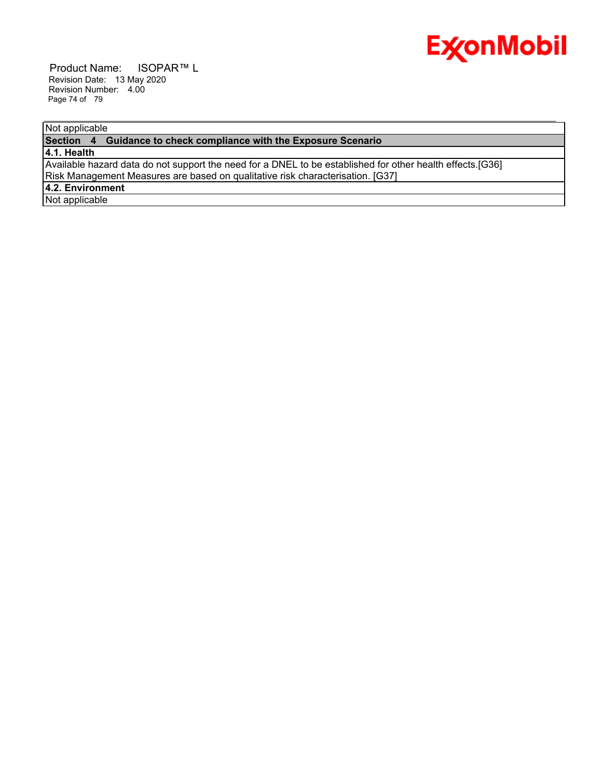

 Product Name: ISOPAR™ L Revision Date: 13 May 2020 Revision Number: 4.00 Page 74 of 79

## Not applicable **Section 4 Guidance to check compliance with the Exposure Scenario**

**4.1. Health**

Available hazard data do not support the need for a DNEL to be established for other health effects.[G36] Risk Management Measures are based on qualitative risk characterisation. [G37]

\_\_\_\_\_\_\_\_\_\_\_\_\_\_\_\_\_\_\_\_\_\_\_\_\_\_\_\_\_\_\_\_\_\_\_\_\_\_\_\_\_\_\_\_\_\_\_\_\_\_\_\_\_\_\_\_\_\_\_\_\_\_\_\_\_\_\_\_\_\_\_\_\_\_\_\_\_\_\_\_\_\_\_\_\_\_\_\_\_\_\_\_\_\_\_\_\_\_\_\_\_\_\_\_\_\_\_\_\_\_\_\_\_\_\_\_\_

# **4.2. Environment**

Not applicable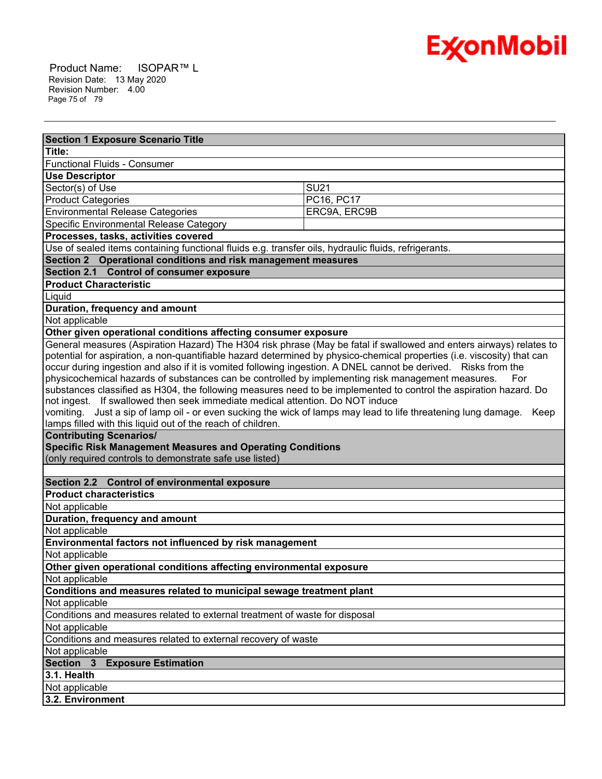

 Product Name: ISOPAR™ L Revision Date: 13 May 2020 Revision Number: 4.00 Page 75 of 79

| <b>Section 1 Exposure Scenario Title</b>                                                                                |              |  |  |  |
|-------------------------------------------------------------------------------------------------------------------------|--------------|--|--|--|
| Title:                                                                                                                  |              |  |  |  |
| Functional Fluids - Consumer                                                                                            |              |  |  |  |
| <b>Use Descriptor</b>                                                                                                   |              |  |  |  |
| Sector(s) of Use                                                                                                        | <b>SU21</b>  |  |  |  |
| <b>Product Categories</b>                                                                                               | PC16, PC17   |  |  |  |
| <b>Environmental Release Categories</b>                                                                                 | ERC9A, ERC9B |  |  |  |
| Specific Environmental Release Category                                                                                 |              |  |  |  |
| Processes, tasks, activities covered                                                                                    |              |  |  |  |
| Use of sealed items containing functional fluids e.g. transfer oils, hydraulic fluids, refrigerants.                    |              |  |  |  |
| Section 2 Operational conditions and risk management measures                                                           |              |  |  |  |
| Section 2.1 Control of consumer exposure                                                                                |              |  |  |  |
| <b>Product Characteristic</b>                                                                                           |              |  |  |  |
| Liquid                                                                                                                  |              |  |  |  |
| Duration, frequency and amount                                                                                          |              |  |  |  |
| Not applicable                                                                                                          |              |  |  |  |
| Other given operational conditions affecting consumer exposure                                                          |              |  |  |  |
| General measures (Aspiration Hazard) The H304 risk phrase (May be fatal if swallowed and enters airways) relates to     |              |  |  |  |
| potential for aspiration, a non-quantifiable hazard determined by physico-chemical properties (i.e. viscosity) that can |              |  |  |  |
| occur during ingestion and also if it is vomited following ingestion. A DNEL cannot be derived. Risks from the          |              |  |  |  |
| physicochemical hazards of substances can be controlled by implementing risk management measures.                       | For          |  |  |  |
| substances classified as H304, the following measures need to be implemented to control the aspiration hazard. Do       |              |  |  |  |
| not ingest. If swallowed then seek immediate medical attention. Do NOT induce                                           |              |  |  |  |
| vomiting. Just a sip of lamp oil - or even sucking the wick of lamps may lead to life threatening lung damage. Keep     |              |  |  |  |
| lamps filled with this liquid out of the reach of children.                                                             |              |  |  |  |
| <b>Contributing Scenarios/</b>                                                                                          |              |  |  |  |
| <b>Specific Risk Management Measures and Operating Conditions</b>                                                       |              |  |  |  |
| (only required controls to demonstrate safe use listed)                                                                 |              |  |  |  |
|                                                                                                                         |              |  |  |  |
| Section 2.2 Control of environmental exposure                                                                           |              |  |  |  |
| <b>Product characteristics</b>                                                                                          |              |  |  |  |
| Not applicable                                                                                                          |              |  |  |  |
| Duration, frequency and amount                                                                                          |              |  |  |  |
| Not applicable                                                                                                          |              |  |  |  |
| Environmental factors not influenced by risk management                                                                 |              |  |  |  |
| Not applicable                                                                                                          |              |  |  |  |
| Other given operational conditions affecting environmental exposure                                                     |              |  |  |  |
| Not applicable                                                                                                          |              |  |  |  |
| Conditions and measures related to municipal sewage treatment plant                                                     |              |  |  |  |
| Not applicable                                                                                                          |              |  |  |  |
| Conditions and measures related to external treatment of waste for disposal                                             |              |  |  |  |
| Not applicable                                                                                                          |              |  |  |  |
| Conditions and measures related to external recovery of waste                                                           |              |  |  |  |
| Not applicable                                                                                                          |              |  |  |  |
| Section 3<br><b>Exposure Estimation</b>                                                                                 |              |  |  |  |
| 3.1. Health                                                                                                             |              |  |  |  |
| Not applicable                                                                                                          |              |  |  |  |
| 3.2. Environment                                                                                                        |              |  |  |  |
|                                                                                                                         |              |  |  |  |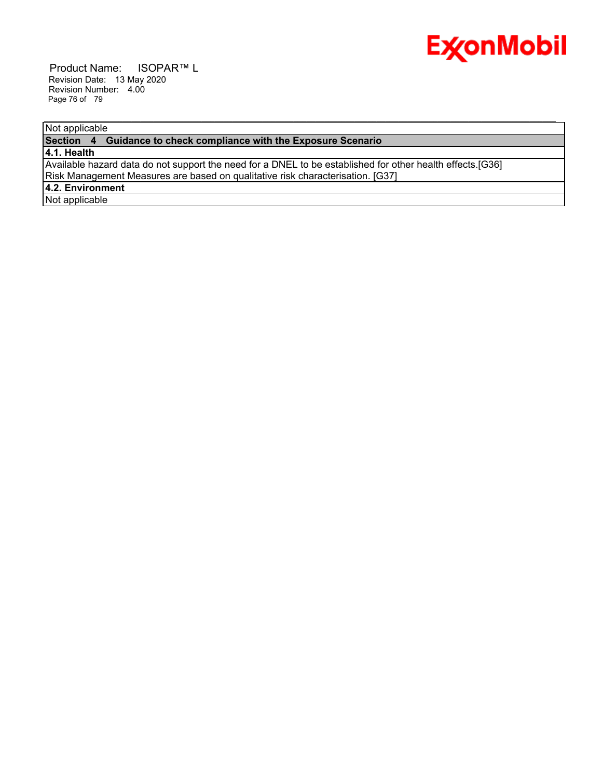

 Product Name: ISOPAR™ L Revision Date: 13 May 2020 Revision Number: 4.00 Page 76 of 79

## Not applicable **Section 4 Guidance to check compliance with the Exposure Scenario**

**4.1. Health**

Available hazard data do not support the need for a DNEL to be established for other health effects.[G36] Risk Management Measures are based on qualitative risk characterisation. [G37]

\_\_\_\_\_\_\_\_\_\_\_\_\_\_\_\_\_\_\_\_\_\_\_\_\_\_\_\_\_\_\_\_\_\_\_\_\_\_\_\_\_\_\_\_\_\_\_\_\_\_\_\_\_\_\_\_\_\_\_\_\_\_\_\_\_\_\_\_\_\_\_\_\_\_\_\_\_\_\_\_\_\_\_\_\_\_\_\_\_\_\_\_\_\_\_\_\_\_\_\_\_\_\_\_\_\_\_\_\_\_\_\_\_\_\_\_\_

# **4.2. Environment**

Not applicable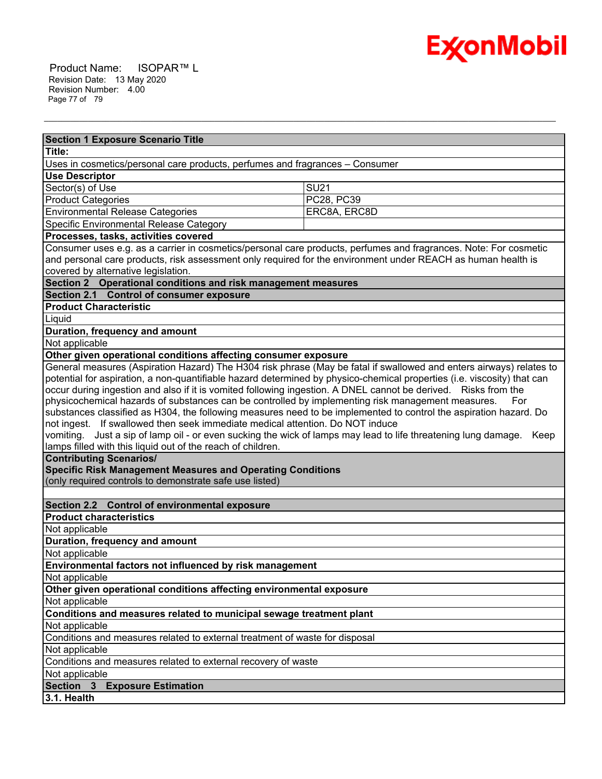

 Product Name: ISOPAR™ L Revision Date: 13 May 2020 Revision Number: 4.00 Page 77 of 79

| <b>Section 1 Exposure Scenario Title</b>                                                                                |              |  |  |  |
|-------------------------------------------------------------------------------------------------------------------------|--------------|--|--|--|
| Title:                                                                                                                  |              |  |  |  |
| Uses in cosmetics/personal care products, perfumes and fragrances - Consumer                                            |              |  |  |  |
| <b>Use Descriptor</b>                                                                                                   |              |  |  |  |
| Sector(s) of Use                                                                                                        | <b>SU21</b>  |  |  |  |
| <b>Product Categories</b>                                                                                               | PC28, PC39   |  |  |  |
| <b>Environmental Release Categories</b>                                                                                 | ERC8A, ERC8D |  |  |  |
| Specific Environmental Release Category                                                                                 |              |  |  |  |
| Processes, tasks, activities covered                                                                                    |              |  |  |  |
| Consumer uses e.g. as a carrier in cosmetics/personal care products, perfumes and fragrances. Note: For cosmetic        |              |  |  |  |
| and personal care products, risk assessment only required for the environment under REACH as human health is            |              |  |  |  |
| covered by alternative legislation.                                                                                     |              |  |  |  |
| Section 2 Operational conditions and risk management measures                                                           |              |  |  |  |
| Section 2.1 Control of consumer exposure                                                                                |              |  |  |  |
| <b>Product Characteristic</b>                                                                                           |              |  |  |  |
| Liquid                                                                                                                  |              |  |  |  |
| Duration, frequency and amount                                                                                          |              |  |  |  |
| Not applicable                                                                                                          |              |  |  |  |
| Other given operational conditions affecting consumer exposure                                                          |              |  |  |  |
| General measures (Aspiration Hazard) The H304 risk phrase (May be fatal if swallowed and enters airways) relates to     |              |  |  |  |
| potential for aspiration, a non-quantifiable hazard determined by physico-chemical properties (i.e. viscosity) that can |              |  |  |  |
| occur during ingestion and also if it is vomited following ingestion. A DNEL cannot be derived. Risks from the          |              |  |  |  |
| physicochemical hazards of substances can be controlled by implementing risk management measures.                       | For          |  |  |  |
| substances classified as H304, the following measures need to be implemented to control the aspiration hazard. Do       |              |  |  |  |
| not ingest. If swallowed then seek immediate medical attention. Do NOT induce                                           |              |  |  |  |
| vomiting. Just a sip of lamp oil - or even sucking the wick of lamps may lead to life threatening lung damage. Keep     |              |  |  |  |
| lamps filled with this liquid out of the reach of children.                                                             |              |  |  |  |
| <b>Contributing Scenarios/</b>                                                                                          |              |  |  |  |
| <b>Specific Risk Management Measures and Operating Conditions</b>                                                       |              |  |  |  |
| (only required controls to demonstrate safe use listed)                                                                 |              |  |  |  |
|                                                                                                                         |              |  |  |  |
| Section 2.2 Control of environmental exposure<br><b>Product characteristics</b>                                         |              |  |  |  |
|                                                                                                                         |              |  |  |  |
| Not applicable                                                                                                          |              |  |  |  |
| Duration, frequency and amount                                                                                          |              |  |  |  |
| Not applicable                                                                                                          |              |  |  |  |
| Environmental factors not influenced by risk management                                                                 |              |  |  |  |
| Not applicable                                                                                                          |              |  |  |  |
| Other given operational conditions affecting environmental exposure                                                     |              |  |  |  |
| Not applicable                                                                                                          |              |  |  |  |
| Conditions and measures related to municipal sewage treatment plant                                                     |              |  |  |  |
| Not applicable                                                                                                          |              |  |  |  |
| Conditions and measures related to external treatment of waste for disposal                                             |              |  |  |  |
| Not applicable                                                                                                          |              |  |  |  |
| Conditions and measures related to external recovery of waste                                                           |              |  |  |  |
| Not applicable                                                                                                          |              |  |  |  |
| <b>Section 3 Exposure Estimation</b>                                                                                    |              |  |  |  |
| 3.1. Health                                                                                                             |              |  |  |  |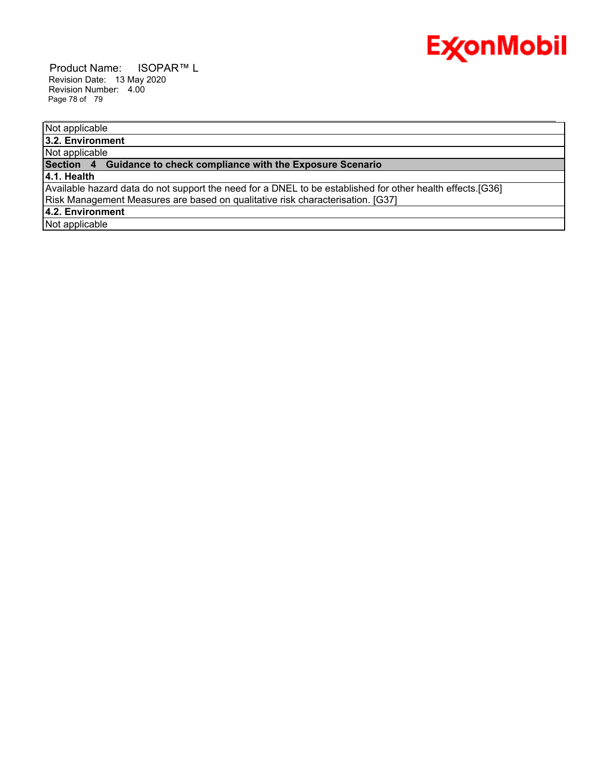

 Product Name: ISOPAR™ L Revision Date: 13 May 2020 Revision Number: 4.00 Page 78 of 79

| Not applicable                                                                                             |  |  |  |  |
|------------------------------------------------------------------------------------------------------------|--|--|--|--|
| 3.2. Environment                                                                                           |  |  |  |  |
| Not applicable                                                                                             |  |  |  |  |
| Section 4 Guidance to check compliance with the Exposure Scenario                                          |  |  |  |  |
| <b>4.1. Health</b>                                                                                         |  |  |  |  |
| Available hazard data do not support the need for a DNEL to be established for other health effects. [G36] |  |  |  |  |
| Risk Management Measures are based on qualitative risk characterisation. [G37]                             |  |  |  |  |
| 4.2. Environment                                                                                           |  |  |  |  |
| Not applicable                                                                                             |  |  |  |  |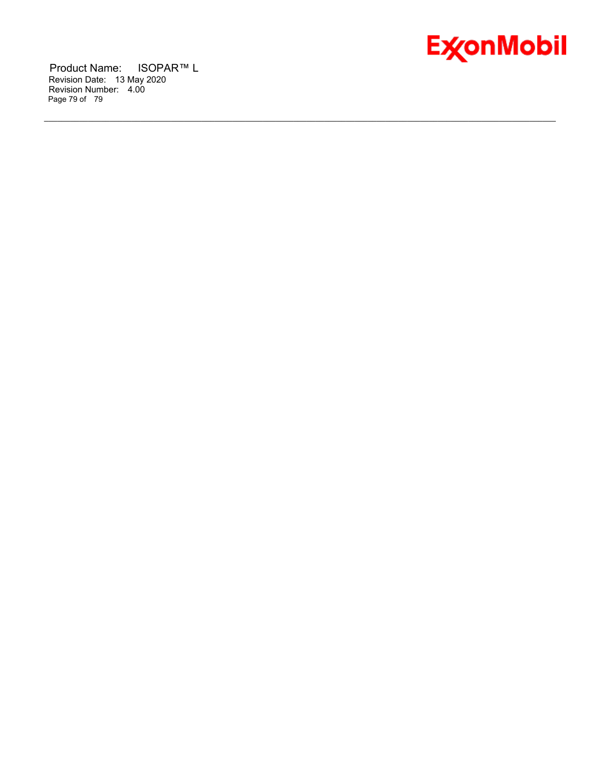

 Product Name: ISOPAR™ L Revision Date: 13 May 2020 Revision Number: 4.00 Page 79 of 79